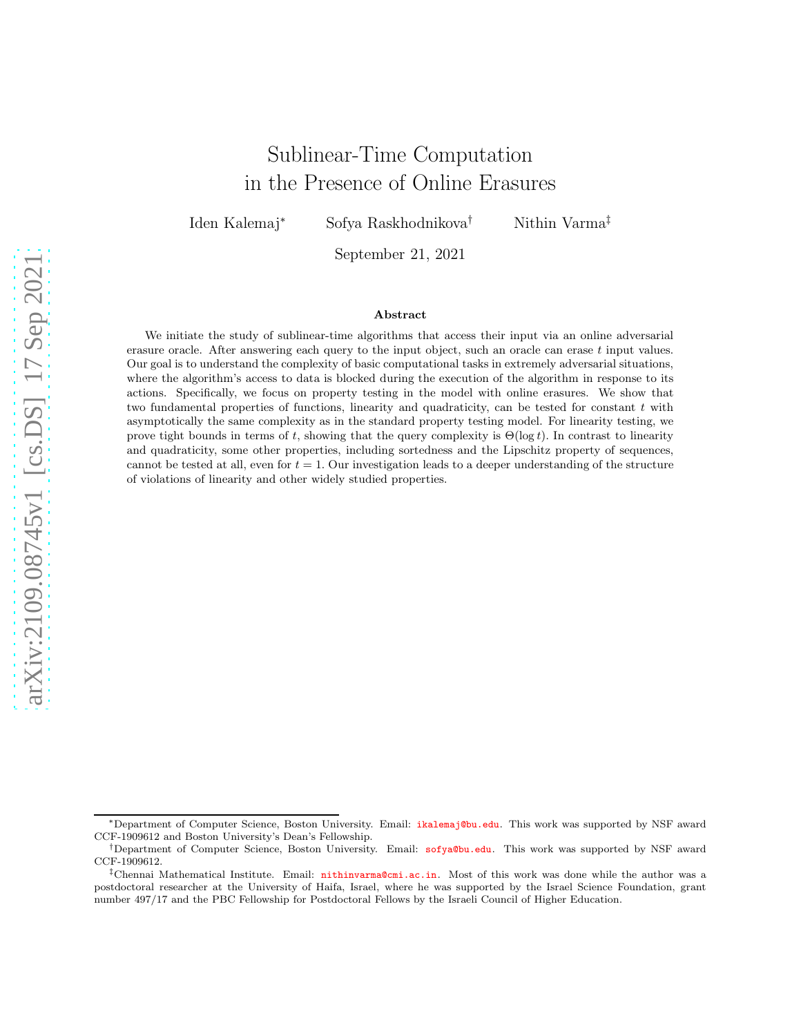# Sublinear-Time Computation in the Presence of Online Erasures

Iden Kalemaj<sup>∗</sup> Sofya Raskhodnikova† Nithin Varma‡

September 21, 2021

#### Abstract

We initiate the study of sublinear-time algorithms that access their input via an online adversarial erasure oracle. After answering each query to the input object, such an oracle can erase  $t$  input values. Our goal is to understand the complexity of basic computational tasks in extremely adversarial situations, where the algorithm's access to data is blocked during the execution of the algorithm in response to its actions. Specifically, we focus on property testing in the model with online erasures. We show that two fundamental properties of functions, linearity and quadraticity, can be tested for constant  $t$  with asymptotically the same complexity as in the standard property testing model. For linearity testing, we prove tight bounds in terms of t, showing that the query complexity is  $\Theta(\log t)$ . In contrast to linearity and quadraticity, some other properties, including sortedness and the Lipschitz property of sequences, cannot be tested at all, even for  $t = 1$ . Our investigation leads to a deeper understanding of the structure of violations of linearity and other widely studied properties.

<sup>∗</sup>Department of Computer Science, Boston University. Email: [ikalemaj@bu.edu](mailto:ikalemaj@bu.edu). This work was supported by NSF award CCF-1909612 and Boston University's Dean's Fellowship.

<sup>†</sup>Department of Computer Science, Boston University. Email: [sofya@bu.edu](mailto:sofya@bu.edu). This work was supported by NSF award CCF-1909612.

<sup>‡</sup>Chennai Mathematical Institute. Email: [nithinvarma@cmi.ac.in](mailto:nithinvarma@cmi.ac.in). Most of this work was done while the author was a postdoctoral researcher at the University of Haifa, Israel, where he was supported by the Israel Science Foundation, grant number 497/17 and the PBC Fellowship for Postdoctoral Fellows by the Israeli Council of Higher Education.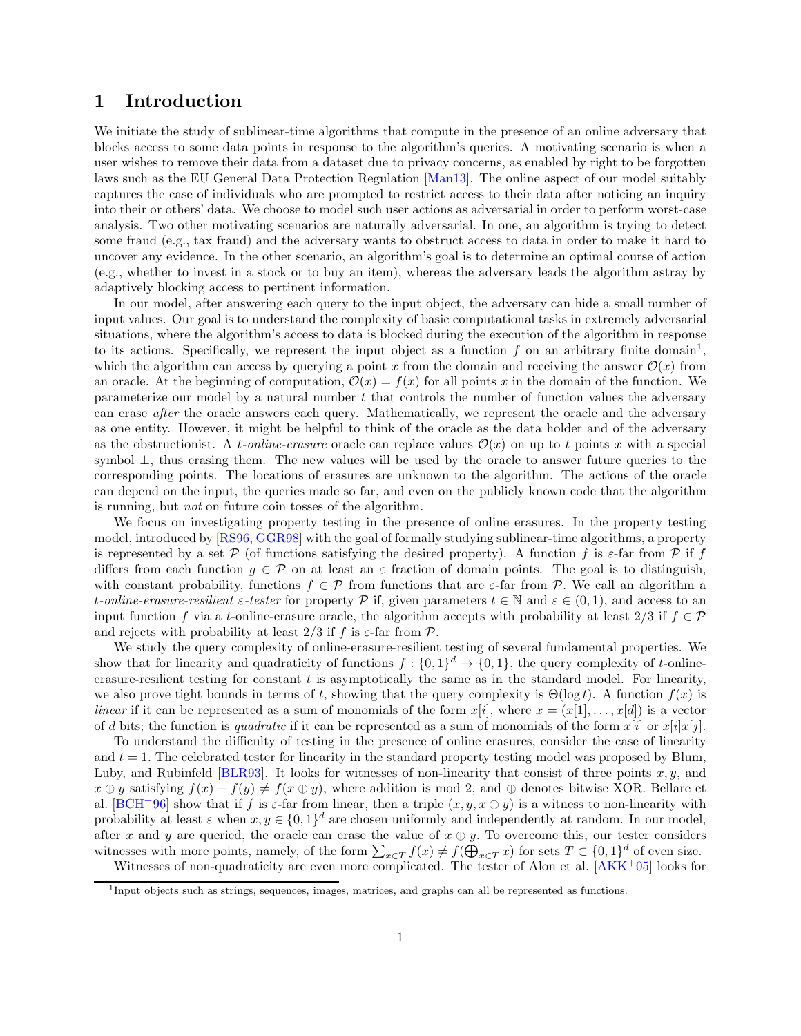### 1 Introduction

We initiate the study of sublinear-time algorithms that compute in the presence of an online adversary that blocks access to some data points in response to the algorithm's queries. A motivating scenario is when a user wishes to remove their data from a dataset due to privacy concerns, as enabled by right to be forgotten laws such as the EU General Data Protection Regulation [\[Man13\]](#page-24-0). The online aspect of our model suitably captures the case of individuals who are prompted to restrict access to their data after noticing an inquiry into their or others' data. We choose to model such user actions as adversarial in order to perform worst-case analysis. Two other motivating scenarios are naturally adversarial. In one, an algorithm is trying to detect some fraud (e.g., tax fraud) and the adversary wants to obstruct access to data in order to make it hard to uncover any evidence. In the other scenario, an algorithm's goal is to determine an optimal course of action (e.g., whether to invest in a stock or to buy an item), whereas the adversary leads the algorithm astray by adaptively blocking access to pertinent information.

In our model, after answering each query to the input object, the adversary can hide a small number of input values. Our goal is to understand the complexity of basic computational tasks in extremely adversarial situations, where the algorithm's access to data is blocked during the execution of the algorithm in response to its actions. Specifically, we represent the input object as a function  $f$  on an arbitrary finite domain<sup>1</sup>, which the algorithm can access by querying a point x from the domain and receiving the answer  $\mathcal{O}(x)$  from an oracle. At the beginning of computation,  $\mathcal{O}(x) = f(x)$  for all points x in the domain of the function. We parameterize our model by a natural number  $t$  that controls the number of function values the adversary can erase after the oracle answers each query. Mathematically, we represent the oracle and the adversary as one entity. However, it might be helpful to think of the oracle as the data holder and of the adversary as the obstructionist. A t-online-erasure oracle can replace values  $\mathcal{O}(x)$  on up to t points x with a special symbol ⊥, thus erasing them. The new values will be used by the oracle to answer future queries to the corresponding points. The locations of erasures are unknown to the algorithm. The actions of the oracle can depend on the input, the queries made so far, and even on the publicly known code that the algorithm is running, but not on future coin tosses of the algorithm.

We focus on investigating property testing in the presence of online erasures. In the property testing model, introduced by [\[RS96,](#page-25-0) [GGR98\]](#page-23-0) with the goal of formally studying sublinear-time algorithms, a property is represented by a set P (of functions satisfying the desired property). A function f is  $\varepsilon$ -far from P if f differs from each function  $g \in \mathcal{P}$  on at least an  $\varepsilon$  fraction of domain points. The goal is to distinguish, with constant probability, functions  $f \in \mathcal{P}$  from functions that are  $\varepsilon$ -far from  $\mathcal{P}$ . We call an algorithm a t-online-erasure-resilient  $\varepsilon$ -tester for property P if, given parameters  $t \in \mathbb{N}$  and  $\varepsilon \in (0,1)$ , and access to an input function f via a t-online-erasure oracle, the algorithm accepts with probability at least 2/3 if  $f \in \mathcal{P}$ and rejects with probability at least  $2/3$  if f is  $\varepsilon$ -far from  $\mathcal{P}$ .

We study the query complexity of online-erasure-resilient testing of several fundamental properties. We show that for linearity and quadraticity of functions  $f: \{0,1\}^d \to \{0,1\}$ , the query complexity of t-onlineerasure-resilient testing for constant  $t$  is asymptotically the same as in the standard model. For linearity, we also prove tight bounds in terms of t, showing that the query complexity is  $\Theta(\log t)$ . A function  $f(x)$  is linear if it can be represented as a sum of monomials of the form  $x[i]$ , where  $x = (x[1], \ldots, x[d])$  is a vector of d bits; the function is quadratic if it can be represented as a sum of monomials of the form  $x[i]$  or  $x[i]x[j]$ .

To understand the difficulty of testing in the presence of online erasures, consider the case of linearity and  $t = 1$ . The celebrated tester for linearity in the standard property testing model was proposed by Blum, Luby, and Rubinfeld [\[BLR93\]](#page-22-0). It looks for witnesses of non-linearity that consist of three points x, y, and  $x \oplus y$  satisfying  $f(x) + f(y) \neq f(x \oplus y)$ , where addition is mod 2, and  $\oplus$  denotes bitwise XOR. Bellare et al. [\[BCH](#page-22-1)+96] show that if f is  $\varepsilon$ -far from linear, then a triple  $(x, y, x \oplus y)$  is a witness to non-linearity with probability at least  $\varepsilon$  when  $x, y \in \{0, 1\}^d$  are chosen uniformly and independently at random. In our model, after x and y are queried, the oracle can erase the value of  $x \oplus y$ . To overcome this, our tester considers witnesses with more points, namely, of the form  $\sum_{x \in T} f(x) \neq f(\bigoplus_{x \in T} x)$  for sets  $T \subset \{0,1\}^d$  of even size.

Witnesses of non-quadraticity are even more complicated. The tester of Alon et al. [\[AKK](#page-22-2)+05] looks for

<sup>1</sup> Input objects such as strings, sequences, images, matrices, and graphs can all be represented as functions.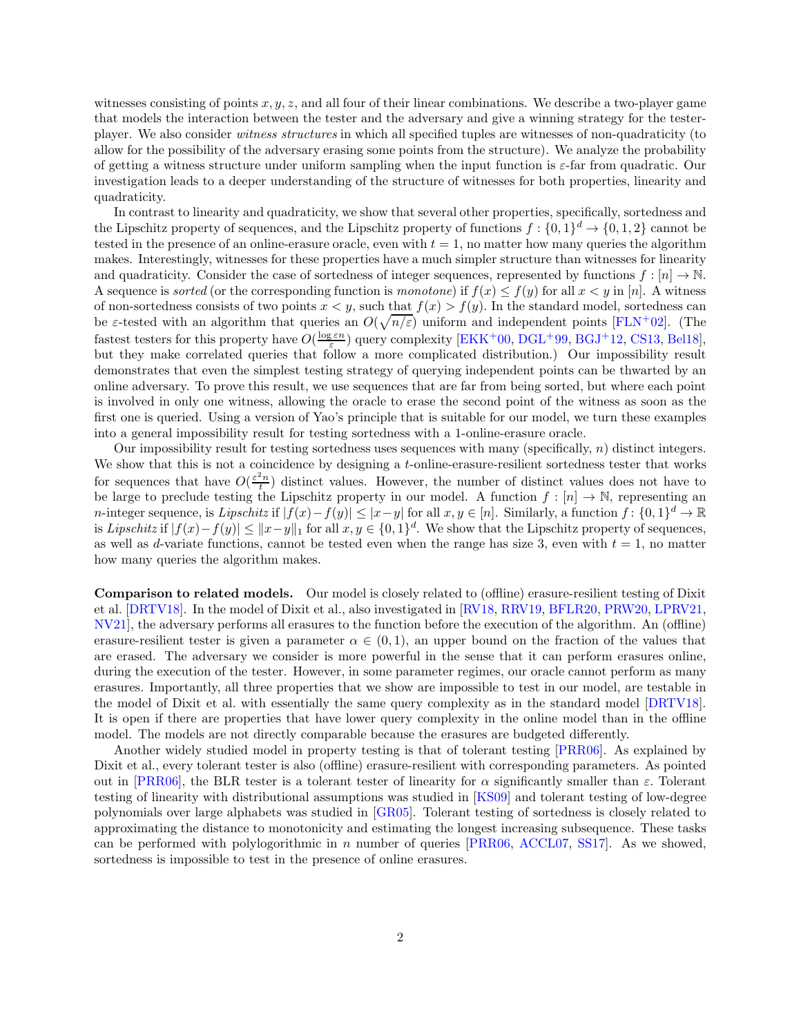witnesses consisting of points  $x, y, z$ , and all four of their linear combinations. We describe a two-player game that models the interaction between the tester and the adversary and give a winning strategy for the testerplayer. We also consider witness structures in which all specified tuples are witnesses of non-quadraticity (to allow for the possibility of the adversary erasing some points from the structure). We analyze the probability of getting a witness structure under uniform sampling when the input function is  $\varepsilon$ -far from quadratic. Our investigation leads to a deeper understanding of the structure of witnesses for both properties, linearity and quadraticity.

In contrast to linearity and quadraticity, we show that several other properties, specifically, sortedness and the Lipschitz property of sequences, and the Lipschitz property of functions  $f: \{0,1\}^d \to \{0,1,2\}$  cannot be tested in the presence of an online-erasure oracle, even with  $t = 1$ , no matter how many queries the algorithm makes. Interestingly, witnesses for these properties have a much simpler structure than witnesses for linearity and quadraticity. Consider the case of sortedness of integer sequences, represented by functions  $f : [n] \to \mathbb{N}$ . A sequence is sorted (or the corresponding function is monotone) if  $f(x) \leq f(y)$  for all  $x < y$  in [n]. A witness of non-sortedness consists of two points  $x < y$ , such that  $f(x) > f(y)$ . In the standard model, sortedness can be *ε*-tested with an algorithm that queries an  $O(\sqrt{n/\epsilon})$  uniform and independent points [\[FLN](#page-23-1)+02]. (The fastest testers for this property have  $O(\frac{\log \varepsilon n}{\varepsilon})$  query complexity [\[EKK](#page-23-2)+00, [DGL](#page-23-3)+99, [BGJ](#page-22-3)+12, [CS13,](#page-23-4) [Bel18\]](#page-22-4), but they make correlated queries that follow a more complicated distribution.) Our impossibility result demonstrates that even the simplest testing strategy of querying independent points can be thwarted by an online adversary. To prove this result, we use sequences that are far from being sorted, but where each point is involved in only one witness, allowing the oracle to erase the second point of the witness as soon as the first one is queried. Using a version of Yao's principle that is suitable for our model, we turn these examples into a general impossibility result for testing sortedness with a 1-online-erasure oracle.

Our impossibility result for testing sortedness uses sequences with many (specifically,  $n$ ) distinct integers. We show that this is not a coincidence by designing a *t*-online-erasure-resilient sortedness tester that works for sequences that have  $O(\frac{\varepsilon^2 n}{t})$  distinct values. However, the number of distinct values does not have to be large to preclude testing the Lipschitz property in our model. A function  $f : [n] \to \mathbb{N}$ , representing an n-integer sequence, is Lipschitz if  $|f(x)-f(y)| \le |x-y|$  for all  $x, y \in [n]$ . Similarly, a function  $f: \{0,1\}^d \to \mathbb{R}$ is Lipschitz if  $|f(x)-f(y)| \leq ||x-y||_1$  for all  $x, y \in \{0, 1\}^d$ . We show that the Lipschitz property of sequences, as well as d-variate functions, cannot be tested even when the range has size 3, even with  $t = 1$ , no matter how many queries the algorithm makes.

Comparison to related models. Our model is closely related to (offline) erasure-resilient testing of Dixit et al. [\[DRTV18\]](#page-23-5). In the model of Dixit et al., also investigated in [\[RV18,](#page-25-1) [RRV19,](#page-25-2) [BFLR20,](#page-22-5) [PRW20,](#page-25-3) [LPRV21,](#page-24-1) [NV21\]](#page-24-2), the adversary performs all erasures to the function before the execution of the algorithm. An (offline) erasure-resilient tester is given a parameter  $\alpha \in (0,1)$ , an upper bound on the fraction of the values that are erased. The adversary we consider is more powerful in the sense that it can perform erasures online, during the execution of the tester. However, in some parameter regimes, our oracle cannot perform as many erasures. Importantly, all three properties that we show are impossible to test in our model, are testable in the model of Dixit et al. with essentially the same query complexity as in the standard model [\[DRTV18\]](#page-23-5). It is open if there are properties that have lower query complexity in the online model than in the offline model. The models are not directly comparable because the erasures are budgeted differently.

Another widely studied model in property testing is that of tolerant testing [\[PRR06\]](#page-24-3). As explained by Dixit et al., every tolerant tester is also (offline) erasure-resilient with corresponding parameters. As pointed out in [\[PRR06\]](#page-24-3), the BLR tester is a tolerant tester of linearity for  $\alpha$  significantly smaller than  $\varepsilon$ . Tolerant testing of linearity with distributional assumptions was studied in [\[KS09\]](#page-24-4) and tolerant testing of low-degree polynomials over large alphabets was studied in [\[GR05\]](#page-24-5). Tolerant testing of sortedness is closely related to approximating the distance to monotonicity and estimating the longest increasing subsequence. These tasks can be performed with polylogorithmic in n number of queries  $[PRR06, ACCLO7, SS17]$  $[PRR06, ACCLO7, SS17]$ . As we showed, sortedness is impossible to test in the presence of online erasures.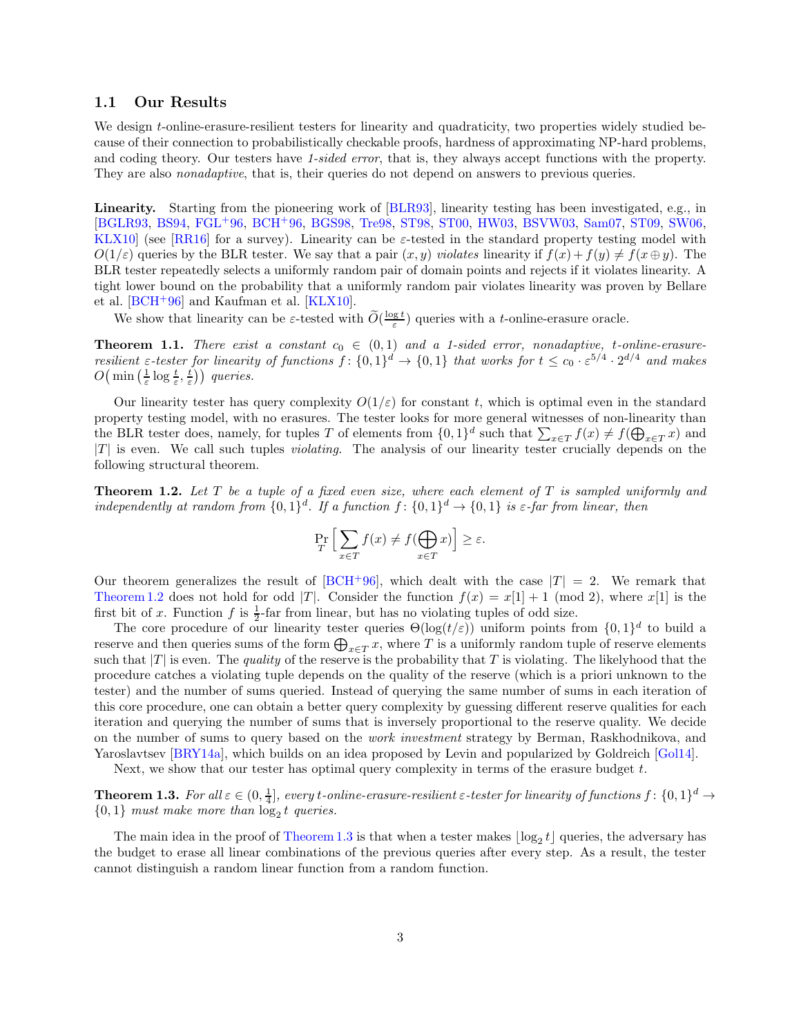#### 1.1 Our Results

We design *t*-online-erasure-resilient testers for linearity and quadraticity, two properties widely studied because of their connection to probabilistically checkable proofs, hardness of approximating NP-hard problems, and coding theory. Our testers have 1-sided error, that is, they always accept functions with the property. They are also *nonadaptive*, that is, their queries do not depend on answers to previous queries.

Linearity. Starting from the pioneering work of [\[BLR93\]](#page-22-0), linearity testing has been investigated, e.g., in [\[BGLR93,](#page-22-7) [BS94,](#page-22-8) [FGL](#page-23-6)+96, [BCH](#page-22-1)+96, [BGS98,](#page-22-9) [Tre98,](#page-25-5) [ST98,](#page-25-6) [ST00,](#page-25-7) [HW03,](#page-24-6) [BSVW03,](#page-23-7) [Sam07,](#page-25-8) [ST09,](#page-25-9) [SW06,](#page-25-10) KLX10 (see [\[RR16\]](#page-25-11) for a survey). Linearity can be  $\varepsilon$ -tested in the standard property testing model with  $O(1/\varepsilon)$  queries by the BLR tester. We say that a pair  $(x, y)$  violates linearity if  $f(x) + f(y) \neq f(x \oplus y)$ . The BLR tester repeatedly selects a uniformly random pair of domain points and rejects if it violates linearity. A tight lower bound on the probability that a uniformly random pair violates linearity was proven by Bellare et al.  $[BCH<sup>+</sup>96]$  and Kaufman et al.  $[KLX10]$ .

We show that linearity can be  $\varepsilon$ -tested with  $\widetilde{O}(\frac{\log t}{\varepsilon})$  queries with a t-online-erasure oracle.

<span id="page-3-2"></span>**Theorem 1.1.** There exist a constant  $c_0 \in (0,1)$  and a 1-sided error, nonadaptive, t-online-erasureresilient  $\varepsilon$ -tester for linearity of functions  $f: \{0,1\}^d \to \{0,1\}$  that works for  $t \leq c_0 \cdot \varepsilon^{5/4} \cdot 2^{d/4}$  and makes  $O\left(\min\left(\frac{1}{\varepsilon}\log\frac{t}{\varepsilon},\frac{t}{\varepsilon}\right)\right)$  queries.

Our linearity tester has query complexity  $O(1/\varepsilon)$  for constant t, which is optimal even in the standard property testing model, with no erasures. The tester looks for more general witnesses of non-linearity than the BLR tester does, namely, for tuples T of elements from  $\{0,1\}^d$  such that  $\sum_{x \in T} f(x) \neq f(\bigoplus_{x \in T} x)$  and  $|T|$  is even. We call such tuples *violating*. The analysis of our linearity tester crucially depends on the following structural theorem.

<span id="page-3-0"></span>**Theorem 1.2.** Let T be a tuple of a fixed even size, where each element of T is sampled uniformly and independently at random from  $\{0,1\}^d$ . If a function  $f: \{0,1\}^d \to \{0,1\}$  is  $\varepsilon$ -far from linear, then

$$
\Pr_{T} \Big[ \sum_{x \in T} f(x) \neq f(\bigoplus_{x \in T} x) \Big] \geq \varepsilon.
$$

Our theorem generalizes the result of [\[BCH](#page-22-1)+96], which dealt with the case  $|T| = 2$ . We remark that [Theorem 1.2](#page-3-0) does not hold for odd |T|. Consider the function  $f(x) = x[1] + 1 \pmod{2}$ , where  $x[1]$  is the first bit of x. Function f is  $\frac{1}{2}$ -far from linear, but has no violating tuples of odd size.

The core procedure of our linearity tester queries  $\Theta(\log(t/\varepsilon))$  uniform points from  $\{0,1\}^d$  to build a reserve and then queries sums of the form  $\bigoplus_{x \in T} x$ , where T is a uniformly random tuple of reserve elements such that  $|T|$  is even. The *quality* of the reserve is the probability that T is violating. The likelyhood that the procedure catches a violating tuple depends on the quality of the reserve (which is a priori unknown to the tester) and the number of sums queried. Instead of querying the same number of sums in each iteration of this core procedure, one can obtain a better query complexity by guessing different reserve qualities for each iteration and querying the number of sums that is inversely proportional to the reserve quality. We decide on the number of sums to query based on the *work investment* strategy by Berman, Raskhodnikova, and Yaroslavtsev [\[BRY14a\]](#page-22-10), which builds on an idea proposed by Levin and popularized by Goldreich [\[Gol14\]](#page-24-8).

Next, we show that our tester has optimal query complexity in terms of the erasure budget  $t$ .

<span id="page-3-1"></span>**Theorem 1.3.** For all  $\varepsilon \in (0, \frac{1}{4}]$ , every t-online-erasure-resilient  $\varepsilon$ -tester for linearity of functions  $f: \{0,1\}^d \to$  $\{0,1\}$  must make more than  $\log_2 t$  queries.

The main idea in the proof of [Theorem 1.3](#page-3-1) is that when a tester makes  $\lfloor \log_2 t \rfloor$  queries, the adversary has the budget to erase all linear combinations of the previous queries after every step. As a result, the tester cannot distinguish a random linear function from a random function.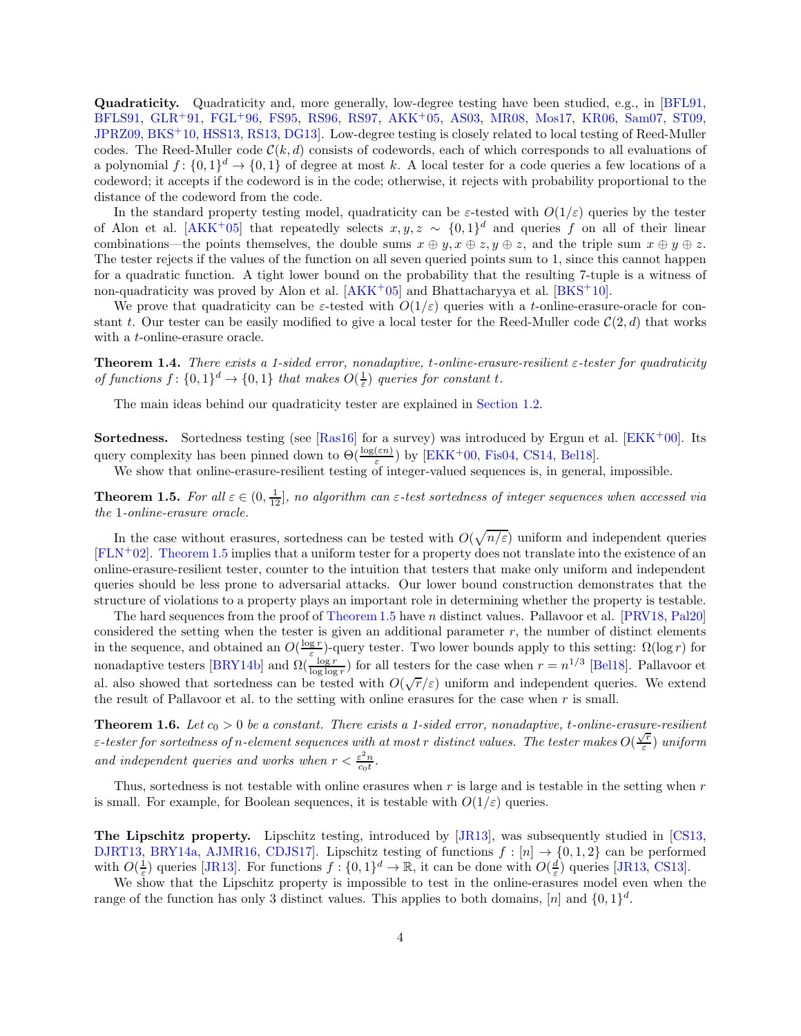Quadraticity. Quadraticity and, more generally, low-degree testing have been studied, e.g., in [\[BFL91,](#page-22-11) [BFLS91,](#page-22-12) [GLR](#page-23-8)+91, [FGL](#page-23-6)+96, [FS95,](#page-23-9) [RS96,](#page-25-0) [RS97,](#page-25-12) [AKK](#page-22-2)+05, [AS03,](#page-22-13) [MR08,](#page-24-9) [Mos17,](#page-24-10) [KR06,](#page-24-11) [Sam07,](#page-25-8) [ST09,](#page-25-9) [JPRZ09,](#page-24-12) [BKS](#page-22-14)+10, [HSS13,](#page-24-13) [RS13,](#page-25-13) [DG13\]](#page-23-10). Low-degree testing is closely related to local testing of Reed-Muller codes. The Reed-Muller code  $\mathcal{C}(k, d)$  consists of codewords, each of which corresponds to all evaluations of a polynomial  $f: \{0,1\}^d \to \{0,1\}$  of degree at most k. A local tester for a code queries a few locations of a codeword; it accepts if the codeword is in the code; otherwise, it rejects with probability proportional to the distance of the codeword from the code.

In the standard property testing model, quadraticity can be  $\varepsilon$ -tested with  $O(1/\varepsilon)$  queries by the tester of Alon et al. [\[AKK](#page-22-2)<sup>+</sup>05] that repeatedly selects  $x, y, z \sim \{0, 1\}^d$  and queries f on all of their linear combinations—the points themselves, the double sums  $x \oplus y, x \oplus z, y \oplus z$ , and the triple sum  $x \oplus y \oplus z$ . The tester rejects if the values of the function on all seven queried points sum to 1, since this cannot happen for a quadratic function. A tight lower bound on the probability that the resulting 7-tuple is a witness of non-quadraticity was proved by Alon et al.  $[AKK^+05]$  and Bhattacharyya et al.  $[BKS^+10]$ .

We prove that quadraticity can be  $\varepsilon$ -tested with  $O(1/\varepsilon)$  queries with a t-online-erasure-oracle for constant t. Our tester can be easily modified to give a local tester for the Reed-Muller code  $\mathcal{C}(2, d)$  that works with a *t*-online-erasure oracle.

<span id="page-4-1"></span>**Theorem 1.4.** There exists a 1-sided error, nonadaptive, t-online-erasure-resilient  $\varepsilon$ -tester for quadraticity of functions  $f: \{0,1\}^d \to \{0,1\}$  that makes  $O(\frac{1}{\varepsilon})$  queries for constant t.

The main ideas behind our quadraticity tester are explained in [Section 1.2.](#page-5-0)

Sortedness. Sortedness testing (see [\[Ras16\]](#page-25-14) for a survey) was introduced by Ergun et al. [\[EKK](#page-23-2)<sup>+00]</sup>. Its query complexity has been pinned down to  $\Theta(\frac{\log(\varepsilon n)}{\varepsilon})$  by [\[EKK](#page-23-2)<sup>+</sup>00, [Fis04,](#page-23-11) [CS14,](#page-23-12) [Bel18\]](#page-22-4).

We show that online-erasure-resilient testing of integer-valued sequences is, in general, impossible.

<span id="page-4-0"></span>**Theorem 1.5.** For all  $\varepsilon \in (0, \frac{1}{12}]$ , no algorithm can  $\varepsilon$ -test sortedness of integer sequences when accessed via the 1-online-erasure oracle.

In the case without erasures, sortedness can be tested with  $O(\sqrt{n/\varepsilon})$  uniform and independent queries [\[FLN](#page-23-1)<sup>+</sup>02]. [Theorem 1.5](#page-4-0) implies that a uniform tester for a property does not translate into the existence of an online-erasure-resilient tester, counter to the intuition that testers that make only uniform and independent queries should be less prone to adversarial attacks. Our lower bound construction demonstrates that the structure of violations to a property plays an important role in determining whether the property is testable.

The hard sequences from the proof of [Theorem 1.5](#page-4-0) have n distinct values. Pallavoor et al. [\[PRV18,](#page-25-15) [Pal20\]](#page-24-14) considered the setting when the tester is given an additional parameter  $r$ , the number of distinct elements in the sequence, and obtained an  $O(\frac{\log r}{\varepsilon})$ -query tester. Two lower bounds apply to this setting:  $\Omega(\log r)$  for nonadaptive testers [\[BRY14b\]](#page-22-15) and  $\Omega(\frac{\log r}{\log \log r})$  for all testers for the case when  $r = n^{1/3}$  [\[Bel18\]](#page-22-4). Pallavoor et al. also showed that sortedness can be tested with  $O(\sqrt{r}/\varepsilon)$  uniform and independent queries. We extend the result of Pallavoor et al. to the setting with online erasures for the case when  $r$  is small.

<span id="page-4-2"></span>**Theorem 1.6.** Let  $c_0 > 0$  be a constant. There exists a 1-sided error, nonadaptive, t-online-erasure-resilient  $\varepsilon$ -tester for sortedness of n-element sequences with at most r distinct values. The tester makes  $O(\frac{\sqrt{r}}{\varepsilon})$  $\frac{\pi}{\varepsilon}$ ) uniform and independent queries and works when  $r < \frac{\varepsilon^2 n}{c_0 t}$ .

Thus, sortedness is not testable with online erasures when r is large and is testable in the setting when r is small. For example, for Boolean sequences, it is testable with  $O(1/\varepsilon)$  queries.

The Lipschitz property. Lipschitz testing, introduced by [\[JR13\]](#page-24-15), was subsequently studied in [\[CS13,](#page-23-4) [DJRT13,](#page-23-13) [BRY14a,](#page-22-10) [AJMR16,](#page-22-16) CDJS17. Lipschitz testing of functions  $f : [n] \rightarrow \{0, 1, 2\}$  can be performed with  $O(\frac{1}{\varepsilon})$  queries [\[JR13\]](#page-24-15). For functions  $f: \{0,1\}^d \to \mathbb{R}$ , it can be done with  $O(\frac{d}{\varepsilon})$  queries [\[JR13,](#page-24-15) [CS13\]](#page-23-4).

We show that the Lipschitz property is impossible to test in the online-erasures model even when the range of the function has only 3 distinct values. This applies to both domains,  $[n]$  and  $\{0, 1\}^d$ .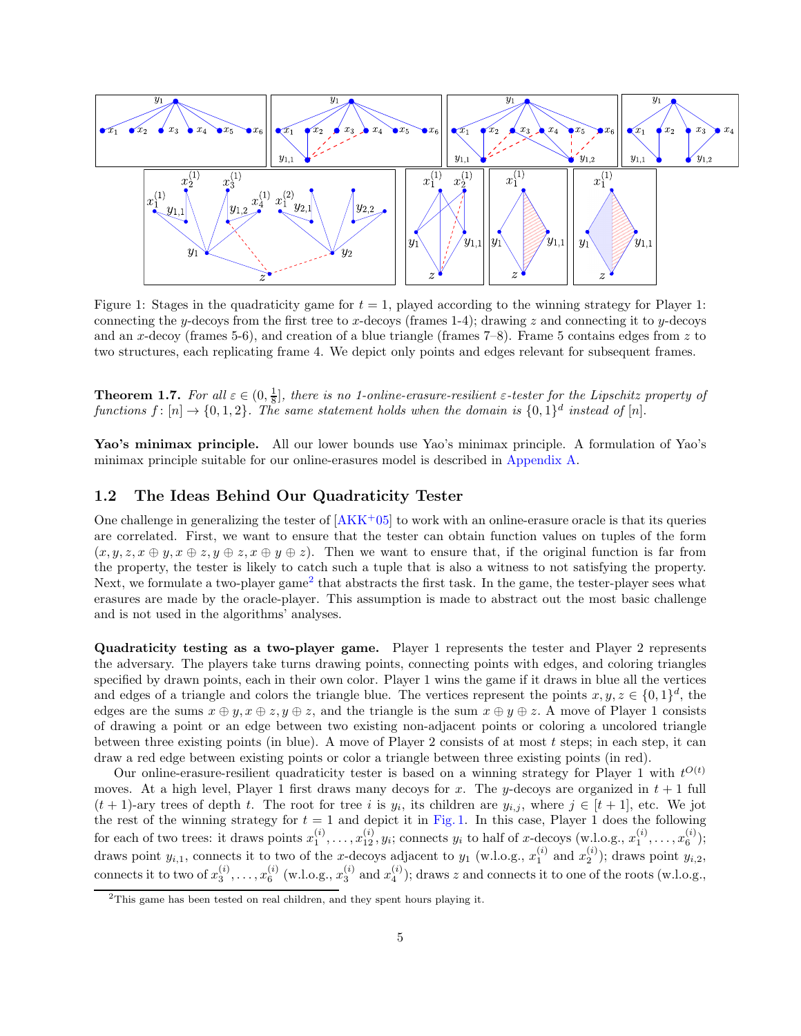<span id="page-5-1"></span>

Figure 1: Stages in the quadraticity game for  $t = 1$ , played according to the winning strategy for Player 1: connecting the y-decoys from the first tree to x-decoys (frames 1-4); drawing z and connecting it to y-decoys and an x-decoy (frames 5-6), and creation of a blue triangle (frames  $7-8$ ). Frame 5 contains edges from z to two structures, each replicating frame 4. We depict only points and edges relevant for subsequent frames.

<span id="page-5-2"></span>**Theorem 1.7.** For all  $\varepsilon \in (0, \frac{1}{8})$ , there is no 1-online-erasure-resilient  $\varepsilon$ -tester for the Lipschitz property of functions  $f: [n] \to \{0, 1, 2\}$ . The same statement holds when the domain is  $\{0, 1\}^d$  instead of  $[n]$ .

Yao's minimax principle. All our lower bounds use Yao's minimax principle. A formulation of Yao's minimax principle suitable for our online-erasures model is described in [Appendix A.](#page-26-0)

#### <span id="page-5-0"></span>1.2 The Ideas Behind Our Quadraticity Tester

One challenge in generalizing the tester of  $[AKK^+05]$  to work with an online-erasure oracle is that its queries are correlated. First, we want to ensure that the tester can obtain function values on tuples of the form  $(x, y, z, x \oplus y, x \oplus z, y \oplus z, x \oplus y \oplus z)$ . Then we want to ensure that, if the original function is far from the property, the tester is likely to catch such a tuple that is also a witness to not satisfying the property. Next, we formulate a two-player game<sup>2</sup> that abstracts the first task. In the game, the tester-player sees what erasures are made by the oracle-player. This assumption is made to abstract out the most basic challenge and is not used in the algorithms' analyses.

Quadraticity testing as a two-player game. Player 1 represents the tester and Player 2 represents the adversary. The players take turns drawing points, connecting points with edges, and coloring triangles specified by drawn points, each in their own color. Player 1 wins the game if it draws in blue all the vertices and edges of a triangle and colors the triangle blue. The vertices represent the points  $x, y, z \in \{0, 1\}^d$ , the edges are the sums  $x \oplus y$ ,  $x \oplus z$ ,  $y \oplus z$ , and the triangle is the sum  $x \oplus y \oplus z$ . A move of Player 1 consists of drawing a point or an edge between two existing non-adjacent points or coloring a uncolored triangle between three existing points (in blue). A move of Player 2 consists of at most t steps; in each step, it can draw a red edge between existing points or color a triangle between three existing points (in red).

Our online-erasure-resilient quadraticity tester is based on a winning strategy for Player 1 with  $t^{O(t)}$ moves. At a high level, Player 1 first draws many decoys for x. The y-decoys are organized in  $t + 1$  full  $(t + 1)$ -ary trees of depth t. The root for tree i is  $y_i$ , its children are  $y_{i,j}$ , where  $j \in [t + 1]$ , etc. We jot the rest of the winning strategy for  $t = 1$  and depict it in [Fig. 1.](#page-5-1) In this case, Player 1 does the following for each of two trees: it draws points  $x_1^{(i)}, \ldots, x_{12}^{(i)}, y_i$ ; connects  $y_i$  to half of x-decoys  $(w.l.o.g., x_1^{(i)}, \ldots, x_6^{(i)})$ ; draws point  $y_{i,1}$ , connects it to two of the x-decoys adjacent to  $y_1$  (w.l.o.g.,  $x_1^{(i)}$  and  $x_2^{(i)}$ ); draws point  $y_{i,2}$ , connects it to two of  $x_3^{(i)}, \ldots, x_6^{(i)}$  (w.l.o.g.,  $x_3^{(i)}$  and  $x_4^{(i)}$ ); draws z and connects it to one of the roots (w.l.o.g.,

<sup>2</sup>This game has been tested on real children, and they spent hours playing it.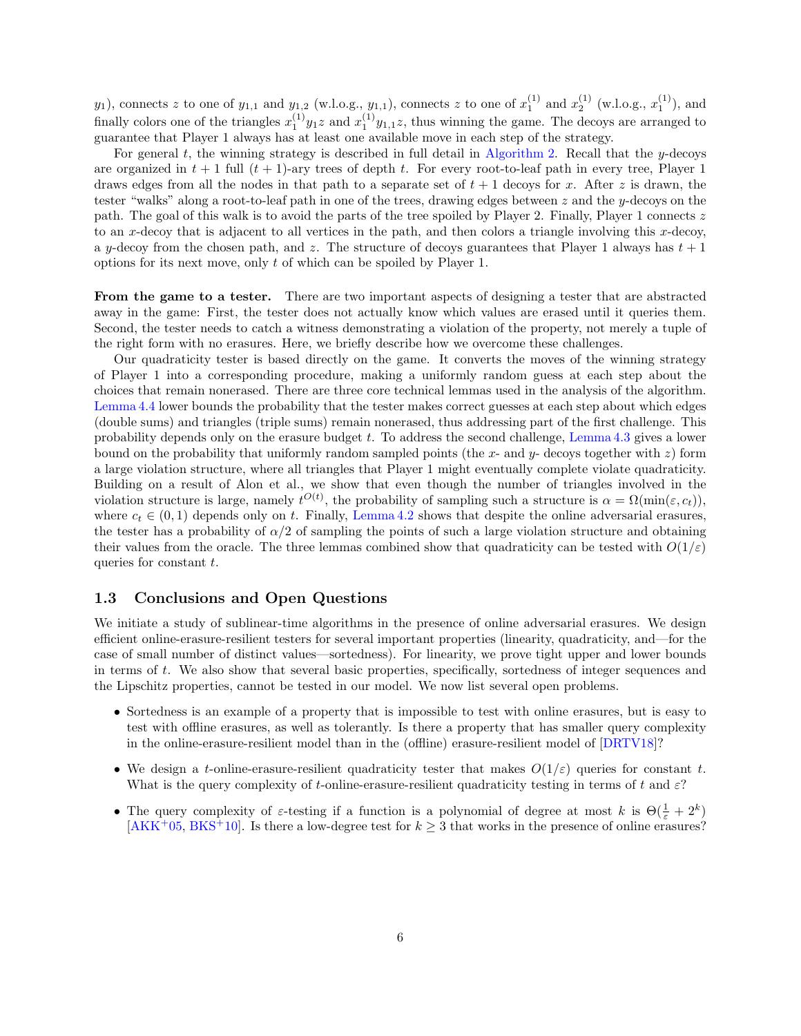$y_1$ , connects z to one of  $y_{1,1}$  and  $y_{1,2}$  (w.l.o.g.,  $y_{1,1}$ ), connects z to one of  $x_1^{(1)}$  and  $x_2^{(1)}$  (w.l.o.g.,  $x_1^{(1)}$ ), and finally colors one of the triangles  $x_1^{(1)}y_1z$  and  $x_1^{(1)}y_1z$ , thus winning the game. The decoys are arranged to guarantee that Player 1 always has at least one available move in each step of the strategy.

For general t, the winning strategy is described in full detail in [Algorithm 2.](#page-12-0) Recall that the y-decoys are organized in  $t + 1$  full  $(t + 1)$ -ary trees of depth t. For every root-to-leaf path in every tree, Player 1 draws edges from all the nodes in that path to a separate set of  $t + 1$  decoys for x. After z is drawn, the tester "walks" along a root-to-leaf path in one of the trees, drawing edges between z and the y-decoys on the path. The goal of this walk is to avoid the parts of the tree spoiled by Player 2. Finally, Player 1 connects z to an x-decoy that is adjacent to all vertices in the path, and then colors a triangle involving this x-decoy, a y-decoy from the chosen path, and z. The structure of decoys guarantees that Player 1 always has  $t + 1$ options for its next move, only t of which can be spoiled by Player 1.

From the game to a tester. There are two important aspects of designing a tester that are abstracted away in the game: First, the tester does not actually know which values are erased until it queries them. Second, the tester needs to catch a witness demonstrating a violation of the property, not merely a tuple of the right form with no erasures. Here, we briefly describe how we overcome these challenges.

Our quadraticity tester is based directly on the game. It converts the moves of the winning strategy of Player 1 into a corresponding procedure, making a uniformly random guess at each step about the choices that remain nonerased. There are three core technical lemmas used in the analysis of the algorithm. [Lemma 4.4](#page-13-0) lower bounds the probability that the tester makes correct guesses at each step about which edges (double sums) and triangles (triple sums) remain nonerased, thus addressing part of the first challenge. This probability depends only on the erasure budget t. To address the second challenge, [Lemma 4.3](#page-13-1) gives a lower bound on the probability that uniformly random sampled points (the x- and y- decoys together with  $z$ ) form a large violation structure, where all triangles that Player 1 might eventually complete violate quadraticity. Building on a result of Alon et al., we show that even though the number of triangles involved in the violation structure is large, namely  $t^{O(t)}$ , the probability of sampling such a structure is  $\alpha = \Omega(\min(\varepsilon, c_t)),$ where  $c_t \in (0,1)$  depends only on t. Finally, [Lemma 4.2](#page-13-2) shows that despite the online adversarial erasures, the tester has a probability of  $\alpha/2$  of sampling the points of such a large violation structure and obtaining their values from the oracle. The three lemmas combined show that quadraticity can be tested with  $O(1/\varepsilon)$ queries for constant t.

#### 1.3 Conclusions and Open Questions

We initiate a study of sublinear-time algorithms in the presence of online adversarial erasures. We design efficient online-erasure-resilient testers for several important properties (linearity, quadraticity, and—for the case of small number of distinct values—sortedness). For linearity, we prove tight upper and lower bounds in terms of t. We also show that several basic properties, specifically, sortedness of integer sequences and the Lipschitz properties, cannot be tested in our model. We now list several open problems.

- Sortedness is an example of a property that is impossible to test with online erasures, but is easy to test with offline erasures, as well as tolerantly. Is there a property that has smaller query complexity in the online-erasure-resilient model than in the (offline) erasure-resilient model of [\[DRTV18\]](#page-23-5)?
- We design a t-online-erasure-resilient quadraticity tester that makes  $O(1/\varepsilon)$  queries for constant t. What is the query complexity of t-online-erasure-resilient quadraticity testing in terms of t and  $\varepsilon$ ?
- The query complexity of  $\varepsilon$ -testing if a function is a polynomial of degree at most k is  $\Theta(\frac{1}{\varepsilon}+2^k)$ [\[AKK](#page-22-2)+05, [BKS](#page-22-14)+10]. Is there a low-degree test for  $k \geq 3$  that works in the presence of online erasures?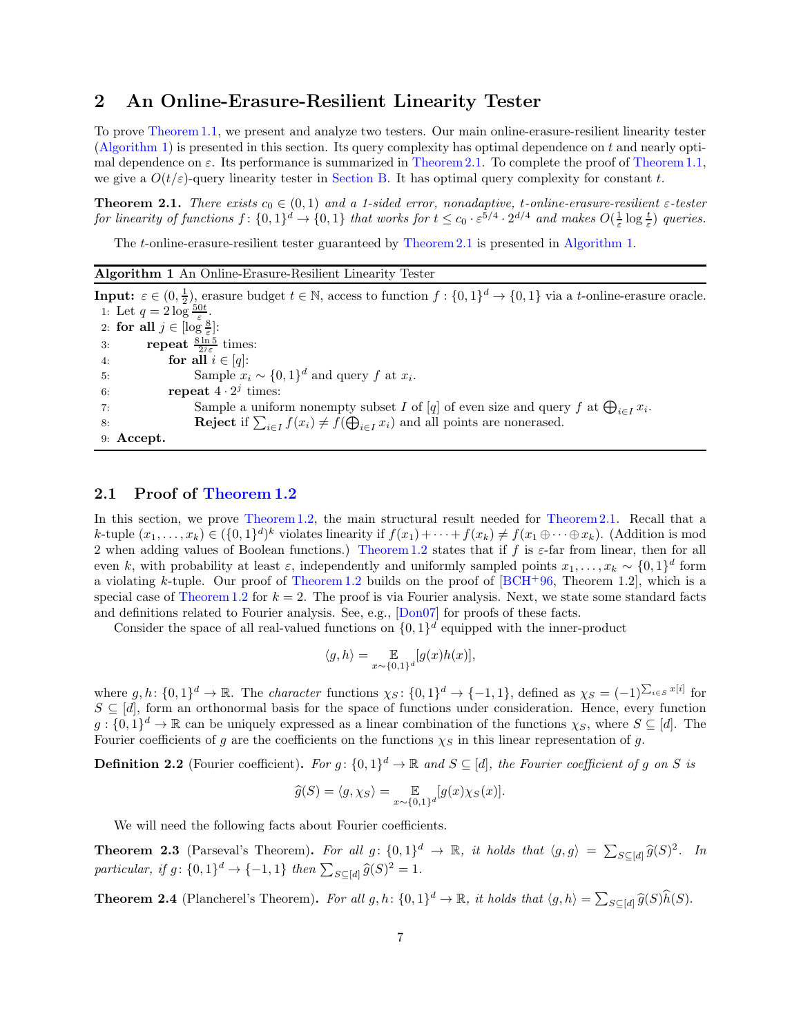### 2 An Online-Erasure-Resilient Linearity Tester

To prove [Theorem 1.1,](#page-3-2) we present and analyze two testers. Our main online-erasure-resilient linearity tester [\(Algorithm 1\)](#page-7-0) is presented in this section. Its query complexity has optimal dependence on t and nearly optimal dependence on  $\varepsilon$ . Its performance is summarized in [Theorem 2.1.](#page-7-1) To complete the proof of [Theorem 1.1,](#page-3-2) we give a  $O(t/\varepsilon)$ -query linearity tester in [Section B.](#page-28-0) It has optimal query complexity for constant t.

<span id="page-7-1"></span>**Theorem 2.1.** There exists  $c_0 \in (0,1)$  and a 1-sided error, nonadaptive, t-online-erasure-resilient  $\varepsilon$ -tester for linearity of functions  $f: \{0,1\}^d \to \{0,1\}$  that works for  $t \leq c_0 \cdot \varepsilon^{5/4} \cdot 2^{d/4}$  and makes  $O(\frac{1}{\varepsilon} \log \frac{t}{\varepsilon})$  queries.

<span id="page-7-0"></span>The t-online-erasure-resilient tester guaranteed by [Theorem 2.1](#page-7-1) is presented in [Algorithm 1.](#page-7-0)

| <b>Algorithm 1</b> An Online-Erasure-Resilient Linearity Tester |  |  |  |  |
|-----------------------------------------------------------------|--|--|--|--|
|-----------------------------------------------------------------|--|--|--|--|

**Input:**  $\varepsilon \in (0, \frac{1}{2})$ , erasure budget  $t \in \mathbb{N}$ , access to function  $f : \{0,1\}^d \to \{0,1\}$  via a t-online-erasure oracle. 1: Let  $q = 2 \log \frac{50t}{\varepsilon}$ . 2: for all  $j \in [\log \frac{8}{\varepsilon}]$ : 3: repeat  $\frac{8 \ln 5}{2^j \varepsilon}$  times: 4: for all  $i \in [q]$ :<br>5: Sample  $x_i$ 5: Sample  $x_i \sim \{0, 1\}^d$  and query f at  $x_i$ . 6: repeat  $4 \cdot 2^j$  times: 7: Sample a uniform nonempty subset I of [q] of even size and query f at  $\bigoplus_{i \in I} x_i$ . 8: **Reject** if  $\sum_{i \in I} f(x_i) \neq f(\bigoplus_{i \in I} x_i)$  and all points are nonerased. 9: Accept.

#### 2.1 Proof of [Theorem 1.2](#page-3-0)

In this section, we prove [Theorem 1.2,](#page-3-0) the main structural result needed for [Theorem 2.1.](#page-7-1) Recall that a k-tuple  $(x_1, \ldots, x_k) \in (\{0,1\}^d)^k$  violates linearity if  $f(x_1) + \cdots + f(x_k) \neq f(x_1 \oplus \cdots \oplus x_k)$ . (Addition is mod 2 when adding values of Boolean functions.) [Theorem 1.2](#page-3-0) states that if f is  $\varepsilon$ -far from linear, then for all even k, with probability at least  $\varepsilon$ , independently and uniformly sampled points  $x_1, \ldots, x_k \sim \{0, 1\}^d$  form a violating k-tuple. Our proof of [Theorem 1.2](#page-3-0) builds on the proof of  $[BCH<sup>+</sup>96$ , Theorem 1.2, which is a special case of [Theorem 1.2](#page-3-0) for  $k = 2$ . The proof is via Fourier analysis. Next, we state some standard facts and definitions related to Fourier analysis. See, e.g., [\[Don07\]](#page-23-15) for proofs of these facts.

Consider the space of all real-valued functions on  $\{0,1\}^d$  equipped with the inner-product

$$
\langle g, h \rangle = \mathop{\mathbb{E}}_{x \sim \{0,1\}^d} [g(x)h(x)],
$$

where  $g, h: \{0,1\}^d \to \mathbb{R}$ . The character functions  $\chi_S: \{0,1\}^d \to \{-1,1\}$ , defined as  $\chi_S = (-1)^{\sum_{i \in S} x[i]}$  for  $S \subseteq [d]$ , form an orthonormal basis for the space of functions under consideration. Hence, every function  $g: \{0,1\}^d \to \mathbb{R}$  can be uniquely expressed as a linear combination of the functions  $\chi_S$ , where  $S \subseteq [d]$ . The Fourier coefficients of g are the coefficients on the functions  $\chi_S$  in this linear representation of g.

**Definition 2.2** (Fourier coefficient). For  $g: \{0,1\}^d \to \mathbb{R}$  and  $S \subseteq [d]$ , the Fourier coefficient of g on S is

$$
\widehat{g}(S) = \langle g, \chi_S \rangle = \mathop{\mathbb{E}}_{x \sim \{0,1\}^d} [g(x) \chi_S(x)].
$$

We will need the following facts about Fourier coefficients.

<span id="page-7-3"></span>**Theorem 2.3** (Parseval's Theorem). For all  $g: \{0,1\}^d \to \mathbb{R}$ , it holds that  $\langle g, g \rangle = \sum_{S \subseteq [d]} \hat{g}(S)^2$ . In particular, if  $g: \{0,1\}^d \to \{-1,1\}$  then  $\sum_{S \subseteq [d]} \hat{g}(S)^2 = 1$ .

<span id="page-7-2"></span>**Theorem 2.4** (Plancherel's Theorem). For all  $g, h: \{0, 1\}^d \to \mathbb{R}$ , it holds that  $\langle g, h \rangle = \sum_{S \subseteq [d]} \hat{g}(S) \hat{h}(S)$ .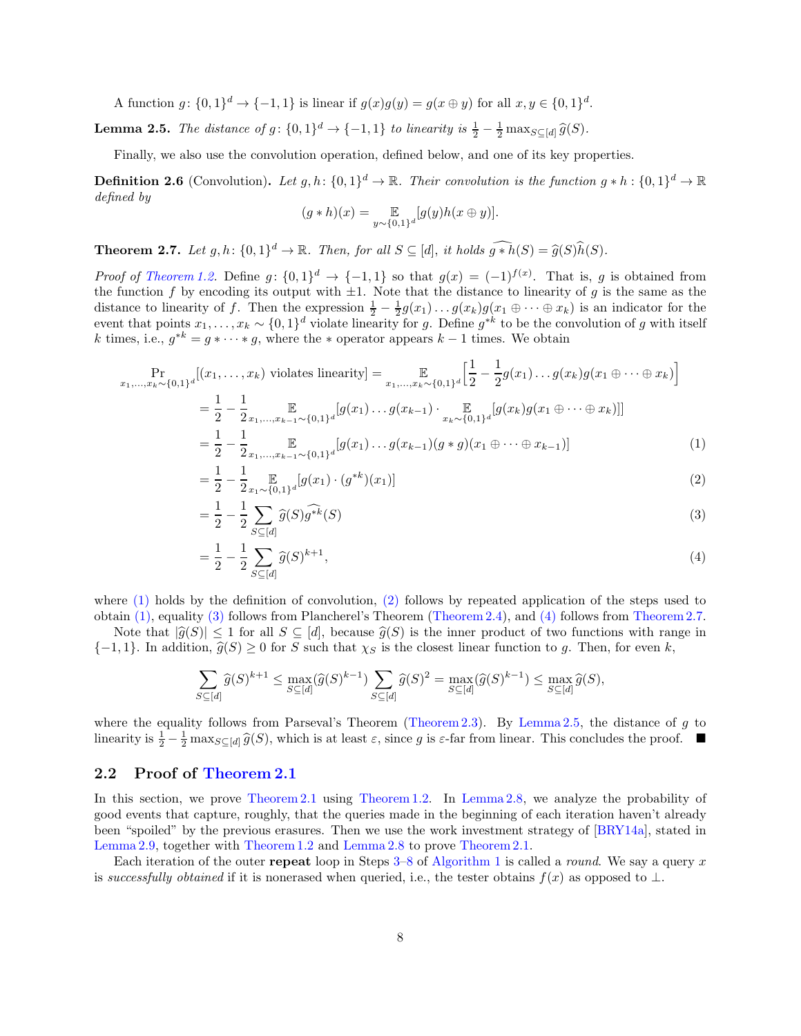A function  $g: \{0,1\}^d \to \{-1,1\}$  is linear if  $g(x)g(y) = g(x \oplus y)$  for all  $x, y \in \{0,1\}^d$ .

<span id="page-8-5"></span>**Lemma 2.5.** The distance of  $g: \{0,1\}^d \to \{-1,1\}$  to linearity is  $\frac{1}{2} - \frac{1}{2} \max_{S \subseteq [d]} \hat{g}(S)$ .

Finally, we also use the convolution operation, defined below, and one of its key properties.

**Definition 2.6** (Convolution). Let  $g, h: \{0, 1\}^d \to \mathbb{R}$ . Their convolution is the function  $g * h : \{0, 1\}^d \to \mathbb{R}$ defined by

<span id="page-8-1"></span><span id="page-8-0"></span>
$$
(g * h)(x) = \mathop{\mathbb{E}}_{y \sim \{0,1\}^d} [g(y)h(x \oplus y)].
$$

<span id="page-8-4"></span>**Theorem 2.7.** Let  $g, h: \{0, 1\}^d \to \mathbb{R}$ . Then, for all  $S \subseteq [d]$ , it holds  $\widehat{g * h}(S) = \widehat{g}(S)\widehat{h}(S)$ .

*Proof of [Theorem 1.2.](#page-3-0)* Define  $g: \{0,1\}^d \to \{-1,1\}$  so that  $g(x) = (-1)^{f(x)}$ . That is, g is obtained from the function f by encoding its output with  $\pm 1$ . Note that the distance to linearity of g is the same as the distance to linearity of f. Then the expression  $\frac{1}{2} - \frac{1}{2}g(x_1) \ldots g(x_k)g(x_1 \oplus \cdots \oplus x_k)$  is an indicator for the event that points  $x_1, \ldots, x_k \sim \{0,1\}^d$  violate linearity for g. Define  $g^{*k}$  to be the convolution of g with itself k times, i.e.,  $g^{*k} = g * \cdots * g$ , where the  $*$  operator appears  $k-1$  times. We obtain

$$
\Pr_{x_1,\ldots,x_k \sim \{0,1\}^d}[(x_1,\ldots,x_k) \text{ violates linearity}] = \mathbb{E}_{x_1,\ldots,x_k \sim \{0,1\}^d} \Big[\frac{1}{2} - \frac{1}{2}g(x_1)\ldots g(x_k)g(x_1 \oplus \cdots \oplus x_k)\Big]
$$
\n
$$
= \frac{1}{2} - \frac{1}{2}_{x_1,\ldots,x_{k-1} \sim \{0,1\}^d} [g(x_1)\ldots g(x_{k-1}) \cdot \mathbb{E}_{x_k \sim \{0,1\}^d} [g(x_k)g(x_1 \oplus \cdots \oplus x_k)]]
$$
\n
$$
= \frac{1}{2} - \frac{1}{2}_{x_1,\ldots,x_{k-1} \sim \{0,1\}^d} [g(x_1)\ldots g(x_{k-1})(g*g)(x_1 \oplus \cdots \oplus x_{k-1})] \tag{1}
$$

$$
= \frac{1}{2} - \frac{1}{2} \mathop{\mathbb{E}}_{x_1 \sim \{0,1\}^d} [g(x_1) \cdot (g^{*k})(x_1)] \tag{2}
$$

<span id="page-8-2"></span>
$$
=\frac{1}{2}-\frac{1}{2}\sum_{S\subseteq[d]}\widehat{g}(S)\widehat{g^{*k}}(S)
$$
\n(3)

<span id="page-8-3"></span>
$$
= \frac{1}{2} - \frac{1}{2} \sum_{S \subseteq [d]} \hat{g}(S)^{k+1},\tag{4}
$$

where  $(1)$  holds by the definition of convolution,  $(2)$  follows by repeated application of the steps used to obtain [\(1\),](#page-8-0) equality [\(3\)](#page-8-2) follows from Plancherel's Theorem [\(Theorem 2.4\)](#page-7-2), and [\(4\)](#page-8-3) follows from [Theorem 2.7.](#page-8-4)

Note that  $|\widehat{g}(S)| \leq 1$  for all  $S \subseteq [d]$ , because  $\widehat{g}(S)$  is the inner product of two functions with range in  ${-1, 1}$ . In addition,  $\hat{g}(S) \ge 0$  for S such that  $\chi_S$  is the closest linear function to g. Then, for even k,

$$
\sum_{S \subseteq [d]} \widehat{g}(S)^{k+1} \le \max_{S \subseteq [d]} (\widehat{g}(S)^{k-1}) \sum_{S \subseteq [d]} \widehat{g}(S)^2 = \max_{S \subseteq [d]} (\widehat{g}(S)^{k-1}) \le \max_{S \subseteq [d]} \widehat{g}(S),
$$

where the equality follows from Parseval's Theorem [\(Theorem 2.3\)](#page-7-3). By [Lemma 2.5,](#page-8-5) the distance of g to linearity is  $\frac{1}{2} - \frac{1}{2} \max_{S \subseteq [d]} \hat{g}(S)$ , which is at least  $\varepsilon$ , since g is  $\varepsilon$ -far from linear. This concludes the proof.

#### 2.2 Proof of [Theorem 2.1](#page-7-1)

In this section, we prove [Theorem 2.1](#page-7-1) using [Theorem 1.2.](#page-3-0) In [Lemma 2.8,](#page-9-0) we analyze the probability of good events that capture, roughly, that the queries made in the beginning of each iteration haven't already been "spoiled" by the previous erasures. Then we use the work investment strategy of [\[BRY14a\]](#page-22-10), stated in [Lemma 2.9,](#page-9-1) together with [Theorem 1.2](#page-3-0) and [Lemma 2.8](#page-9-0) to prove [Theorem 2.1.](#page-7-1)

Each iteration of the outer repeat loop in Steps  $3-8$  of [Algorithm 1](#page-7-0) is called a *round*. We say a query x is successfully obtained if it is nonerased when queried, i.e., the tester obtains  $f(x)$  as opposed to  $\perp$ .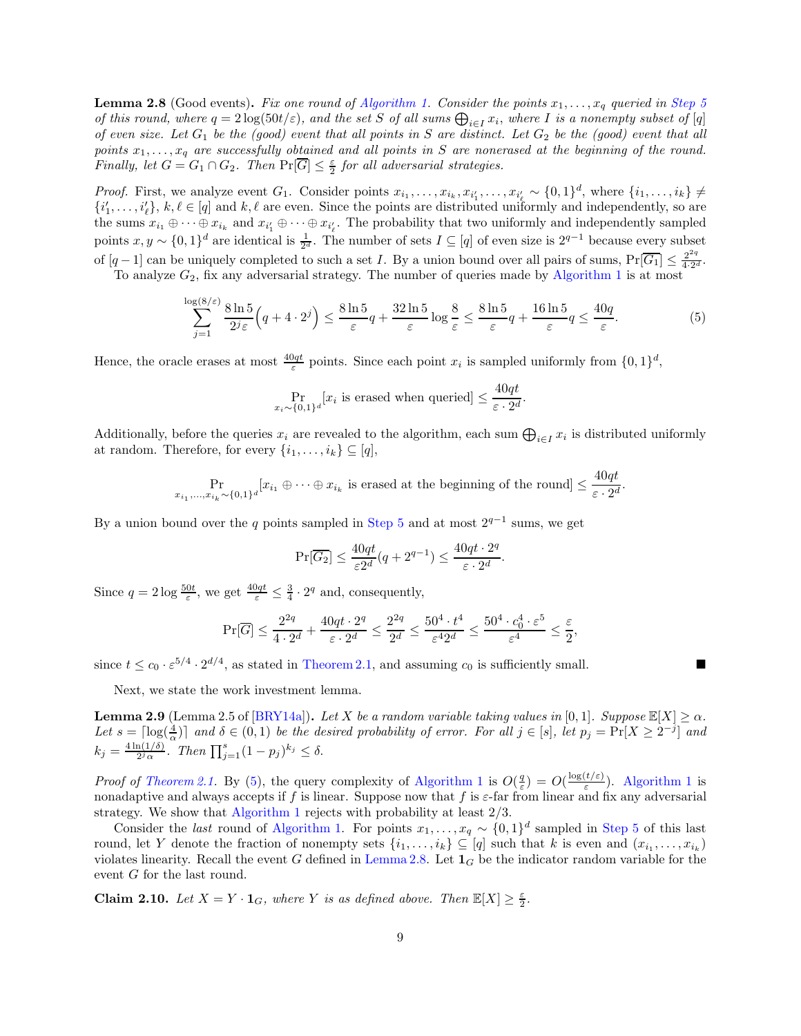<span id="page-9-0"></span>**Lemma 2.8** (Good events). Fix one round of [Algorithm 1.](#page-7-0) Consider the points  $x_1, \ldots, x_q$  queried in [Step 5](#page-7-0) of this round, where  $q = 2\log(50t/\epsilon)$ , and the set S of all sums  $\bigoplus_{i \in I} x_i$ , where I is a nonempty subset of [q] of even size. Let  $G_1$  be the (good) event that all points in S are distinct. Let  $G_2$  be the (good) event that all points  $x_1, \ldots, x_q$  are successfully obtained and all points in S are nonerased at the beginning of the round. Finally, let  $G = G_1 \cap G_2$ . Then  $Pr[\overline{G}] \leq \frac{\varepsilon}{2}$  for all adversarial strategies.

*Proof.* First, we analyze event  $G_1$ . Consider points  $x_{i_1}, \ldots, x_{i_k}, x_{i'_1}, \ldots, x_{i'_\ell} \sim \{0,1\}^d$ , where  $\{i_1, \ldots, i_k\} \neq$  $\{i'_1,\ldots,i'_\ell\}, k,\ell \in [q]$  and  $k,\ell$  are even. Since the points are distributed uniformly and independently, so are the sums  $x_{i_1} \oplus \cdots \oplus x_{i_k}$  and  $x_{i'_1} \oplus \cdots \oplus x_{i'_\ell}$ . The probability that two uniformly and independently sampled points  $x, y \sim \{0, 1\}^d$  are identical is  $\frac{1}{2^d}$ . The number of sets  $I \subseteq [q]$  of even size is  $2^{q-1}$  because every subset of  $[q-1]$  can be uniquely completed to such a set I. By a union bound over all pairs of sums,  $Pr[\overline{G_1}] \leq \frac{2^{2q}}{4 \cdot 2^q}$  $rac{2^{2a}}{4 \cdot 2^d}$ .

To analyze  $G_2$ , fix any adversarial strategy. The number of queries made by [Algorithm 1](#page-7-0) is at most

<span id="page-9-2"></span>
$$
\sum_{j=1}^{\log(8/\varepsilon)} \frac{8\ln 5}{2^j \varepsilon} \left( q + 4 \cdot 2^j \right) \le \frac{8\ln 5}{\varepsilon} q + \frac{32\ln 5}{\varepsilon} \log \frac{8}{\varepsilon} \le \frac{8\ln 5}{\varepsilon} q + \frac{16\ln 5}{\varepsilon} q \le \frac{40q}{\varepsilon}.\tag{5}
$$

.

Hence, the oracle erases at most  $\frac{40qt}{\varepsilon}$  points. Since each point  $x_i$  is sampled uniformly from  $\{0,1\}^d$ ,

$$
\Pr_{x_i \sim \{0,1\}^d} [x_i \text{ is erased when queried}] \le \frac{40qt}{\varepsilon \cdot 2^d}.
$$

Additionally, before the queries  $x_i$  are revealed to the algorithm, each sum  $\bigoplus_{i\in I} x_i$  is distributed uniformly at random. Therefore, for every  $\{i_1, \ldots, i_k\} \subseteq [q],$ 

$$
\Pr_{x_{i_1},\ldots,x_{i_k} \sim \{0,1\}^d} [x_{i_1} \oplus \cdots \oplus x_{i_k}] \text{ is erased at the beginning of the round}] \le \frac{40qt}{\varepsilon \cdot 2^d}
$$

By a union bound over the q points sampled in [Step 5](#page-7-0) and at most  $2^{q-1}$  sums, we get

$$
\Pr[\overline{G_2}] \le \frac{40qt}{\varepsilon 2^d} (q + 2^{q-1}) \le \frac{40qt \cdot 2^q}{\varepsilon \cdot 2^d}.
$$

Since  $q = 2 \log \frac{50t}{\varepsilon}$ , we get  $\frac{40qt}{\varepsilon} \leq \frac{3}{4} \cdot 2^q$  and, consequently,

$$
\Pr[\overline{G}] \le \frac{2^{2q}}{4 \cdot 2^d} + \frac{40qt \cdot 2^q}{\varepsilon \cdot 2^d} \le \frac{2^{2q}}{2^d} \le \frac{50^4 \cdot t^4}{\varepsilon^4 2^d} \le \frac{50^4 \cdot c_0^4 \cdot \varepsilon^5}{\varepsilon^4} \le \frac{\varepsilon}{2},
$$

since  $t \leq c_0 \cdot \varepsilon^{5/4} \cdot 2^{d/4}$ , as stated in [Theorem 2.1,](#page-7-1) and assuming  $c_0$  is sufficiently small.

Next, we state the work investment lemma.

<span id="page-9-1"></span>**Lemma 2.9** (Lemma 2.5 of [\[BRY14a\]](#page-22-10)). Let X be a random variable taking values in [0,1]. Suppose  $\mathbb{E}[X] \ge \alpha$ . Let  $s = \left[\log(\frac{4}{\alpha})\right]$  and  $\delta \in (0,1)$  be the desired probability of error. For all  $j \in [s]$ , let  $p_j = \Pr[X \ge 2^{-j}]$  and  $k_j = \frac{4 \ln(1/\delta)}{2^j \alpha}$  $\frac{\ln(1/\delta)}{2^j \alpha}$ . Then  $\prod_{j=1}^s (1-p_j)^{k_j} \leq \delta$ .

*Proof of [Theorem 2.1.](#page-7-1)* By [\(5\)](#page-9-2), the query complexity of [Algorithm 1](#page-7-0) is  $O(\frac{q}{\varepsilon}) = O(\frac{\log(t/\varepsilon)}{\varepsilon})$  $\frac{(\ell/\varepsilon)}{\varepsilon}$ ). [Algorithm 1](#page-7-0) is nonadaptive and always accepts if f is linear. Suppose now that f is  $\varepsilon$ -far from linear and fix any adversarial strategy. We show that [Algorithm 1](#page-7-0) rejects with probability at least 2/3.

Consider the *last* round of [Algorithm 1.](#page-7-0) For points  $x_1, \ldots, x_q \sim \{0,1\}^d$  sampled in [Step 5](#page-7-0) of this last round, let Y denote the fraction of nonempty sets  $\{i_1, \ldots, i_k\} \subseteq [q]$  such that k is even and  $(x_{i_1}, \ldots, x_{i_k})$ violates linearity. Recall the event G defined in [Lemma 2.8.](#page-9-0) Let  $1_G$  be the indicator random variable for the event G for the last round.

<span id="page-9-3"></span>**Claim 2.10.** Let  $X = Y \cdot \mathbf{1}_G$ , where Y is as defined above. Then  $\mathbb{E}[X] \geq \frac{\varepsilon}{2}$ .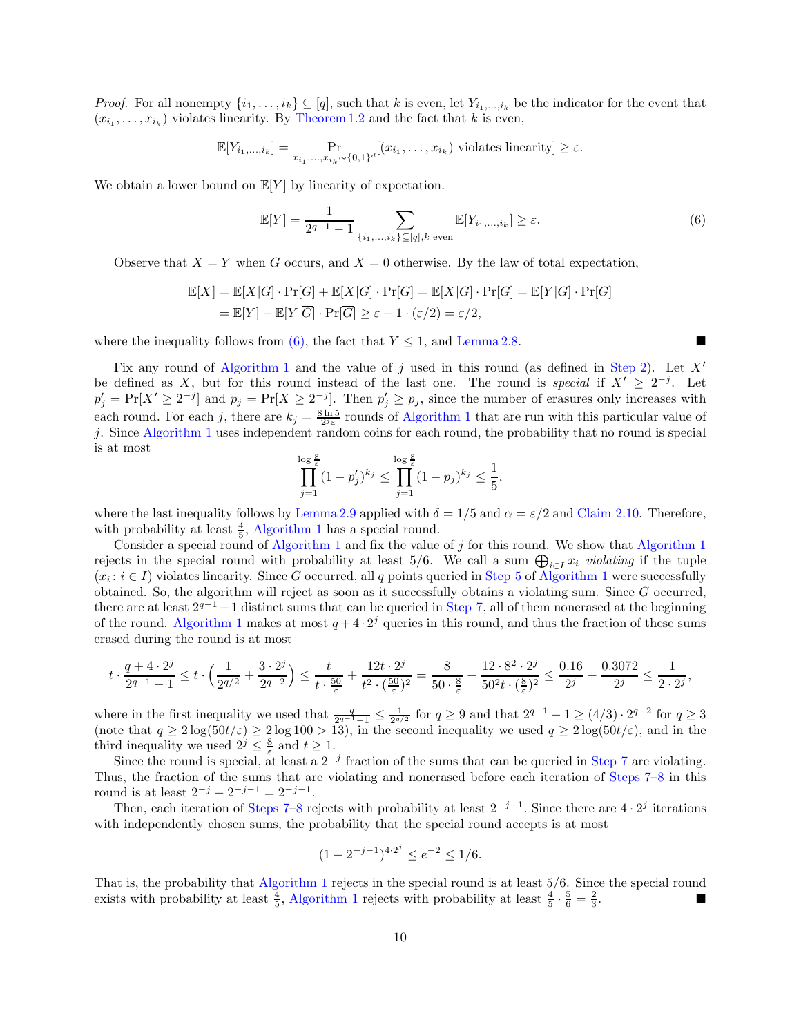*Proof.* For all nonempty  $\{i_1, \ldots, i_k\} \subseteq [q]$ , such that k is even, let  $Y_{i_1,\ldots,i_k}$  be the indicator for the event that  $(x_{i_1}, \ldots, x_{i_k})$  violates linearity. By [Theorem 1.2](#page-3-0) and the fact that k is even,

$$
\mathbb{E}[Y_{i_1,\ldots,i_k}] = \Pr_{x_{i_1},\ldots,x_{i_k} \sim \{0,1\}^d} [(x_{i_1},\ldots,x_{i_k}) \text{ violates linearity}] \ge \varepsilon.
$$

We obtain a lower bound on  $\mathbb{E}[Y]$  by linearity of expectation.

<span id="page-10-0"></span>
$$
\mathbb{E}[Y] = \frac{1}{2^{q-1} - 1} \sum_{\{i_1, \dots, i_k\} \subseteq [q], k \text{ even}} \mathbb{E}[Y_{i_1, \dots, i_k}] \ge \varepsilon. \tag{6}
$$

Observe that  $X = Y$  when G occurs, and  $X = 0$  otherwise. By the law of total expectation,

$$
\mathbb{E}[X] = \mathbb{E}[X|G] \cdot \Pr[G] + \mathbb{E}[X|\overline{G}] \cdot \Pr[\overline{G}] = \mathbb{E}[X|G] \cdot \Pr[G] = \mathbb{E}[Y|G] \cdot \Pr[G]
$$

$$
= \mathbb{E}[Y] - \mathbb{E}[Y|\overline{G}] \cdot \Pr[\overline{G}] \ge \varepsilon - 1 \cdot (\varepsilon/2) = \varepsilon/2,
$$

where the inequality follows from [\(6\),](#page-10-0) the fact that  $Y \leq 1$ , and [Lemma 2.8.](#page-9-0)

Fix any round of [Algorithm 1](#page-7-0) and the value of j used in this round (as defined in [Step 2\)](#page-7-0). Let  $X'$ be defined as X, but for this round instead of the last one. The round is *special* if  $X' \geq 2^{-j}$ . Let  $p'_j = \Pr[X' \ge 2^{-j}]$  and  $p_j = \Pr[X \ge 2^{-j}]$ . Then  $p'_j \ge p_j$ , since the number of erasures only increases with each round. For each j, there are  $k_j = \frac{8 \ln 5}{2^j \varepsilon}$  rounds of [Algorithm 1](#page-7-0) that are run with this particular value of j. Since [Algorithm 1](#page-7-0) uses independent random coins for each round, the probability that no round is special is at most  $1<sub>c</sub>$ 

$$
\prod_{j=1}^{\log \frac{8}{\varepsilon}} (1-p'_j)^{k_j} \le \prod_{j=1}^{\log \frac{8}{\varepsilon}} (1-p_j)^{k_j} \le \frac{1}{5},
$$

where the last inequality follows by [Lemma 2.9](#page-9-1) applied with  $\delta = 1/5$  and  $\alpha = \varepsilon/2$  and [Claim 2.10.](#page-9-3) Therefore, with probability at least  $\frac{4}{5}$ , [Algorithm 1](#page-7-0) has a special round.

Consider a special round of [Algorithm 1](#page-7-0) and fix the value of  $j$  for this round. We show that Algorithm 1 rejects in the special round with probability at least 5/6. We call a sum  $\bigoplus_{i\in I} x_i$  violating if the tuple  $(x_i : i \in I)$  violates linearity. Since G occurred, all q points queried in [Step 5](#page-7-0) of [Algorithm 1](#page-7-0) were successfully obtained. So, the algorithm will reject as soon as it successfully obtains a violating sum. Since G occurred, there are at least  $2^{q-1}-1$  distinct sums that can be queried in [Step 7,](#page-7-0) all of them nonerased at the beginning of the round. [Algorithm 1](#page-7-0) makes at most  $q + 4 \cdot 2^j$  queries in this round, and thus the fraction of these sums erased during the round is at most

$$
t\cdot \frac{q+4\cdot 2^j}{2^{q-1}-1}\le t\cdot \Big(\frac{1}{2^{q/2}}+\frac{3\cdot 2^j}{2^{q-2}}\Big)\le \frac{t}{t\cdot \frac{50}{\varepsilon}}+\frac{12t\cdot 2^j}{t^2\cdot (\frac{50}{\varepsilon})^2}=\frac{8}{50\cdot \frac{8}{\varepsilon}}+\frac{12\cdot 8^2\cdot 2^j}{50^2 t\cdot (\frac{8}{\varepsilon})^2}\le \frac{0.16}{2^j}+\frac{0.3072}{2^j}\le \frac{1}{2\cdot 2^j},
$$

where in the first inequality we used that  $\frac{q}{2q-1} \leq \frac{1}{2q/2}$  for  $q \geq 9$  and that  $2^{q-1}-1 \geq (4/3) \cdot 2^{q-2}$  for  $q \geq 3$ (note that  $q \ge 2 \log(50t/\varepsilon) \ge 2 \log 100 > 13$ ), in the second inequality we used  $q \ge 2 \log(50t/\varepsilon)$ , and in the third inequality we used  $2^j \leq \frac{8}{\varepsilon}$  and  $t \geq 1$ .

Since the round is special, at least a  $2^{-j}$  fraction of the sums that can be queried in [Step 7](#page-7-0) are violating. Thus, the fraction of the sums that are violating and nonerased before each iteration of [Steps 7–8](#page-7-0) in this round is at least  $2^{-j} - 2^{-j-1} = 2^{-j-1}$ .

Then, each iteration of [Steps 7–8](#page-7-0) rejects with probability at least  $2^{-j-1}$ . Since there are  $4 \cdot 2^j$  iterations with independently chosen sums, the probability that the special round accepts is at most

$$
(1 - 2^{-j-1})^{4 \cdot 2^j} \le e^{-2} \le 1/6.
$$

That is, the probability that [Algorithm 1](#page-7-0) rejects in the special round is at least 5/6. Since the special round exists with probability at least  $\frac{4}{5}$ , [Algorithm 1](#page-7-0) rejects with probability at least  $\frac{4}{5} \cdot \frac{5}{6} = \frac{2}{3}$ .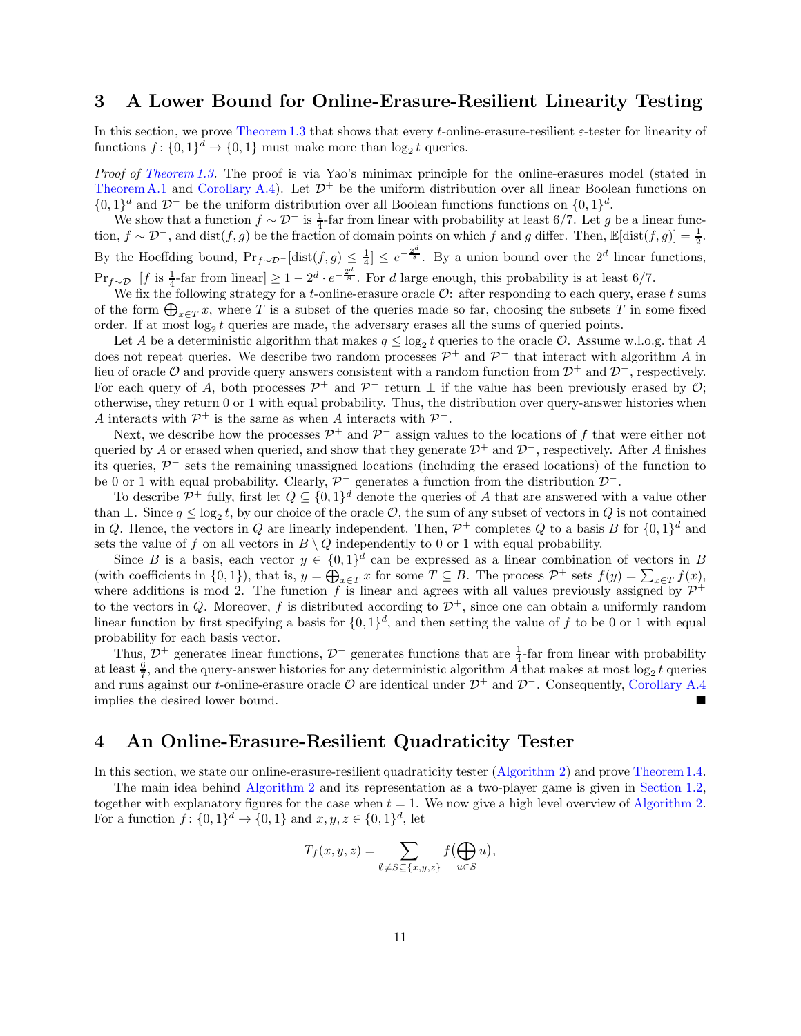### 3 A Lower Bound for Online-Erasure-Resilient Linearity Testing

In this section, we prove [Theorem 1.3](#page-3-1) that shows that every t-online-erasure-resilient  $\varepsilon$ -tester for linearity of functions  $f: \{0,1\}^d \to \{0,1\}$  must make more than  $\log_2 t$  queries.

Proof of [Theorem 1.3.](#page-3-1) The proof is via Yao's minimax principle for the online-erasures model (stated in [Theorem A.1](#page-26-1) and [Corollary A.4\)](#page-27-0). Let  $\mathcal{D}^+$  be the uniform distribution over all linear Boolean functions on  $\{0,1\}^d$  and  $\mathcal{D}^-$  be the uniform distribution over all Boolean functions functions on  $\{0,1\}^d$ .

We show that a function  $f \sim \mathcal{D}^-$  is  $\frac{1}{4}$ -far from linear with probability at least 6/7. Let g be a linear function,  $f \sim \mathcal{D}^-$ , and  $dist(f, g)$  be the fraction of domain points on which f and g differ. Then,  $\mathbb{E}[\text{dist}(f, g)] = \frac{1}{2}$ . By the Hoeffding bound,  $Pr_{f \sim \mathcal{D}^-}[\text{dist}(f,g) \leq \frac{1}{4}] \leq e^{-\frac{2^d}{8}}$ . By a union bound over the 2<sup>d</sup> linear functions,  $\Pr_{f \sim \mathcal{D}^-}[f]$  is  $\frac{1}{4}$ -far from linear]  $\geq 1 - 2^d \cdot e^{-\frac{2^d}{8}}$ . For d large enough, this probability is at least 6/7.

We fix the following strategy for a t-online-erasure oracle  $\mathcal{O}$ : after responding to each query, erase t sums of the form  $\bigoplus_{x\in T} x$ , where T is a subset of the queries made so far, choosing the subsets T in some fixed order. If at most  $log_2 t$  queries are made, the adversary erases all the sums of queried points.

Let A be a deterministic algorithm that makes  $q \leq \log_2 t$  queries to the oracle  $\mathcal{O}$ . Assume w.l.o.g. that A does not repeat queries. We describe two random processes  $\mathcal{P}^+$  and  $\mathcal{P}^-$  that interact with algorithm A in lieu of oracle  $\mathcal O$  and provide query answers consistent with a random function from  $\mathcal D^+$  and  $\mathcal D^-$ , respectively. For each query of A, both processes  $\mathcal{P}^+$  and  $\mathcal{P}^-$  return  $\perp$  if the value has been previously erased by  $\mathcal{O}$ ; otherwise, they return 0 or 1 with equal probability. Thus, the distribution over query-answer histories when A interacts with  $\mathcal{P}^+$  is the same as when A interacts with  $\mathcal{P}^-$ .

Next, we describe how the processes  $\mathcal{P}^+$  and  $\mathcal{P}^-$  assign values to the locations of f that were either not queried by A or erased when queried, and show that they generate  $\mathcal{D}^+$  and  $\mathcal{D}^-$ , respectively. After A finishes its queries,  $\mathcal{P}^-$  sets the remaining unassigned locations (including the erased locations) of the function to be 0 or 1 with equal probability. Clearly,  $\mathcal{P}^-$  generates a function from the distribution  $\mathcal{D}^-$ .

To describe  $\mathcal{P}^+$  fully, first let  $Q \subseteq \{0,1\}^d$  denote the queries of A that are answered with a value other than  $\perp$ . Since  $q \leq \log_2 t$ , by our choice of the oracle  $\mathcal{O}$ , the sum of any subset of vectors in  $Q$  is not contained in Q. Hence, the vectors in Q are linearly independent. Then,  $\mathcal{P}^+$  completes Q to a basis B for  $\{0,1\}^d$  and sets the value of f on all vectors in  $B \setminus Q$  independently to 0 or 1 with equal probability.

Since B is a basis, each vector  $y \in \{0,1\}^d$  can be expressed as a linear combination of vectors in B (with coefficients in  $\{0,1\}$ ), that is,  $y = \bigoplus_{x \in T} x$  for some  $T \subseteq B$ . The process  $\mathcal{P}^+$  sets  $f(y) = \sum_{x \in T} f(x)$ , where additions is mod 2. The function f is linear and agrees with all values previously assigned by  $\mathcal{P}^+$ to the vectors in Q. Moreover, f is distributed according to  $\mathcal{D}^+$ , since one can obtain a uniformly random linear function by first specifying a basis for  $\{0,1\}^d$ , and then setting the value of f to be 0 or 1 with equal probability for each basis vector.

Thus,  $\mathcal{D}^+$  generates linear functions,  $\mathcal{D}^-$  generates functions that are  $\frac{1}{4}$ -far from linear with probability at least  $\frac{6}{7}$ , and the query-answer histories for any deterministic algorithm A that makes at most  $\log_2 t$  queries and runs against our t-online-erasure oracle  $\mathcal O$  are identical under  $\mathcal D^+$  and  $\mathcal D^-$ . Consequently, [Corollary A.4](#page-27-0) implies the desired lower bound.

### 4 An Online-Erasure-Resilient Quadraticity Tester

In this section, we state our online-erasure-resilient quadraticity tester [\(Algorithm 2\)](#page-12-0) and prove [Theorem 1.4.](#page-4-1)

The main idea behind [Algorithm 2](#page-12-0) and its representation as a two-player game is given in [Section 1.2,](#page-5-0) together with explanatory figures for the case when  $t = 1$ . We now give a high level overview of [Algorithm 2.](#page-12-0) For a function  $f: \{0,1\}^d \to \{0,1\}$  and  $x, y, z \in \{0,1\}^d$ , let

$$
T_f(x,y,z) = \sum_{\emptyset \neq S \subseteq \{x,y,z\}} f(\bigoplus_{u \in S} u),
$$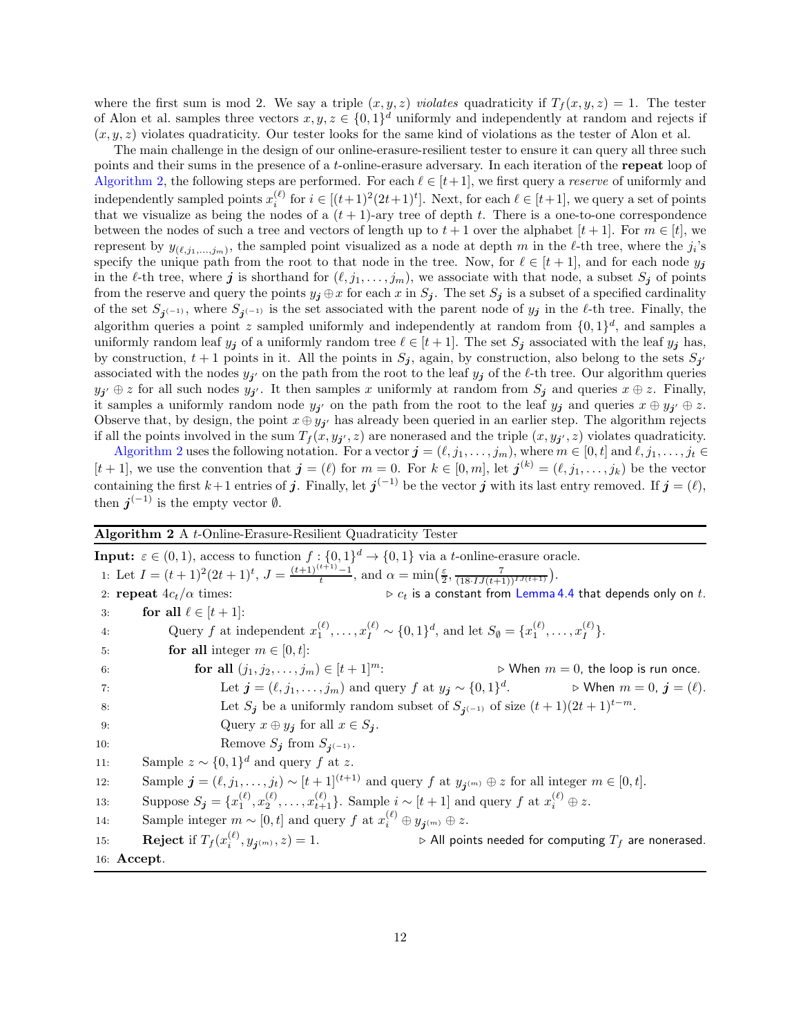where the first sum is mod 2. We say a triple  $(x, y, z)$  violates quadraticity if  $T_f(x, y, z) = 1$ . The tester of Alon et al. samples three vectors  $x, y, z \in \{0, 1\}^d$  uniformly and independently at random and rejects if  $(x, y, z)$  violates quadraticity. Our tester looks for the same kind of violations as the tester of Alon et al.

The main challenge in the design of our online-erasure-resilient tester to ensure it can query all three such points and their sums in the presence of a t-online-erasure adversary. In each iteration of the repeat loop of [Algorithm 2,](#page-12-0) the following steps are performed. For each  $\ell \in [t+1]$ , we first query a *reserve* of uniformly and independently sampled points  $x_i^{(\ell)}$  for  $i \in [(t+1)^2(2t+1)^t]$ . Next, for each  $\ell \in [t+1]$ , we query a set of points that we visualize as being the nodes of a  $(t + 1)$ -ary tree of depth t. There is a one-to-one correspondence between the nodes of such a tree and vectors of length up to  $t + 1$  over the alphabet  $[t + 1]$ . For  $m \in [t]$ , we represent by  $y_{(\ell,j_1,...,j_m)}$ , the sampled point visualized as a node at depth m in the  $\ell$ -th tree, where the  $j_i$ 's specify the unique path from the root to that node in the tree. Now, for  $\ell \in [t+1]$ , and for each node  $y_j$ in the  $\ell$ -th tree, where j is shorthand for  $(\ell, j_1, \ldots, j_m)$ , we associate with that node, a subset  $S_j$  of points from the reserve and query the points  $y_j \oplus x$  for each x in  $S_j$ . The set  $S_j$  is a subset of a specified cardinality of the set  $S_{j^{(-1)}}$ , where  $S_{j^{(-1)}}$  is the set associated with the parent node of  $y_j$  in the  $\ell$ -th tree. Finally, the algorithm queries a point z sampled uniformly and independently at random from  $\{0,1\}^d$ , and samples a uniformly random leaf  $y_j$  of a uniformly random tree  $\ell \in [t+1]$ . The set  $S_j$  associated with the leaf  $y_j$  has, by construction,  $t + 1$  points in it. All the points in  $S_j$ , again, by construction, also belong to the sets  $S_{j'}$ associated with the nodes  $y_{j'}$  on the path from the root to the leaf  $y_j$  of the  $\ell$ -th tree. Our algorithm queries  $y_{j'} \oplus z$  for all such nodes  $y_{j'}$ . It then samples x uniformly at random from  $S_j$  and queries  $x \oplus z$ . Finally, it samples a uniformly random node  $y_{j'}$  on the path from the root to the leaf  $y_j$  and queries  $x \oplus y_{j'} \oplus z$ . Observe that, by design, the point  $x \oplus y_j$  has already been queried in an earlier step. The algorithm rejects if all the points involved in the sum  $T_f(x, y_{j'}, z)$  are nonerased and the triple  $(x, y_{j'}, z)$  violates quadraticity.

[Algorithm 2](#page-12-0) uses the following notation. For a vector  $\mathbf{j} = (\ell, j_1, \ldots, j_m)$ , where  $m \in [0, t]$  and  $\ell, j_1, \ldots, j_t \in$  $[t+1]$ , we use the convention that  $\mathbf{j} = (\ell)$  for  $m = 0$ . For  $k \in [0, m]$ , let  $\mathbf{j}^{(k)} = (\ell, j_1, \ldots, j_k)$  be the vector containing the first  $k+1$  entries of j. Finally, let  $j^{(-1)}$  be the vector j with its last entry removed. If  $j = (\ell)$ , then  $j$  $\cdot$ (−1)  $\cdot$ <sub>α+</sub> $\cdot$ 

<span id="page-12-0"></span>

|               | then $j^{\prime}$ is the empty vector $\psi$ .                                                                                                               |                                                                                                                                                   |  |
|---------------|--------------------------------------------------------------------------------------------------------------------------------------------------------------|---------------------------------------------------------------------------------------------------------------------------------------------------|--|
|               | Algorithm 2 A t-Online-Erasure-Resilient Quadraticity Tester                                                                                                 |                                                                                                                                                   |  |
|               | <b>Input:</b> $\varepsilon \in (0,1)$ , access to function $f: \{0,1\}^d \to \{0,1\}$ via a <i>t</i> -online-erasure oracle.                                 |                                                                                                                                                   |  |
|               | 1: Let $I = (t+1)^2(2t+1)^t$ , $J = \frac{(t+1)^{(t+1)}-1}{t}$ , and $\alpha = \min(\frac{\varepsilon}{2}, \frac{7}{(18 \cdot I \cdot J(t+1))^{1J(t+1)}})$ . |                                                                                                                                                   |  |
|               | 2: repeat $4c_t/\alpha$ times:                                                                                                                               | $\triangleright$ $c_t$ is a constant from Lemma 4.4 that depends only on t.                                                                       |  |
| 3:            | for all $\ell \in [t+1]$ :                                                                                                                                   |                                                                                                                                                   |  |
| 4:            |                                                                                                                                                              | Query f at independent $x_1^{(\ell)}, \ldots, x_I^{(\ell)} \sim \{0,1\}^d$ , and let $S_{\emptyset} = \{x_1^{(\ell)}, \ldots, x_I^{(\ell)}\}$ .   |  |
| 5:            | for all integer $m \in [0, t]$ :                                                                                                                             |                                                                                                                                                   |  |
| 6:            | for all $(j_1, j_2, \ldots, j_m) \in [t+1]^m$ :                                                                                                              | $\triangleright$ When $m = 0$ , the loop is run once.                                                                                             |  |
| 7:            |                                                                                                                                                              | Let $\mathbf{j} = (\ell, j_1, \ldots, j_m)$ and query $f$ at $y_j \sim \{0, 1\}^d$ . $\triangleright$ When $m = 0$ , $\mathbf{j} = (\ell)$ .      |  |
| 8:            |                                                                                                                                                              | Let $S_j$ be a uniformly random subset of $S_{j^{(-1)}}$ of size $(t+1)(2t+1)^{t-m}$ .                                                            |  |
| 9:            | Query $x \oplus y_j$ for all $x \in S_j$ .                                                                                                                   |                                                                                                                                                   |  |
| 10:           | Remove $S_j$ from $S_{j(-1)}$ .                                                                                                                              |                                                                                                                                                   |  |
| 11:           | Sample $z \sim \{0,1\}^d$ and query f at z.                                                                                                                  |                                                                                                                                                   |  |
| 12:           |                                                                                                                                                              | Sample $\mathbf{j} = (\ell, j_1, \ldots, j_t) \sim [t+1]^{(t+1)}$ and query f at $y_{\mathbf{j}^{(m)}} \oplus z$ for all integer $m \in [0, t]$ . |  |
| 13.           | Suppose $S_j = \{x_1^{(\ell)}, x_2^{(\ell)}, \dots, x_{t+1}^{(\ell)}\}$ . Sample $i \sim [t+1]$ and query f at $x_i^{(\ell)} \oplus z$ .                     |                                                                                                                                                   |  |
| 14:           | Sample integer $m \sim [0, t]$ and query f at $x_i^{(\ell)} \oplus y_{i^{(m)}} \oplus z$ .                                                                   |                                                                                                                                                   |  |
| 15:           | <b>Reject</b> if $T_f(x_i^{(\ell)}, y_{i^{(m)}}, z) = 1$ .                                                                                                   | $\triangleright$ All points needed for computing $T_f$ are nonerased.                                                                             |  |
| $16:$ Accept. |                                                                                                                                                              |                                                                                                                                                   |  |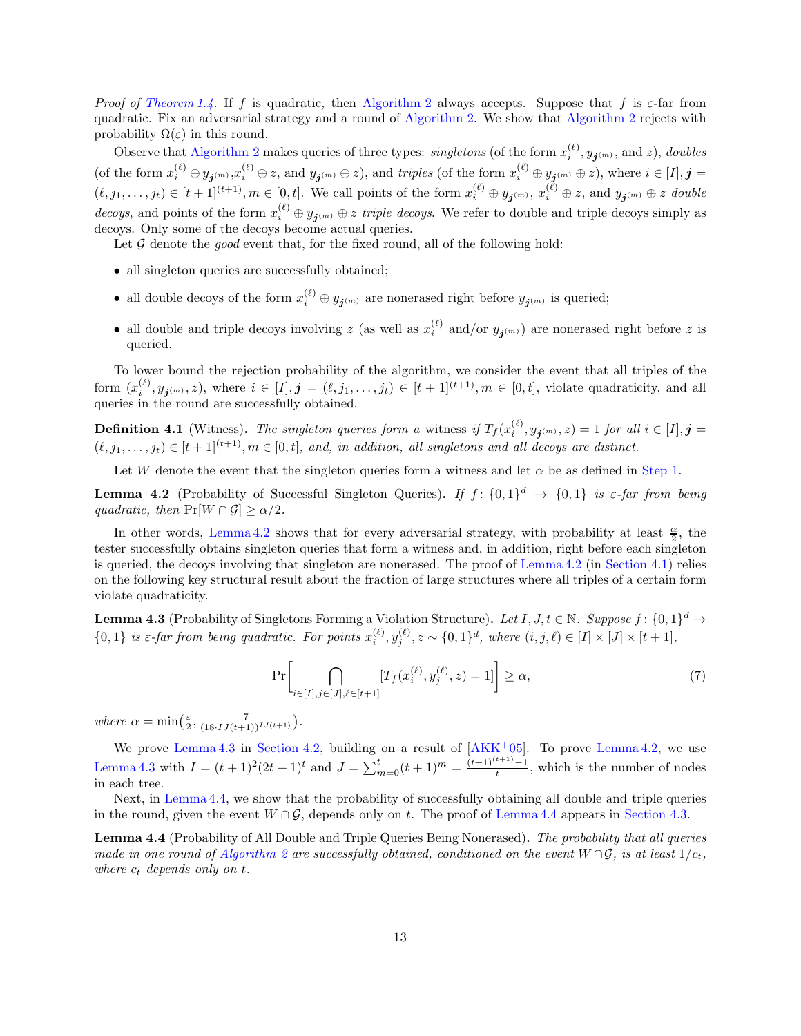*Proof of [Theorem 1.4.](#page-4-1)* If f is quadratic, then [Algorithm 2](#page-12-0) always accepts. Suppose that f is  $\varepsilon$ -far from quadratic. Fix an adversarial strategy and a round of [Algorithm 2.](#page-12-0) We show that [Algorithm 2](#page-12-0) rejects with probability  $\Omega(\varepsilon)$  in this round.

Observe that [Algorithm 2](#page-12-0) makes queries of three types: singletons (of the form  $x_i^{(\ell)}, y_{j^{(m)}}$ , and z), doubles (of the form  $x_i^{(\ell)} \oplus y_{j^{(m)}}$ ,  $x_i^{(\ell)} \oplus z$ , and  $y_{j^{(m)}} \oplus z$ ), and triples (of the form  $x_i^{(\ell)} \oplus y_{j^{(m)}} \oplus z$ ), where  $i \in [I], j =$  $(\ell, j_1, \ldots, j_t) \in [t+1]^{(t+1)}, m \in [0, t].$  We call points of the form  $x_i^{(\ell)} \oplus y_{j^{(m)}}, x_i^{(\ell)} \oplus z$ , and  $y_{j^{(m)}} \oplus z$  double decoys, and points of the form  $x_i^{(\ell)} \oplus y_{j^{(m)}} \oplus z$  triple decoys. We refer to double and triple decoys simply as decoys. Only some of the decoys become actual queries.

Let  $G$  denote the *good* event that, for the fixed round, all of the following hold:

- all singleton queries are successfully obtained;
- all double decoys of the form  $x_i^{(\ell)} \oplus y_{j^{(m)}}$  are nonerased right before  $y_{j^{(m)}}$  is queried;
- all double and triple decoys involving z (as well as  $x_i^{(\ell)}$  and/or  $y_{j^{(m)}}$ ) are nonerased right before z is queried.

To lower bound the rejection probability of the algorithm, we consider the event that all triples of the form  $(x_i^{(\ell)}, y_{j^{(m)}}, z)$ , where  $i \in [I], j = (\ell, j_1, \ldots, j_t) \in [t+1]^{(t+1)}$ ,  $m \in [0, t]$ , violate quadraticity, and all queries in the round are successfully obtained.

**Definition 4.1** (Witness). The singleton queries form a witness if  $T_f(x_i^{(\ell)})$  $i^{(e)}, y_{j^{(m)}}, z) = 1$  for all  $i \in [I], j =$  $(\ell, j_1, \ldots, j_t) \in [t+1]^{(t+1)}, m \in [0, t],$  and, in addition, all singletons and all decoys are distinct.

Let W denote the event that the singleton queries form a witness and let  $\alpha$  be as defined in [Step 1.](#page-12-0)

<span id="page-13-2"></span>**Lemma 4.2** (Probability of Successful Singleton Queries). If  $f: \{0,1\}^d \to \{0,1\}$  is  $\varepsilon$ -far from being quadratic, then  $Pr[W \cap \mathcal{G}] \ge \alpha/2$ .

In other words, [Lemma 4.2](#page-13-2) shows that for every adversarial strategy, with probability at least  $\frac{\alpha}{2}$ , the tester successfully obtains singleton queries that form a witness and, in addition, right before each singleton is queried, the decoys involving that singleton are nonerased. The proof of [Lemma 4.2](#page-13-2) (in [Section 4.1\)](#page-14-0) relies on the following key structural result about the fraction of large structures where all triples of a certain form violate quadraticity.

<span id="page-13-1"></span>**Lemma 4.3** (Probability of Singletons Forming a Violation Structure). Let I,  $J, t \in \mathbb{N}$ . Suppose  $f: \{0,1\}^d \to$  $\{0,1\}$  is  $\varepsilon$ -far from being quadratic. For points  $x_i^{(\ell)}, y_j^{(\ell)}, z \sim \{0,1\}^d$ , where  $(i, j, \ell) \in [I] \times [J] \times [t+1]$ ,

<span id="page-13-3"></span>
$$
\Pr\biggl[\bigcap_{i\in [I],j\in [J],\ell\in [t+1]} [T_f(x_i^{(\ell)}, y_j^{(\ell)}, z) = 1]\biggr] \ge \alpha,\tag{7}
$$

where  $\alpha = \min\left(\frac{\varepsilon}{2}, \frac{7}{(18 \cdot I J(t+1))^{I J(t+1)}}\right)$ .

We prove [Lemma 4.3](#page-13-1) in [Section 4.2,](#page-15-0) building on a result of  $[AKK^+05]$ . To prove [Lemma 4.2,](#page-13-2) we use [Lemma 4.3](#page-13-1) with  $I = (t+1)^2(2t+1)^t$  and  $J = \sum_{m=0}^t (t+1)^m = \frac{(t+1)^{(t+1)}-1}{t}$ , which is the number of nodes in each tree.

Next, in [Lemma 4.4,](#page-13-0) we show that the probability of successfully obtaining all double and triple queries in the round, given the event  $W \cap G$ , depends only on t. The proof of [Lemma 4.4](#page-13-0) appears in [Section 4.3.](#page-17-0)

<span id="page-13-0"></span>Lemma 4.4 (Probability of All Double and Triple Queries Being Nonerased). The probability that all queries made in one round of [Algorithm 2](#page-12-0) are successfully obtained, conditioned on the event  $W \cap G$ , is at least  $1/c_t$ , where  $c_t$  depends only on  $t$ .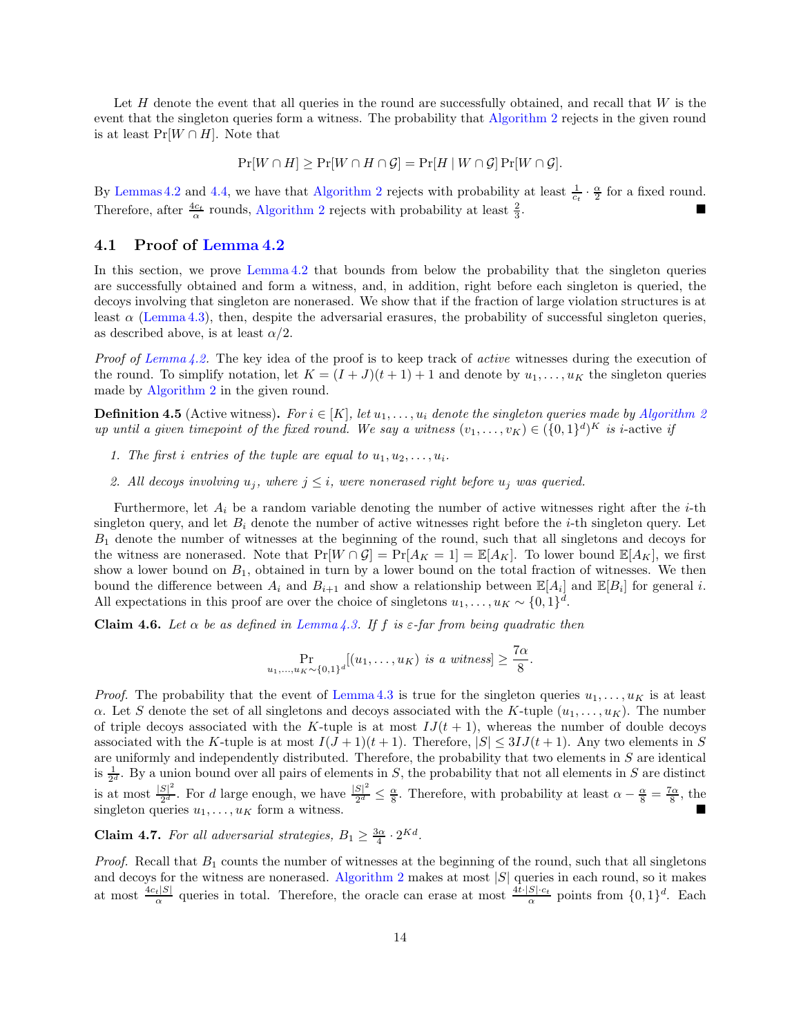Let  $H$  denote the event that all queries in the round are successfully obtained, and recall that  $W$  is the event that the singleton queries form a witness. The probability that [Algorithm 2](#page-12-0) rejects in the given round is at least  $Pr[W \cap H]$ . Note that

$$
\Pr[W \cap H] \ge \Pr[W \cap H \cap G] = \Pr[H \mid W \cap G] \Pr[W \cap G].
$$

By [Lemmas 4.2](#page-13-2) and [4.4,](#page-13-0) we have that [Algorithm 2](#page-12-0) rejects with probability at least  $\frac{1}{c_t} \cdot \frac{\alpha}{2}$  for a fixed round. Therefore, after  $\frac{4c_t}{\alpha}$  rounds, [Algorithm 2](#page-12-0) rejects with probability at least  $\frac{2}{3}$ .

#### <span id="page-14-0"></span>4.1 Proof of [Lemma 4.2](#page-13-2)

In this section, we prove [Lemma 4.2](#page-13-2) that bounds from below the probability that the singleton queries are successfully obtained and form a witness, and, in addition, right before each singleton is queried, the decoys involving that singleton are nonerased. We show that if the fraction of large violation structures is at least  $\alpha$  [\(Lemma 4.3\)](#page-13-1), then, despite the adversarial erasures, the probability of successful singleton queries, as described above, is at least  $\alpha/2$ .

Proof of [Lemma 4.2.](#page-13-2) The key idea of the proof is to keep track of active witnesses during the execution of the round. To simplify notation, let  $K = (I + J)(t + 1) + 1$  and denote by  $u_1, \ldots, u_K$  the singleton queries made by [Algorithm 2](#page-12-0) in the given round.

**Definition 4.5** (Active witness). For  $i \in [K]$ , let  $u_1, \ldots, u_i$  denote the singleton queries made by [Algorithm 2](#page-12-0) up until a given timepoint of the fixed round. We say a witness  $(v_1, \ldots, v_K) \in (\{0,1\}^d)^K$  is *i*-active if

- 1. The first i entries of the tuple are equal to  $u_1, u_2, \ldots, u_i$ .
- 2. All decoys involving  $u_j$ , where  $j \leq i$ , were nonerased right before  $u_j$  was queried.

Furthermore, let  $A_i$  be a random variable denoting the number of active witnesses right after the *i*-th singleton query, and let  $B_i$  denote the number of active witnesses right before the *i*-th singleton query. Let  $B_1$  denote the number of witnesses at the beginning of the round, such that all singletons and decoys for the witness are nonerased. Note that  $Pr[W \cap \mathcal{G}] = Pr[A_K = 1] = \mathbb{E}[A_K]$ . To lower bound  $\mathbb{E}[A_K]$ , we first show a lower bound on  $B_1$ , obtained in turn by a lower bound on the total fraction of witnesses. We then bound the difference between  $A_i$  and  $B_{i+1}$  and show a relationship between  $\mathbb{E}[A_i]$  and  $\mathbb{E}[B_i]$  for general i. All expectations in this proof are over the choice of singletons  $u_1, \ldots, u_K \sim \{0, 1\}^d$ .

<span id="page-14-1"></span>Claim 4.6. Let  $\alpha$  be as defined in [Lemma 4.3.](#page-13-1) If f is  $\varepsilon$ -far from being quadratic then

$$
\Pr_{u_1,\ldots,u_K\sim\{0,1\}^d}[(u_1,\ldots,u_K)\ \text{is a witness}]\geq \frac{7\alpha}{8}.
$$

*Proof.* The probability that the event of [Lemma 4.3](#page-13-1) is true for the singleton queries  $u_1, \ldots, u_K$  is at least  $\alpha$ . Let S denote the set of all singletons and decoys associated with the K-tuple  $(u_1, \ldots, u_K)$ . The number of triple decoys associated with the K-tuple is at most  $IJ(t + 1)$ , whereas the number of double decoys associated with the K-tuple is at most  $I(J+1)(t+1)$ . Therefore,  $|S| \leq 3IJ(t+1)$ . Any two elements in S are uniformly and independently distributed. Therefore, the probability that two elements in  $S$  are identical is  $\frac{1}{2^d}$ . By a union bound over all pairs of elements in S, the probability that not all elements in S are distinct is at most  $\frac{|S|^2}{2^d}$ . For d large enough, we have  $\frac{|S|^2}{2^d} \leq \frac{\alpha}{8}$ . Therefore, with probability at least  $\alpha - \frac{\alpha}{8} = \frac{7\alpha}{8}$ , the singleton queries  $u_1, \ldots, u_K$  form a witness.

<span id="page-14-2"></span>**Claim 4.7.** For all adversarial strategies,  $B_1 \geq \frac{3\alpha}{4} \cdot 2^{Kd}$ .

*Proof.* Recall that  $B_1$  counts the number of witnesses at the beginning of the round, such that all singletons and decoys for the witness are nonerased. [Algorithm 2](#page-12-0) makes at most  $|S|$  queries in each round, so it makes at most  $\frac{4c_t|S|}{\alpha}$  queries in total. Therefore, the oracle can erase at most  $\frac{4t\cdot|S|\cdot c_t}{\alpha}$  points from  $\{0,1\}^d$ . Each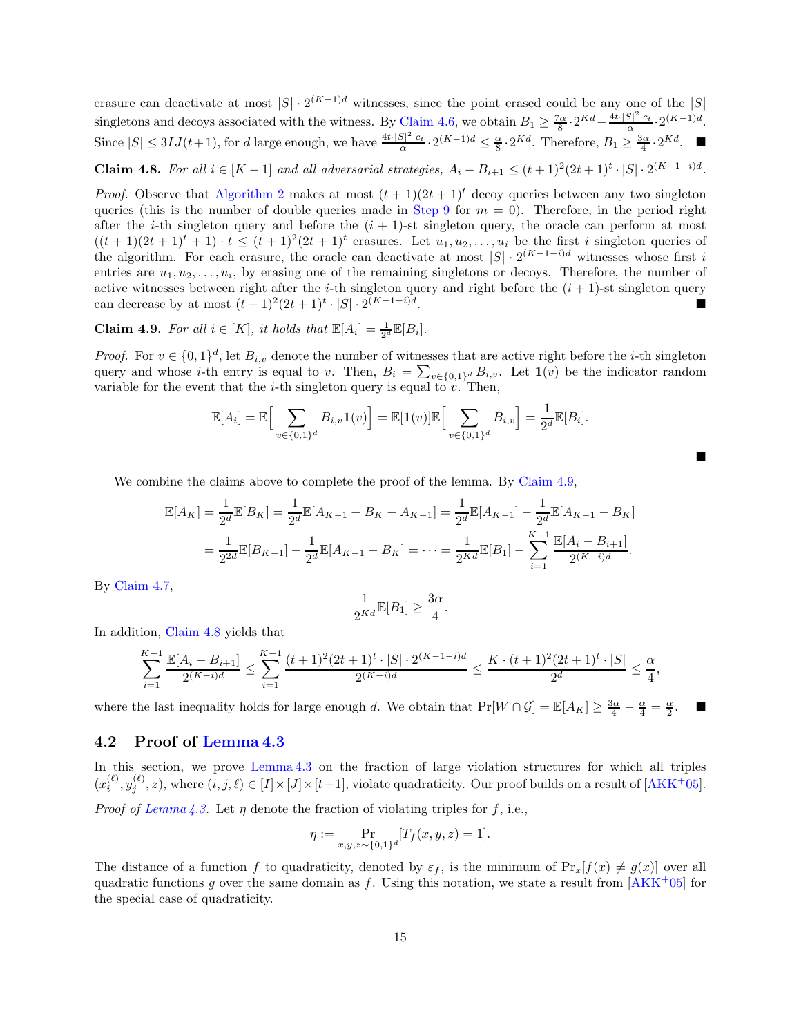erasure can deactivate at most  $|S| \cdot 2^{(K-1)d}$  witnesses, since the point erased could be any one of the  $|S|$ singletons and decoys associated with the witness. By [Claim 4.6,](#page-14-1) we obtain  $B_1 \geq \frac{7\alpha}{8} \cdot 2^{Kd} - \frac{4t \cdot |S|^2 \cdot c_t}{\alpha} \cdot 2^{(K-1)d}$ . Since  $|S| \leq 3IJ(t+1)$ , for d large enough, we have  $\frac{4t \cdot |S|^2 \cdot c_t}{\alpha} \cdot 2^{(K-1)d} \leq \frac{\alpha}{8} \cdot 2^{Kd}$ . Therefore,  $B_1 \geq \frac{3\alpha}{4} \cdot 2^{Kd}$ .

<span id="page-15-2"></span>Claim 4.8. For all  $i \in [K-1]$  and all adversarial strategies,  $A_i - B_{i+1} \leq (t+1)^2 (2t+1)^t \cdot |S| \cdot 2^{(K-1-i)d}$ .

*Proof.* Observe that [Algorithm 2](#page-12-0) makes at most  $(t + 1)(2t + 1)^t$  decoy queries between any two singleton queries (this is the number of double queries made in [Step 9](#page-12-0) for  $m = 0$ ). Therefore, in the period right after the *i*-th singleton query and before the  $(i + 1)$ -st singleton query, the oracle can perform at most  $((t+1)(2t+1)^t+1)\cdot t \leq (t+1)^2(2t+1)^t$  erasures. Let  $u_1, u_2, \ldots, u_i$  be the first i singleton queries of the algorithm. For each erasure, the oracle can deactivate at most  $|S| \cdot 2^{(K-1-i)d}$  witnesses whose first i entries are  $u_1, u_2, \ldots, u_i$ , by erasing one of the remaining singletons or decoys. Therefore, the number of active witnesses between right after the *i*-th singleton query and right before the  $(i + 1)$ -st singleton query can decrease by at most  $(t + 1)^2 (2t + 1)^t \cdot |S| \cdot 2^{(K-1-i)d}$ .

<span id="page-15-1"></span>**Claim 4.9.** For all  $i \in [K]$ , it holds that  $\mathbb{E}[A_i] = \frac{1}{2^d} \mathbb{E}[B_i]$ .

*Proof.* For  $v \in \{0,1\}^d$ , let  $B_{i,v}$  denote the number of witnesses that are active right before the *i*-th singleton query and whose *i*-th entry is equal to v. Then,  $B_i = \sum_{v \in \{0,1\}^d} B_{i,v}$ . Let  $\mathbf{1}(v)$  be the indicator random variable for the event that the *i*-th singleton query is equal to  $v$ . Then,

$$
\mathbb{E}[A_i] = \mathbb{E}\Big[\sum_{v \in \{0,1\}^d} B_{i,v} \mathbf{1}(v)\Big] = \mathbb{E}[\mathbf{1}(v)] \mathbb{E}\Big[\sum_{v \in \{0,1\}^d} B_{i,v}\Big] = \frac{1}{2^d} \mathbb{E}[B_i].
$$

■

We combine the claims above to complete the proof of the lemma. By [Claim 4.9,](#page-15-1)

$$
\mathbb{E}[A_K] = \frac{1}{2^d} \mathbb{E}[B_K] = \frac{1}{2^d} \mathbb{E}[A_{K-1} + B_K - A_{K-1}] = \frac{1}{2^d} \mathbb{E}[A_{K-1}] - \frac{1}{2^d} \mathbb{E}[A_{K-1} - B_K]
$$
  
= 
$$
\frac{1}{2^{2d}} \mathbb{E}[B_{K-1}] - \frac{1}{2^d} \mathbb{E}[A_{K-1} - B_K] = \dots = \frac{1}{2^{kd}} \mathbb{E}[B_1] - \sum_{i=1}^{K-1} \frac{\mathbb{E}[A_i - B_{i+1}]}{2^{(K-i)d}}.
$$

By [Claim 4.7,](#page-14-2)

$$
\frac{1}{2^{Kd}}\mathbb{E}[B_1] \ge \frac{3\alpha}{4}.
$$

In addition, [Claim 4.8](#page-15-2) yields that

$$
\sum_{i=1}^{K-1} \frac{\mathbb{E}[A_i - B_{i+1}]}{2^{(K-i)d}} \le \sum_{i=1}^{K-1} \frac{(t+1)^2 (2t+1)^t \cdot |S| \cdot 2^{(K-1-i)d}}{2^{(K-i)d}} \le \frac{K \cdot (t+1)^2 (2t+1)^t \cdot |S|}{2^d} \le \frac{\alpha}{4},
$$

where the last inequality holds for large enough d. We obtain that  $Pr[W \cap \mathcal{G}] = \mathbb{E}[A_K] \ge \frac{3\alpha}{4} - \frac{\alpha}{4} = \frac{\alpha}{2}$ .

#### <span id="page-15-0"></span>4.2 Proof of [Lemma 4.3](#page-13-1)

In this section, we prove [Lemma 4.3](#page-13-1) on the fraction of large violation structures for which all triples  $(x_i^{(\ell)}$  $_{i}^{(\ell)},y_{j}^{(\ell)}$  $j^{(\ell)}(z)$ ,  $z$ ), where  $(i, j, \ell) \in [I] \times [J] \times [t+1]$ , violate quadraticity. Our proof builds on a result of [\[AKK](#page-22-2)<sup>+</sup>05]. *Proof of [Lemma 4.3.](#page-13-1)* Let  $\eta$  denote the fraction of violating triples for f, i.e.,

$$
\eta := \Pr_{x,y,z \sim \{0,1\}^d} [T_f(x,y,z) = 1].
$$

The distance of a function f to quadraticity, denoted by  $\varepsilon_f$ , is the minimum of  $\Pr_x[f(x) \neq g(x)]$  over all quadratic functions g over the same domain as f. Using this notation, we state a result from  $[AKK^+05]$  for the special case of quadraticity.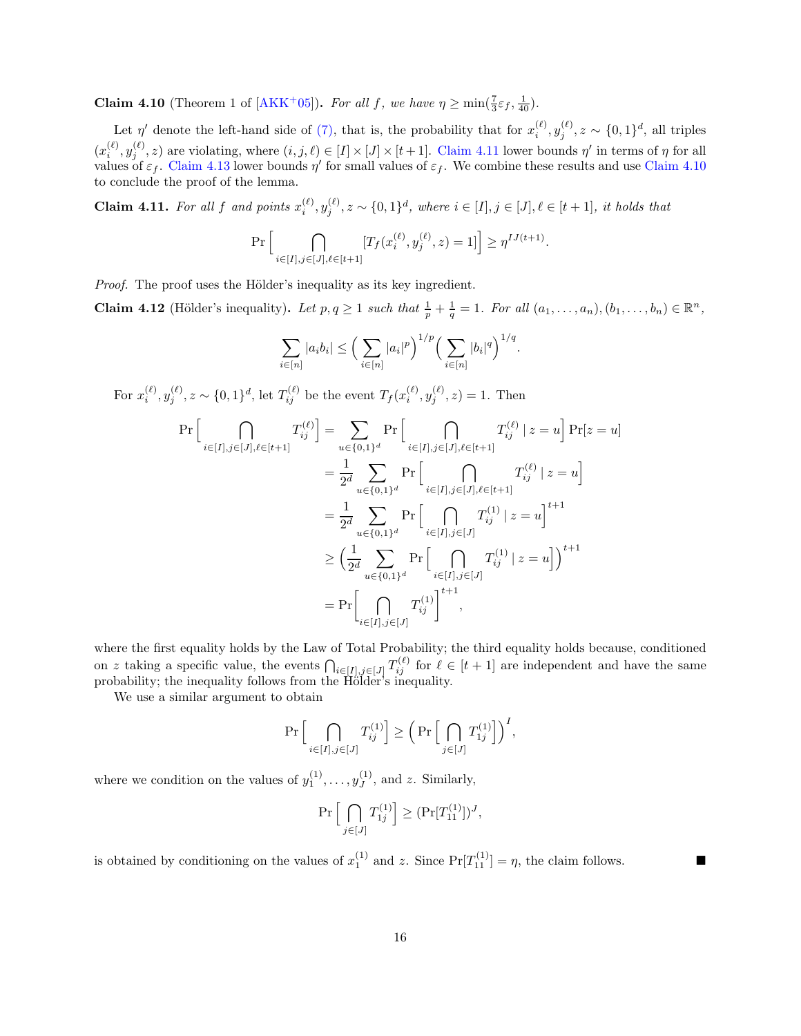<span id="page-16-1"></span>**Claim 4.10** (Theorem 1 of  $\left[AKK^+05\right]$ ). For all f, we have  $\eta \ge \min(\frac{7}{3}\varepsilon_f, \frac{1}{40})$ .

Let  $\eta'$  denote the left-hand side of [\(7\),](#page-13-3) that is, the probability that for  $x_i^{(\ell)}$  $_{i}^{(\ell)},y_{j}^{(\ell)}$  $j^{(\ell)}$ ,  $z \sim \{0, 1\}^d$ , all triples  $(x_i^{(\ell)}, y_j^{(\ell)}, z)$  are violating, where  $(i, j, \ell) \in [I] \times [J] \times [t + 1]$ . [Claim 4.11](#page-16-0) lower bounds  $\eta'$  in terms of  $\eta$  for all values of  $\varepsilon_f$ . [Claim 4.13](#page-17-1) lower bounds  $\eta'$  for small values of  $\varepsilon_f$ . We combine these results and use [Claim 4.10](#page-16-1) to conclude the proof of the lemma.

<span id="page-16-0"></span>**Claim 4.11.** For all f and points  $x_i^{(\ell)}, y_j^{(\ell)}, z \sim \{0,1\}^d$ , where  $i \in [I], j \in [J], \ell \in [t+1]$ , it holds that

$$
\Pr\Big[\bigcap_{i\in [I],j\in[J],\ell\in[t+1]}[T_f(x_i^{(\ell)},y_j^{(\ell)},z)=1]\Big]\geq \eta^{IJ(t+1)}.
$$

*Proof.* The proof uses the Hölder's inequality as its key ingredient.

**Claim 4.12** (Hölder's inequality). Let  $p, q \ge 1$  such that  $\frac{1}{p} + \frac{1}{q} = 1$ . For all  $(a_1, \ldots, a_n), (b_1, \ldots, b_n) \in \mathbb{R}^n$ ,

$$
\sum_{i \in [n]} |a_i b_i| \le \Big(\sum_{i \in [n]} |a_i|^p\Big)^{1/p} \Big(\sum_{i \in [n]} |b_i|^q\Big)^{1/q}.
$$

For  $x_i^{(\ell)}$  $_{i}^{(\ell)},y_{j}^{(\ell)}$  $j^{(\ell)}, z \sim \{0, 1\}^d$ , let  $T_{ij}^{(\ell)}$  be the event  $T_f(x_i^{(\ell)})$  $_{i}^{(\ell)},y_{j}^{(\ell)}$  $j^{(t)}(z) = 1$ . Then

$$
\Pr\Big[\bigcap_{i\in[I],j\in[J],\ell\in[t+1]} T_{ij}^{(\ell)}\Big] = \sum_{u\in\{0,1\}^d} \Pr\Big[\bigcap_{i\in[I],j\in[J],\ell\in[t+1]} T_{ij}^{(\ell)} \mid z=u\Big] \Pr[z=u] \n= \frac{1}{2^d} \sum_{u\in\{0,1\}^d} \Pr\Big[\bigcap_{i\in[I],j\in[J],\ell\in[t+1]} T_{ij}^{(\ell)} \mid z=u\Big] \n= \frac{1}{2^d} \sum_{u\in\{0,1\}^d} \Pr\Big[\bigcap_{i\in[I],j\in[J]} T_{ij}^{(1)} \mid z=u\Big]^{t+1} \n\ge \left(\frac{1}{2^d} \sum_{u\in\{0,1\}^d} \Pr\Big[\bigcap_{i\in[I],j\in[J]} T_{ij}^{(1)} \mid z=u\Big]\right)^{t+1} \n= \Pr\Big[\bigcap_{i\in[I],j\in[J]} T_{ij}^{(1)} \Big]^{t+1},
$$

where the first equality holds by the Law of Total Probability; the third equality holds because, conditioned on z taking a specific value, the events  $\bigcap_{i\in [I],j\in [J]} T_{ij}^{(\ell)}$  for  $\ell \in [t+1]$  are independent and have the same probability; the inequality follows from the Hölder's inequality.

We use a similar argument to obtain

$$
\Pr\Big[\bigcap_{i\in[I],j\in[J]}T_{ij}^{(1)}\Big]\geq \Big(\Pr\Big[\bigcap_{j\in[J]}T_{1j}^{(1)}\Big]\Big)^{I},
$$

where we condition on the values of  $y_1^{(1)}, \ldots, y_J^{(1)}$  $j^{(1)}$ , and z. Similarly,

$$
\Pr\Big[\bigcap_{j\in[J]} T_{1j}^{(1)}\Big] \ge (\Pr[T_{11}^{(1)}])^J,
$$

is obtained by conditioning on the values of  $x_1^{(1)}$  and z. Since  $Pr[T_{11}^{(1)}] = \eta$ , the claim follows.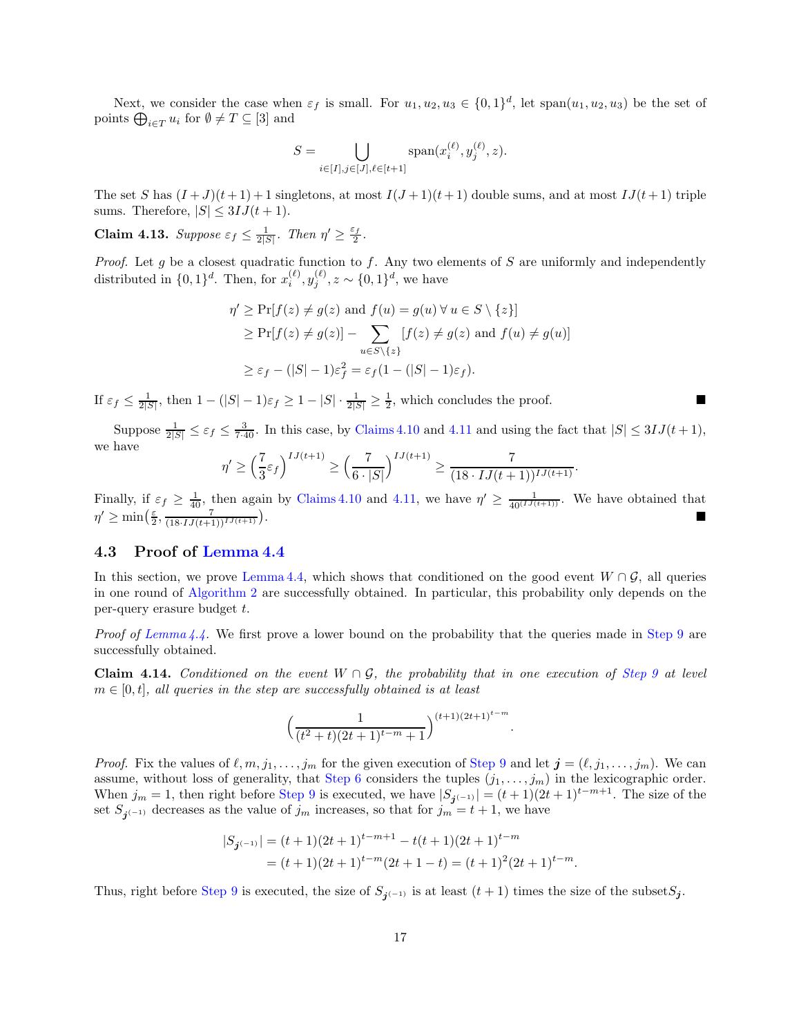Next, we consider the case when  $\varepsilon_f$  is small. For  $u_1, u_2, u_3 \in \{0, 1\}^d$ , let  $\text{span}(u_1, u_2, u_3)$  be the set of points  $\bigoplus_{i\in T} u_i$  for  $\emptyset \neq T \subseteq [3]$  and

$$
S=\bigcup_{i\in [I],j\in [J],\ell\in [t+1]}\mathrm{span}(x_i^{(\ell)},y_j^{(\ell)},z).
$$

The set S has  $(I+J)(t+1)+1$  singletons, at most  $I(J+1)(t+1)$  double sums, and at most  $IJ(t+1)$  triple sums. Therefore,  $|S| \leq 3IJ(t+1)$ .

<span id="page-17-1"></span>**Claim 4.13.** Suppose  $\varepsilon_f \leq \frac{1}{2|S|}$ . Then  $\eta' \geq \frac{\varepsilon_f}{2}$  $\frac{f}{2}$ .

*Proof.* Let g be a closest quadratic function to f. Any two elements of S are uniformly and independently distributed in  $\{0,1\}^d$ . Then, for  $x_i^{(\ell)}, y_j^{(\ell)}, z \sim \{0,1\}^d$ , we have

$$
\eta' \ge \Pr[f(z) \ne g(z) \text{ and } f(u) = g(u) \forall u \in S \setminus \{z\}]
$$
  
\n
$$
\ge \Pr[f(z) \ne g(z)] - \sum_{u \in S \setminus \{z\}} [f(z) \ne g(z) \text{ and } f(u) \ne g(u)]
$$
  
\n
$$
\ge \varepsilon_f - (|S| - 1)\varepsilon_f^2 = \varepsilon_f (1 - (|S| - 1)\varepsilon_f).
$$

If  $\varepsilon_f \leq \frac{1}{2|S|}$ , then  $1 - (|S| - 1)\varepsilon_f \geq 1 - |S| \cdot \frac{1}{2|S|} \geq \frac{1}{2}$ , which concludes the proof.

Suppose  $\frac{1}{2|S|} \leq \varepsilon_f \leq \frac{3}{7\cdot 40}$ . In this case, by [Claims 4.10](#page-16-1) and [4.11](#page-16-0) and using the fact that  $|S| \leq 3IJ(t+1)$ , we have

$$
\eta' \ge \left(\frac{7}{3}\varepsilon_f\right)^{IJ(t+1)} \ge \left(\frac{7}{6\cdot|S|}\right)^{IJ(t+1)} \ge \frac{7}{(18\cdot IJ(t+1))^{IJ(t+1)}}.
$$

Finally, if  $\varepsilon_f \geq \frac{1}{40}$ , then again by [Claims 4.10](#page-16-1) and [4.11,](#page-16-0) we have  $\eta' \geq \frac{1}{40^{(IJ(t+1))}}$ . We have obtained that  $\eta' \geq \min\left(\frac{\varepsilon}{2}, \frac{7}{(18 \cdot I)(t+1))^{I J(t+1)}}\right).$ 

#### <span id="page-17-0"></span>4.3 Proof of [Lemma 4.4](#page-13-0)

In this section, we prove [Lemma 4.4,](#page-13-0) which shows that conditioned on the good event  $W \cap G$ , all queries in one round of [Algorithm 2](#page-12-0) are successfully obtained. In particular, this probability only depends on the per-query erasure budget t.

*Proof of [Lemma 4.4.](#page-13-0)* We first prove a lower bound on the probability that the queries made in [Step 9](#page-12-0) are successfully obtained.

<span id="page-17-2"></span>**Claim 4.14.** Conditioned on the event  $W \cap G$ , the probability that in one execution of [Step 9](#page-12-0) at level  $m \in [0, t]$ , all queries in the step are successfully obtained is at least

$$
\left(\frac{1}{(t^2+t)(2t+1)^{t-m}+1}\right)^{(t+1)(2t+1)^{t-m}}.
$$

*Proof.* Fix the values of  $\ell, m, j_1, \ldots, j_m$  for the given execution of [Step 9](#page-12-0) and let  $\mathbf{j} = (\ell, j_1, \ldots, j_m)$ . We can assume, without loss of generality, that [Step 6](#page-12-0) considers the tuples  $(j_1, \ldots, j_m)$  in the lexicographic order. When  $j_m = 1$ , then right before [Step 9](#page-12-0) is executed, we have  $|S_{j-1}| = (t+1)(2t+1)^{t-m+1}$ . The size of the set  $S_{j^{(-1)}}$  decreases as the value of  $j_m$  increases, so that for  $j_m = t + 1$ , we have

$$
|S_{\boldsymbol{j}^{(-1)}}| = (t+1)(2t+1)^{t-m+1} - t(t+1)(2t+1)^{t-m}
$$
  
=  $(t+1)(2t+1)^{t-m}(2t+1-t) = (t+1)^2(2t+1)^{t-m}.$ 

Thus, right before [Step 9](#page-12-0) is executed, the size of  $S_{j^{(-1)}}$  is at least  $(t + 1)$  times the size of the subset  $S_j$ .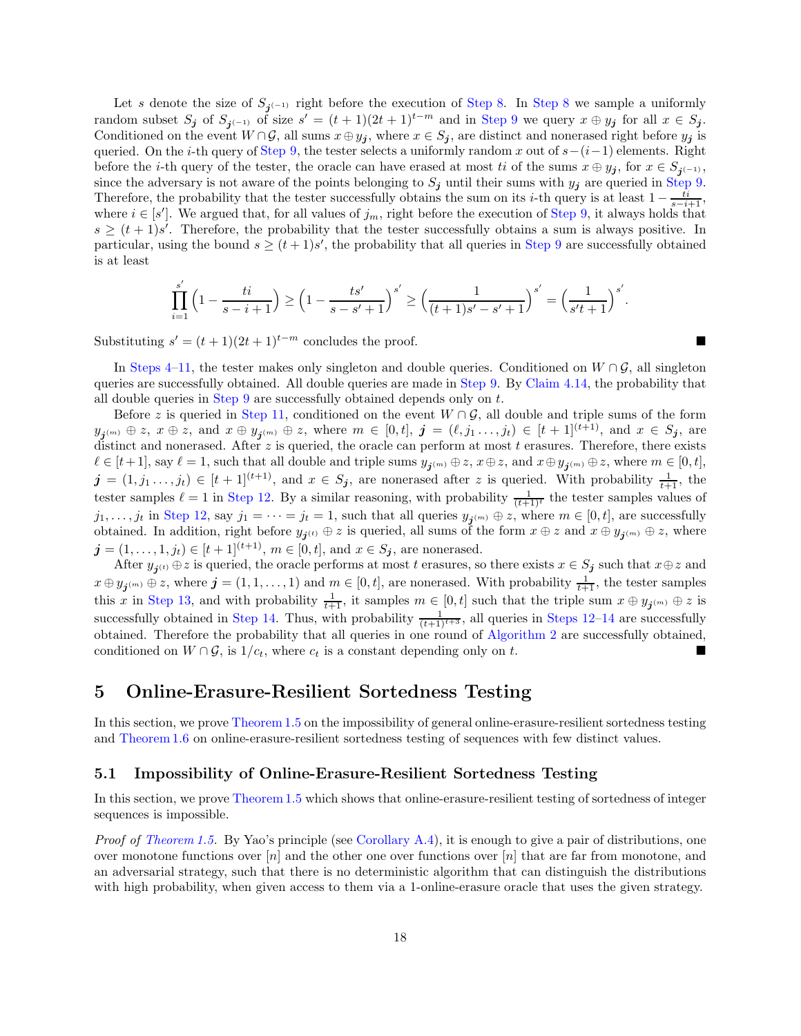Let s denote the size of  $S_{j^{(-1)}}$  right before the execution of [Step 8.](#page-12-0) In [Step 8](#page-12-0) we sample a uniformly random subset  $S_j$  of  $S_{j-1}$  of size  $s' = (t+1)(2t+1)^{t-m}$  and in [Step 9](#page-12-0) we query  $x \oplus y_j$  for all  $x \in S_j$ . Conditioned on the event  $W \cap G$ , all sums  $x \oplus y_j$ , where  $x \in S_j$ , are distinct and nonerased right before  $y_j$  is queried. On the i-th query of [Step 9,](#page-12-0) the tester selects a uniformly random x out of  $s-(i-1)$  elements. Right before the *i*-th query of the tester, the oracle can have erased at most ti of the sums  $x \oplus y_j$ , for  $x \in S_{j^{(-1)}},$ since the adversary is not aware of the points belonging to  $S_j$  until their sums with  $y_j$  are queried in [Step 9.](#page-12-0) Therefore, the probability that the tester successfully obtains the sum on its *i*-th query is at least  $1 - \frac{ti}{s-i+1}$ , where  $i \in [s']$ . We argued that, for all values of  $j_m$ , right before the execution of [Step 9,](#page-12-0) it always holds that  $s \ge (t+1)s'$ . Therefore, the probability that the tester successfully obtains a sum is always positive. In particular, using the bound  $s \ge (t+1)s'$ , the probability that all queries in [Step 9](#page-12-0) are successfully obtained is at least

$$
\prod_{i=1}^{s'} \left(1 - \frac{ti}{s-i+1}\right) \ge \left(1 - \frac{ts'}{s-s'+1}\right)^{s'} \ge \left(\frac{1}{(t+1)s'-s'+1}\right)^{s'} = \left(\frac{1}{s't+1}\right)^{s'}.
$$

Substituting  $s' = (t + 1)(2t + 1)^{t-m}$  concludes the proof.

In [Steps 4–11,](#page-12-0) the tester makes only singleton and double queries. Conditioned on  $W \cap G$ , all singleton queries are successfully obtained. All double queries are made in [Step 9.](#page-12-0) By [Claim 4.14,](#page-17-2) the probability that all double queries in [Step 9](#page-12-0) are successfully obtained depends only on t.

Before z is queried in [Step 11,](#page-12-0) conditioned on the event  $W \cap G$ , all double and triple sums of the form  $y_{j^{(m)}} \oplus z, x \oplus z$ , and  $x \oplus y_{j^{(m)}} \oplus z$ , where  $m \in [0, t]$ ,  $j = (\ell, j_1, \ldots, j_t) \in [t + 1]^{(t+1)}$ , and  $x \in S_j$ , are distinct and nonerased. After  $z$  is queried, the oracle can perform at most  $t$  erasures. Therefore, there exists  $\ell \in [t+1]$ , say  $\ell = 1$ , such that all double and triple sums  $y_{j^{(m)}} \oplus z$ ,  $x \oplus z$ , and  $x \oplus y_{j^{(m)}} \oplus z$ , where  $m \in [0, t]$ ,  $j = (1, j_1, \ldots, j_t) \in [t+1]^{(t+1)}$ , and  $x \in S_j$ , are nonerased after z is queried. With probability  $\frac{1}{t+1}$ , the tester samples  $\ell = 1$  in [Step 12.](#page-12-0) By a similar reasoning, with probability  $\frac{1}{(t+1)^t}$  the tester samples values of  $j_1, \ldots, j_t$  in [Step 12,](#page-12-0) say  $j_1 = \cdots = j_t = 1$ , such that all queries  $y_{j^{(m)}} \oplus z$ , where  $m \in [0, t]$ , are successfully obtained. In addition, right before  $y_{j^{(t)}} \oplus z$  is queried, all sums of the form  $x \oplus z$  and  $x \oplus y_{j^{(m)}} \oplus z$ , where  $j = (1, ..., 1, j_t) \in [t + 1]^{(t+1)}$ ,  $m \in [0, t]$ , and  $x \in S_j$ , are nonerased.

After  $y_{j^{(t)}} \oplus z$  is queried, the oracle performs at most t erasures, so there exists  $x \in S_j$  such that  $x \oplus z$  and  $x \oplus y_{j(m)} \oplus z$ , where  $j = (1, 1, ..., 1)$  and  $m \in [0, t]$ , are nonerased. With probability  $\frac{1}{t+1}$ , the tester samples this x in [Step 13,](#page-12-0) and with probability  $\frac{1}{t+1}$ , it samples  $m \in [0, t]$  such that the triple sum  $x \oplus y_{j^{(m)}} \oplus z$  is successfully obtained in [Step 14.](#page-12-0) Thus, with probability  $\frac{1}{(t+1)^{t+3}}$ , all queries in [Steps 12–14](#page-12-0) are successfully obtained. Therefore the probability that all queries in one round of [Algorithm 2](#page-12-0) are successfully obtained, conditioned on  $W \cap G$ , is  $1/c_t$ , where  $c_t$  is a constant depending only on t.

### 5 Online-Erasure-Resilient Sortedness Testing

In this section, we prove [Theorem 1.5](#page-4-0) on the impossibility of general online-erasure-resilient sortedness testing and [Theorem 1.6](#page-4-2) on online-erasure-resilient sortedness testing of sequences with few distinct values.

#### 5.1 Impossibility of Online-Erasure-Resilient Sortedness Testing

In this section, we prove [Theorem 1.5](#page-4-0) which shows that online-erasure-resilient testing of sortedness of integer sequences is impossible.

Proof of [Theorem 1.5.](#page-4-0) By Yao's principle (see [Corollary A.4\)](#page-27-0), it is enough to give a pair of distributions, one over monotone functions over  $[n]$  and the other one over functions over  $[n]$  that are far from monotone, and an adversarial strategy, such that there is no deterministic algorithm that can distinguish the distributions with high probability, when given access to them via a 1-online-erasure oracle that uses the given strategy.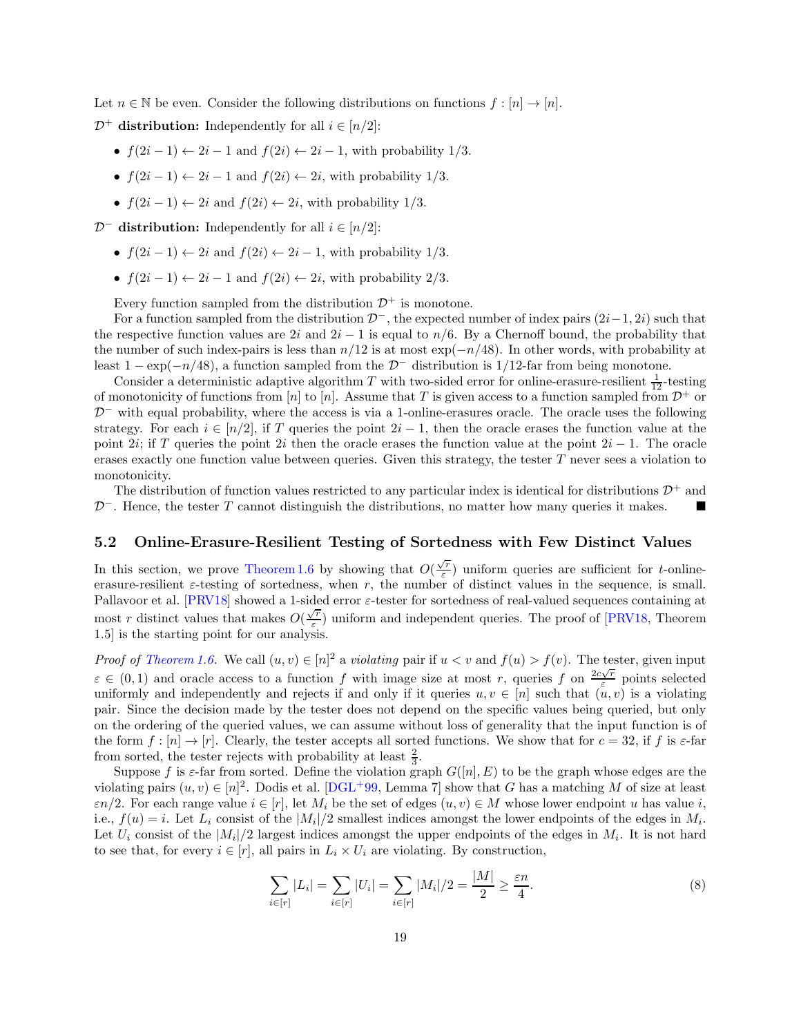Let  $n \in \mathbb{N}$  be even. Consider the following distributions on functions  $f : [n] \to [n]$ .

 $\mathcal{D}^+$  distribution: Independently for all  $i \in [n/2]$ :

- $f(2i-1) \leftarrow 2i-1$  and  $f(2i) \leftarrow 2i-1$ , with probability  $1/3$ .
- $f(2i-1) \leftarrow 2i-1$  and  $f(2i) \leftarrow 2i$ , with probability 1/3.
- $f(2i-1) \leftarrow 2i$  and  $f(2i) \leftarrow 2i$ , with probability 1/3.

 $\mathcal{D}^-$  distribution: Independently for all  $i \in [n/2]$ :

- $f(2i-1) \leftarrow 2i$  and  $f(2i) \leftarrow 2i-1$ , with probability 1/3.
- $f(2i-1) \leftarrow 2i-1$  and  $f(2i) \leftarrow 2i$ , with probability 2/3.

Every function sampled from the distribution  $\mathcal{D}^+$  is monotone.

For a function sampled from the distribution  $\mathcal{D}^-$ , the expected number of index pairs  $(2i-1, 2i)$  such that the respective function values are 2i and  $2i - 1$  is equal to  $n/6$ . By a Chernoff bound, the probability that the number of such index-pairs is less than  $n/12$  is at most  $\exp(-n/48)$ . In other words, with probability at least  $1 - \exp(-n/48)$ , a function sampled from the  $\mathcal{D}^-$  distribution is 1/12-far from being monotone.

Consider a deterministic adaptive algorithm T with two-sided error for online-erasure-resilient  $\frac{1}{12}$ -testing of monotonicity of functions from [n] to [n]. Assume that T is given access to a function sampled from  $\mathcal{D}^+$  or  $\mathcal{D}^-$  with equal probability, where the access is via a 1-online-erasures oracle. The oracle uses the following strategy. For each  $i \in [n/2]$ , if T queries the point  $2i - 1$ , then the oracle erases the function value at the point 2i; if T queries the point 2i then the oracle erases the function value at the point  $2i - 1$ . The oracle erases exactly one function value between queries. Given this strategy, the tester  $T$  never sees a violation to monotonicity.

The distribution of function values restricted to any particular index is identical for distributions  $\mathcal{D}^+$  and  $\mathcal{D}^-$ . Hence, the tester T cannot distinguish the distributions, no matter how many queries it makes.

#### 5.2 Online-Erasure-Resilient Testing of Sortedness with Few Distinct Values

In this section, we prove [Theorem 1.6](#page-4-2) by showing that  $O(\frac{\sqrt{r}}{s})$  $\frac{f(r)}{\varepsilon}$  uniform queries are sufficient for *t*-onlineerasure-resilient  $\varepsilon$ -testing of sortedness, when r, the number of distinct values in the sequence, is small. Pallavoor et al. [\[PRV18\]](#page-25-15) showed a 1-sided error  $\varepsilon$ -tester for sortedness of real-valued sequences containing at most r distinct values that makes  $O(\frac{\sqrt{r}}{\epsilon})$  $\frac{f}{\varepsilon}$ ) uniform and independent queries. The proof of [\[PRV18,](#page-25-15) Theorem 1.5] is the starting point for our analysis.

*Proof of [Theorem 1.6.](#page-4-2)* We call  $(u, v) \in [n]^2$  a *violating* pair if  $u < v$  and  $f(u) > f(v)$ . The tester, given input  $\varepsilon \in (0,1)$  and oracle access to a function f with image size at most r, queries f on  $\frac{2c\sqrt{r}}{\varepsilon}$  $\frac{\Delta V}{\varepsilon}$  points selected uniformly and independently and rejects if and only if it queries  $u, v \in [n]$  such that  $(u, v)$  is a violating pair. Since the decision made by the tester does not depend on the specific values being queried, but only on the ordering of the queried values, we can assume without loss of generality that the input function is of the form  $f : [n] \to [r]$ . Clearly, the tester accepts all sorted functions. We show that for  $c = 32$ , if f is  $\varepsilon$ -far from sorted, the tester rejects with probability at least  $\frac{2}{3}$ .

Suppose f is  $\varepsilon$ -far from sorted. Define the violation graph  $G([n], E)$  to be the graph whose edges are the violating pairs  $(u, v) \in [n]^2$ . Dodis et al. [\[DGL](#page-23-3)+99, Lemma 7] show that G has a matching M of size at least  $\varepsilon n/2$ . For each range value  $i \in [r]$ , let  $M_i$  be the set of edges  $(u, v) \in M$  whose lower endpoint u has value i, i.e.,  $f(u) = i$ . Let  $L_i$  consist of the  $|M_i|/2$  smallest indices amongst the lower endpoints of the edges in  $M_i$ . Let  $U_i$  consist of the  $|M_i|/2$  largest indices amongst the upper endpoints of the edges in  $M_i$ . It is not hard to see that, for every  $i \in [r]$ , all pairs in  $L_i \times U_i$  are violating. By construction,

<span id="page-19-0"></span>
$$
\sum_{i \in [r]} |L_i| = \sum_{i \in [r]} |U_i| = \sum_{i \in [r]} |M_i|/2 = \frac{|M|}{2} \ge \frac{\varepsilon n}{4}.
$$
\n(8)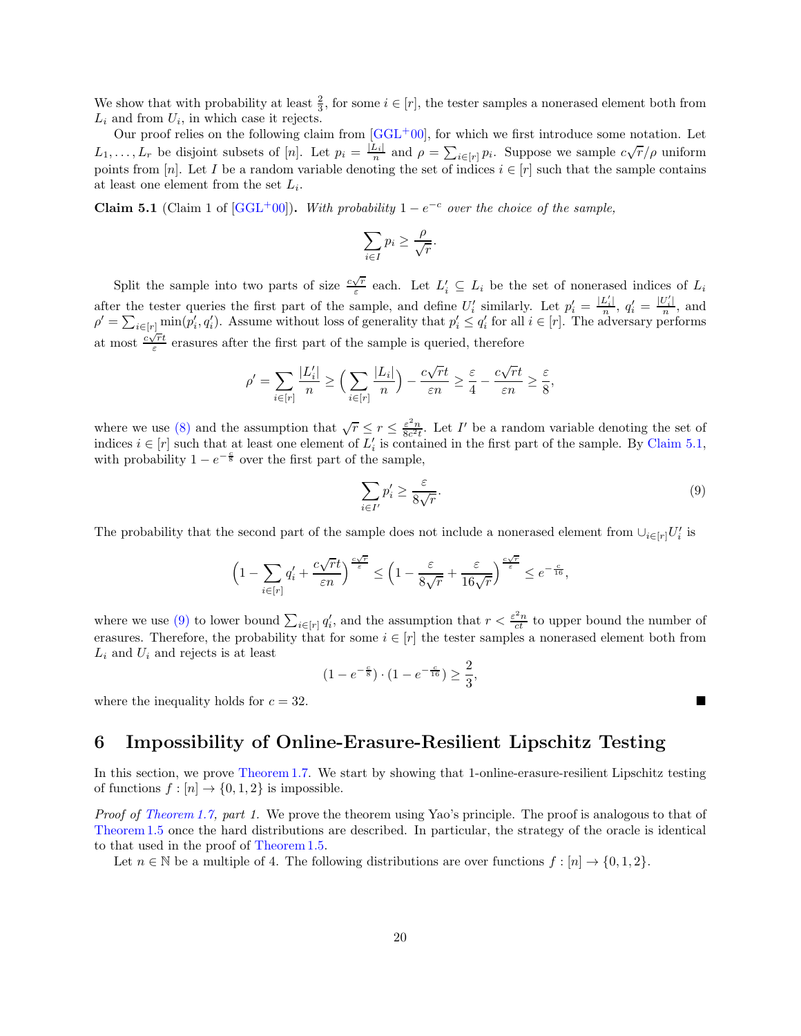We show that with probability at least  $\frac{2}{3}$ , for some  $i \in [r]$ , the tester samples a nonerased element both from  $L_i$  and from  $U_i$ , in which case it rejects.

Our proof relies on the following claim from  $[GGL^+00]$ , for which we first introduce some notation. Let  $L_1, \ldots, L_r$  be disjoint subsets of [n]. Let  $p_i = \frac{|L_i|}{n}$  and  $\rho = \sum_{i \in [r]} p_i$ . Suppose we sample  $c\sqrt{r}/\rho$  uniform points from [n]. Let I be a random variable denoting the set of indices  $i \in [r]$  such that the sample contains at least one element from the set  $L_i$ .

<span id="page-20-0"></span>**Claim 5.1** (Claim 1 of  $[GGL^{+}00]$ ). With probability  $1 - e^{-c}$  over the choice of the sample,

$$
\sum_{i \in I} p_i \ge \frac{\rho}{\sqrt{r}}.
$$

Split the sample into two parts of size  $\frac{c\sqrt{r}}{s}$  $\frac{\partial V^r}{\partial \varepsilon}$  each. Let  $L'_i \subseteq L_i$  be the set of nonerased indices of  $L_i$ after the tester queries the first part of the sample, and define  $U'_i$  similarly. Let  $p'_i = \frac{|L'_i|}{n}$ ,  $q'_i = \frac{|U'_i|}{n}$ , and  $\rho' = \sum_{i \in [r]} \min(p'_i, q'_i)$ . Assume without loss of generality that  $p'_i \leq q'_i$  for all  $i \in [r]$ . The adversary performs at most  $\frac{c\sqrt{r}t}{\epsilon}$  $\frac{f^{T L}}{\varepsilon}$  erasures after the first part of the sample is queried, therefore

$$
\rho' = \sum_{i \in [r]} \frac{|L'_i|}{n} \ge \left(\sum_{i \in [r]} \frac{|L_i|}{n}\right) - \frac{c\sqrt{r}t}{\varepsilon n} \ge \frac{\varepsilon}{4} - \frac{c\sqrt{r}t}{\varepsilon n} \ge \frac{\varepsilon}{8},
$$

where we use [\(8\)](#page-19-0) and the assumption that  $\sqrt{r} \leq r \leq \frac{\varepsilon^2 n}{8c^2 t}$ . Let I' be a random variable denoting the set of indices  $i \in [r]$  such that at least one element of  $L'_i$  is contained in the first part of the sample. By [Claim 5.1,](#page-20-0) with probability  $1 - e^{-\frac{c}{8}}$  over the first part of the sample,

<span id="page-20-1"></span>
$$
\sum_{i \in I'} p'_i \ge \frac{\varepsilon}{8\sqrt{r}}.\tag{9}
$$

The probability that the second part of the sample does not include a nonerased element from  $\cup_{i\in[r]}U_i'$  is

$$
\left(1 - \sum_{i \in [r]} q'_i + \frac{c\sqrt{r}t}{\varepsilon n}\right)^{\frac{c\sqrt{r}}{\varepsilon}} \le \left(1 - \frac{\varepsilon}{8\sqrt{r}} + \frac{\varepsilon}{16\sqrt{r}}\right)^{\frac{c\sqrt{r}}{\varepsilon}} \le e^{-\frac{c}{16}},
$$

where we use [\(9\)](#page-20-1) to lower bound  $\sum_{i\in[r]} q'_i$ , and the assumption that  $r < \frac{\varepsilon^2 n}{ct}$  to upper bound the number of erasures. Therefore, the probability that for some  $i \in [r]$  the tester samples a nonerased element both from  $L_i$  and  $U_i$  and rejects is at least

$$
(1 - e^{-\frac{c}{8}}) \cdot (1 - e^{-\frac{c}{16}}) \ge \frac{2}{3},
$$

where the inequality holds for  $c = 32$ .

### 6 Impossibility of Online-Erasure-Resilient Lipschitz Testing

In this section, we prove [Theorem 1.7.](#page-5-2) We start by showing that 1-online-erasure-resilient Lipschitz testing of functions  $f : [n] \to \{0, 1, 2\}$  is impossible.

Proof of [Theorem 1.7,](#page-5-2) part 1. We prove the theorem using Yao's principle. The proof is analogous to that of [Theorem 1.5](#page-4-0) once the hard distributions are described. In particular, the strategy of the oracle is identical to that used in the proof of [Theorem 1.5.](#page-4-0)

Let  $n \in \mathbb{N}$  be a multiple of 4. The following distributions are over functions  $f : [n] \to \{0, 1, 2\}.$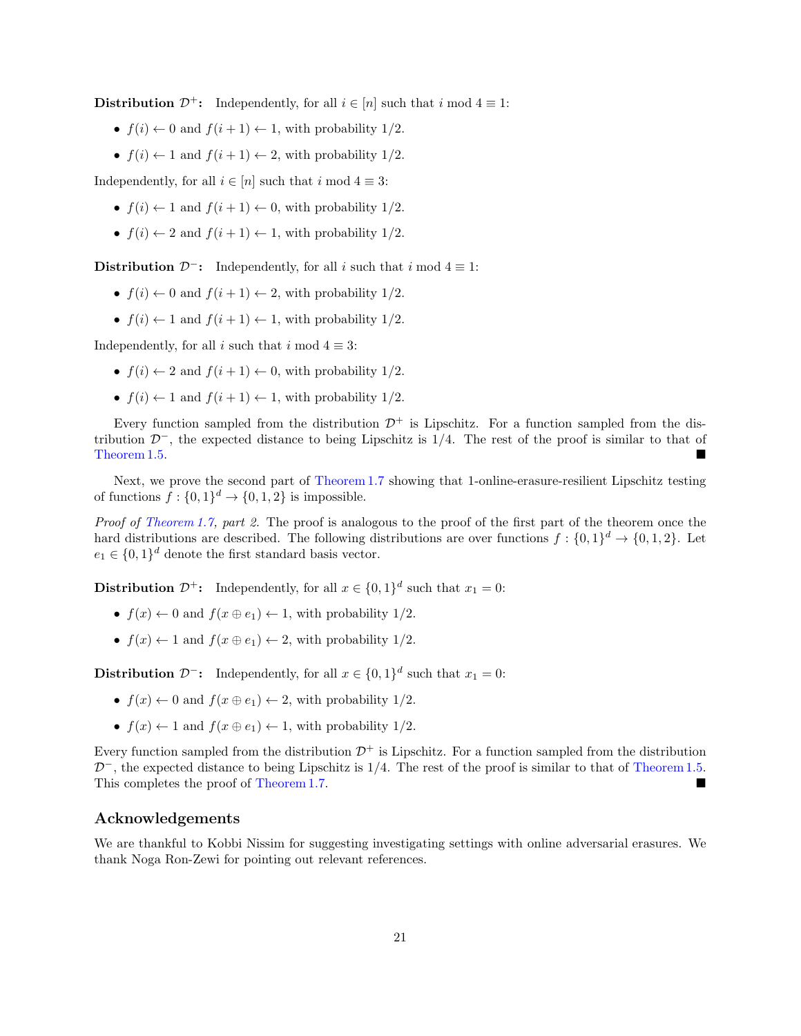**Distribution**  $\mathcal{D}^+$ : Independently, for all  $i \in [n]$  such that  $i \mod 4 \equiv 1$ :

- $f(i) \leftarrow 0$  and  $f(i+1) \leftarrow 1$ , with probability 1/2.
- $f(i) \leftarrow 1$  and  $f(i+1) \leftarrow 2$ , with probability 1/2.

Independently, for all  $i \in [n]$  such that  $i \mod 4 \equiv 3$ :

- $f(i) \leftarrow 1$  and  $f(i+1) \leftarrow 0$ , with probability 1/2.
- $f(i) \leftarrow 2$  and  $f(i+1) \leftarrow 1$ , with probability 1/2.

Distribution  $\mathcal{D}^-$ : Independently, for all i such that i mod  $4 \equiv 1$ :

- $f(i) \leftarrow 0$  and  $f(i+1) \leftarrow 2$ , with probability 1/2.
- $f(i) \leftarrow 1$  and  $f(i+1) \leftarrow 1$ , with probability 1/2.

Independently, for all i such that i mod  $4 \equiv 3$ :

- $f(i) \leftarrow 2$  and  $f(i+1) \leftarrow 0$ , with probability 1/2.
- $f(i) \leftarrow 1$  and  $f(i+1) \leftarrow 1$ , with probability 1/2.

Every function sampled from the distribution  $\mathcal{D}^+$  is Lipschitz. For a function sampled from the distribution  $\mathcal{D}^-$ , the expected distance to being Lipschitz is 1/4. The rest of the proof is similar to that of Theorem 1.5. [Theorem 1.5.](#page-4-0)

Next, we prove the second part of [Theorem 1.7](#page-5-2) showing that 1-online-erasure-resilient Lipschitz testing of functions  $f: \{0,1\}^d \to \{0,1,2\}$  is impossible.

Proof of [Theorem 1.7,](#page-5-2) part 2. The proof is analogous to the proof of the first part of the theorem once the hard distributions are described. The following distributions are over functions  $f: \{0,1\}^d \to \{0,1,2\}$ . Let  $e_1 \in \{0,1\}^d$  denote the first standard basis vector.

**Distribution**  $\mathcal{D}^+$ : Independently, for all  $x \in \{0, 1\}^d$  such that  $x_1 = 0$ :

- $f(x) \leftarrow 0$  and  $f(x \oplus e_1) \leftarrow 1$ , with probability 1/2.
- $f(x) \leftarrow 1$  and  $f(x \oplus e_1) \leftarrow 2$ , with probability 1/2.

**Distribution**  $\mathcal{D}^-$ : Independently, for all  $x \in \{0, 1\}^d$  such that  $x_1 = 0$ :

- $f(x) \leftarrow 0$  and  $f(x \oplus e_1) \leftarrow 2$ , with probability 1/2.
- $f(x) \leftarrow 1$  and  $f(x \oplus e_1) \leftarrow 1$ , with probability 1/2.

Every function sampled from the distribution  $\mathcal{D}^+$  is Lipschitz. For a function sampled from the distribution  $\mathcal{D}^-$ , the expected distance to being Lipschitz is 1/4. The rest of the proof is similar to that of [Theorem 1.5.](#page-4-0) This completes the proof of [Theorem 1.7.](#page-5-2)

#### Acknowledgements

We are thankful to Kobbi Nissim for suggesting investigating settings with online adversarial erasures. We thank Noga Ron-Zewi for pointing out relevant references.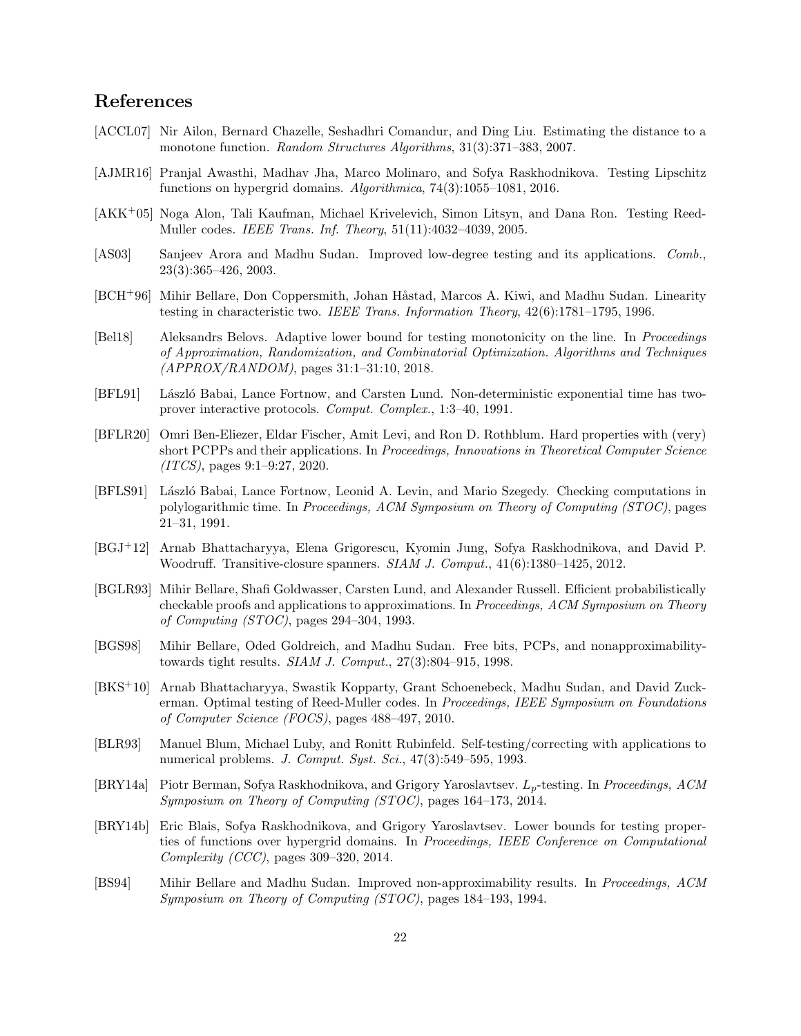### References

- <span id="page-22-6"></span>[ACCL07] Nir Ailon, Bernard Chazelle, Seshadhri Comandur, and Ding Liu. Estimating the distance to a monotone function. Random Structures Algorithms, 31(3):371–383, 2007.
- <span id="page-22-16"></span>[AJMR16] Pranjal Awasthi, Madhav Jha, Marco Molinaro, and Sofya Raskhodnikova. Testing Lipschitz functions on hypergrid domains. Algorithmica, 74(3):1055–1081, 2016.
- <span id="page-22-2"></span>[AKK+05] Noga Alon, Tali Kaufman, Michael Krivelevich, Simon Litsyn, and Dana Ron. Testing Reed-Muller codes. IEEE Trans. Inf. Theory, 51(11):4032–4039, 2005.
- <span id="page-22-13"></span>[AS03] Sanjeev Arora and Madhu Sudan. Improved low-degree testing and its applications. Comb., 23(3):365–426, 2003.
- <span id="page-22-1"></span>[BCH<sup>+96]</sup> Mihir Bellare, Don Coppersmith, Johan Håstad, Marcos A. Kiwi, and Madhu Sudan. Linearity testing in characteristic two. IEEE Trans. Information Theory, 42(6):1781–1795, 1996.
- <span id="page-22-4"></span>[Bel18] Aleksandrs Belovs. Adaptive lower bound for testing monotonicity on the line. In Proceedings of Approximation, Randomization, and Combinatorial Optimization. Algorithms and Techniques (APPROX/RANDOM), pages 31:1–31:10, 2018.
- <span id="page-22-11"></span>[BFL91] László Babai, Lance Fortnow, and Carsten Lund. Non-deterministic exponential time has twoprover interactive protocols. Comput. Complex., 1:3–40, 1991.
- <span id="page-22-5"></span>[BFLR20] Omri Ben-Eliezer, Eldar Fischer, Amit Levi, and Ron D. Rothblum. Hard properties with (very) short PCPPs and their applications. In Proceedings, Innovations in Theoretical Computer Science (ITCS), pages 9:1–9:27, 2020.
- <span id="page-22-12"></span>[BFLS91] László Babai, Lance Fortnow, Leonid A. Levin, and Mario Szegedy. Checking computations in polylogarithmic time. In Proceedings, ACM Symposium on Theory of Computing (STOC), pages 21–31, 1991.
- <span id="page-22-3"></span>[BGJ<sup>+</sup>12] Arnab Bhattacharyya, Elena Grigorescu, Kyomin Jung, Sofya Raskhodnikova, and David P. Woodruff. Transitive-closure spanners. SIAM J. Comput., 41(6):1380-1425, 2012.
- <span id="page-22-7"></span>[BGLR93] Mihir Bellare, Shafi Goldwasser, Carsten Lund, and Alexander Russell. Efficient probabilistically checkable proofs and applications to approximations. In Proceedings, ACM Symposium on Theory of Computing (STOC), pages 294–304, 1993.
- <span id="page-22-9"></span>[BGS98] Mihir Bellare, Oded Goldreich, and Madhu Sudan. Free bits, PCPs, and nonapproximabilitytowards tight results. SIAM J. Comput., 27(3):804–915, 1998.
- <span id="page-22-14"></span>[BKS<sup>+</sup>10] Arnab Bhattacharyya, Swastik Kopparty, Grant Schoenebeck, Madhu Sudan, and David Zuckerman. Optimal testing of Reed-Muller codes. In Proceedings, IEEE Symposium on Foundations of Computer Science (FOCS), pages 488–497, 2010.
- <span id="page-22-0"></span>[BLR93] Manuel Blum, Michael Luby, and Ronitt Rubinfeld. Self-testing/correcting with applications to numerical problems. J. Comput. Syst. Sci.,  $47(3):549-595$ , 1993.
- <span id="page-22-10"></span>[BRY14a] Piotr Berman, Sofya Raskhodnikova, and Grigory Yaroslavtsev. Lp-testing. In Proceedings, ACM Symposium on Theory of Computing (STOC), pages 164–173, 2014.
- <span id="page-22-15"></span>[BRY14b] Eric Blais, Sofya Raskhodnikova, and Grigory Yaroslavtsev. Lower bounds for testing properties of functions over hypergrid domains. In Proceedings, IEEE Conference on Computational Complexity (CCC), pages 309–320, 2014.
- <span id="page-22-8"></span>[BS94] Mihir Bellare and Madhu Sudan. Improved non-approximability results. In Proceedings, ACM Symposium on Theory of Computing (STOC), pages 184–193, 1994.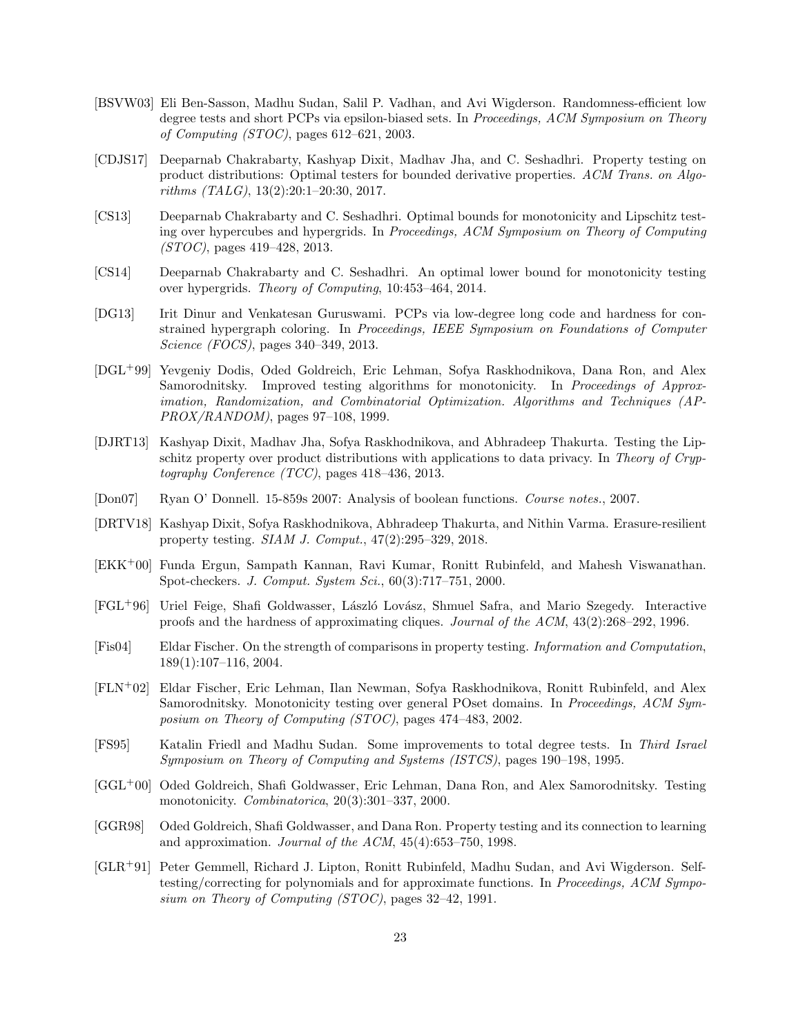- <span id="page-23-7"></span>[BSVW03] Eli Ben-Sasson, Madhu Sudan, Salil P. Vadhan, and Avi Wigderson. Randomness-efficient low degree tests and short PCPs via epsilon-biased sets. In Proceedings, ACM Symposium on Theory of Computing (STOC), pages  $612-621$ , 2003.
- <span id="page-23-14"></span>[CDJS17] Deeparnab Chakrabarty, Kashyap Dixit, Madhav Jha, and C. Seshadhri. Property testing on product distributions: Optimal testers for bounded derivative properties. ACM Trans. on Algorithms (TALG), 13(2):20:1–20:30, 2017.
- <span id="page-23-4"></span>[CS13] Deeparnab Chakrabarty and C. Seshadhri. Optimal bounds for monotonicity and Lipschitz testing over hypercubes and hypergrids. In Proceedings, ACM Symposium on Theory of Computing (STOC), pages 419–428, 2013.
- <span id="page-23-12"></span>[CS14] Deeparnab Chakrabarty and C. Seshadhri. An optimal lower bound for monotonicity testing over hypergrids. Theory of Computing, 10:453–464, 2014.
- <span id="page-23-10"></span>[DG13] Irit Dinur and Venkatesan Guruswami. PCPs via low-degree long code and hardness for constrained hypergraph coloring. In Proceedings, IEEE Symposium on Foundations of Computer Science (FOCS), pages 340–349, 2013.
- <span id="page-23-3"></span>[DGL+99] Yevgeniy Dodis, Oded Goldreich, Eric Lehman, Sofya Raskhodnikova, Dana Ron, and Alex Samorodnitsky. Improved testing algorithms for monotonicity. In Proceedings of Approximation, Randomization, and Combinatorial Optimization. Algorithms and Techniques (AP-PROX/RANDOM), pages 97–108, 1999.
- <span id="page-23-13"></span>[DJRT13] Kashyap Dixit, Madhav Jha, Sofya Raskhodnikova, and Abhradeep Thakurta. Testing the Lipschitz property over product distributions with applications to data privacy. In Theory of Cryptography Conference (TCC), pages 418–436, 2013.
- <span id="page-23-15"></span>[Don07] Ryan O' Donnell. 15-859s 2007: Analysis of boolean functions. Course notes., 2007.
- <span id="page-23-5"></span>[DRTV18] Kashyap Dixit, Sofya Raskhodnikova, Abhradeep Thakurta, and Nithin Varma. Erasure-resilient property testing. SIAM J. Comput., 47(2):295–329, 2018.
- <span id="page-23-2"></span>[EKK<sup>+</sup>00] Funda Ergun, Sampath Kannan, Ravi Kumar, Ronitt Rubinfeld, and Mahesh Viswanathan. Spot-checkers. J. Comput. System Sci., 60(3):717–751, 2000.
- <span id="page-23-6"></span>[FGL+96] Uriel Feige, Shafi Goldwasser, László Lovász, Shmuel Safra, and Mario Szegedy. Interactive proofs and the hardness of approximating cliques. Journal of the ACM, 43(2):268–292, 1996.
- <span id="page-23-11"></span>[Fis04] Eldar Fischer. On the strength of comparisons in property testing. Information and Computation, 189(1):107–116, 2004.
- <span id="page-23-1"></span>[FLN<sup>+</sup>02] Eldar Fischer, Eric Lehman, Ilan Newman, Sofya Raskhodnikova, Ronitt Rubinfeld, and Alex Samorodnitsky. Monotonicity testing over general POset domains. In Proceedings, ACM Symposium on Theory of Computing (STOC), pages 474–483, 2002.
- <span id="page-23-9"></span>[FS95] Katalin Friedl and Madhu Sudan. Some improvements to total degree tests. In Third Israel Symposium on Theory of Computing and Systems (ISTCS), pages 190–198, 1995.
- <span id="page-23-16"></span>[GGL+00] Oded Goldreich, Shafi Goldwasser, Eric Lehman, Dana Ron, and Alex Samorodnitsky. Testing monotonicity. *Combinatorica*, 20(3):301-337, 2000.
- <span id="page-23-0"></span>[GGR98] Oded Goldreich, Shafi Goldwasser, and Dana Ron. Property testing and its connection to learning and approximation. Journal of the ACM, 45(4):653–750, 1998.
- <span id="page-23-8"></span>[GLR+91] Peter Gemmell, Richard J. Lipton, Ronitt Rubinfeld, Madhu Sudan, and Avi Wigderson. Selftesting/correcting for polynomials and for approximate functions. In Proceedings, ACM Symposium on Theory of Computing (STOC), pages 32–42, 1991.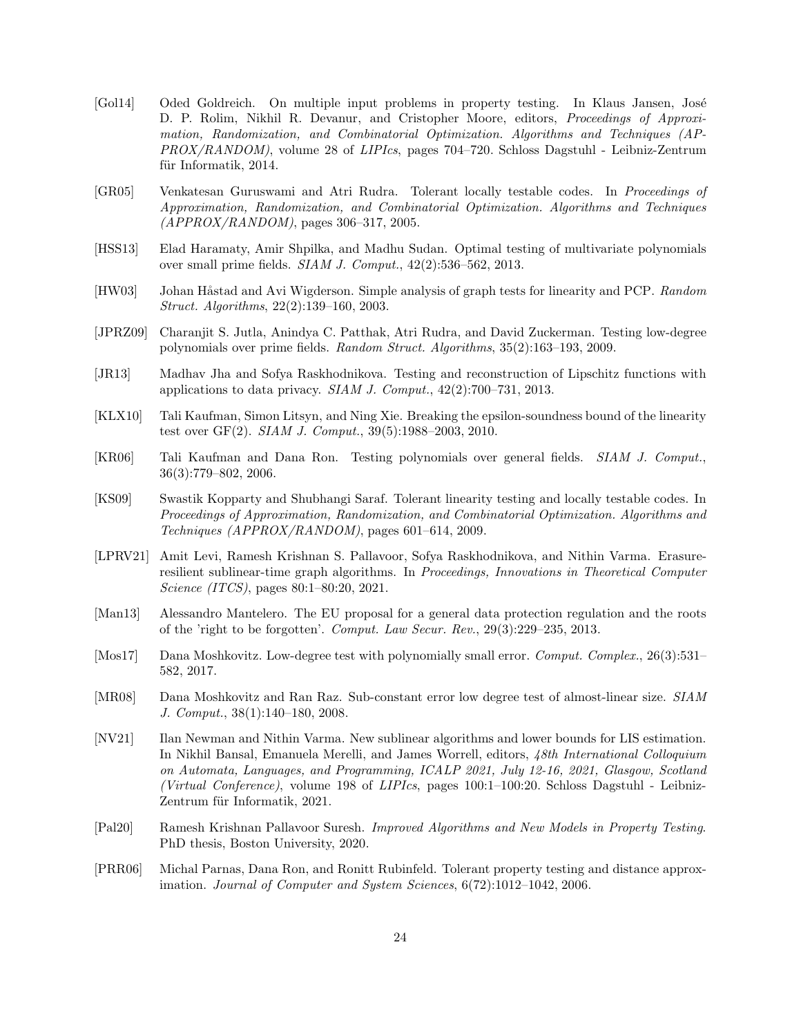- <span id="page-24-8"></span>[Gol14] Oded Goldreich. On multiple input problems in property testing. In Klaus Jansen, Jos´e D. P. Rolim, Nikhil R. Devanur, and Cristopher Moore, editors, *Proceedings of Approxi*mation, Randomization, and Combinatorial Optimization. Algorithms and Techniques (AP-PROX/RANDOM), volume 28 of LIPIcs, pages 704–720. Schloss Dagstuhl - Leibniz-Zentrum für Informatik, 2014.
- <span id="page-24-5"></span>[GR05] Venkatesan Guruswami and Atri Rudra. Tolerant locally testable codes. In Proceedings of Approximation, Randomization, and Combinatorial Optimization. Algorithms and Techniques  $APPROX/RANDOM$ , pages 306-317, 2005.
- <span id="page-24-13"></span>[HSS13] Elad Haramaty, Amir Shpilka, and Madhu Sudan. Optimal testing of multivariate polynomials over small prime fields. SIAM J. Comput., 42(2):536–562, 2013.
- <span id="page-24-6"></span>[HW03] Johan Håstad and Avi Wigderson. Simple analysis of graph tests for linearity and PCP. Random Struct. Algorithms, 22(2):139–160, 2003.
- <span id="page-24-12"></span>[JPRZ09] Charanjit S. Jutla, Anindya C. Patthak, Atri Rudra, and David Zuckerman. Testing low-degree polynomials over prime fields. Random Struct. Algorithms, 35(2):163–193, 2009.
- <span id="page-24-15"></span>[JR13] Madhav Jha and Sofya Raskhodnikova. Testing and reconstruction of Lipschitz functions with applications to data privacy. SIAM J. Comput., 42(2):700–731, 2013.
- <span id="page-24-7"></span>[KLX10] Tali Kaufman, Simon Litsyn, and Ning Xie. Breaking the epsilon-soundness bound of the linearity test over GF(2). SIAM J. Comput., 39(5):1988–2003, 2010.
- <span id="page-24-11"></span>[KR06] Tali Kaufman and Dana Ron. Testing polynomials over general fields. SIAM J. Comput., 36(3):779–802, 2006.
- <span id="page-24-4"></span>[KS09] Swastik Kopparty and Shubhangi Saraf. Tolerant linearity testing and locally testable codes. In Proceedings of Approximation, Randomization, and Combinatorial Optimization. Algorithms and Techniques (APPROX/RANDOM), pages 601–614, 2009.
- <span id="page-24-1"></span>[LPRV21] Amit Levi, Ramesh Krishnan S. Pallavoor, Sofya Raskhodnikova, and Nithin Varma. Erasureresilient sublinear-time graph algorithms. In *Proceedings, Innovations in Theoretical Computer* Science (ITCS), pages 80:1–80:20, 2021.
- <span id="page-24-0"></span>[Man13] Alessandro Mantelero. The EU proposal for a general data protection regulation and the roots of the 'right to be forgotten'. Comput. Law Secur. Rev., 29(3):229–235, 2013.
- <span id="page-24-10"></span>[Mos17] Dana Moshkovitz. Low-degree test with polynomially small error. Comput. Complex., 26(3):531– 582, 2017.
- <span id="page-24-9"></span>[MR08] Dana Moshkovitz and Ran Raz. Sub-constant error low degree test of almost-linear size. SIAM J. Comput., 38(1):140–180, 2008.
- <span id="page-24-2"></span>[NV21] Ilan Newman and Nithin Varma. New sublinear algorithms and lower bounds for LIS estimation. In Nikhil Bansal, Emanuela Merelli, and James Worrell, editors, 48th International Colloquium on Automata, Languages, and Programming, ICALP 2021, July 12-16, 2021, Glasgow, Scotland (Virtual Conference), volume 198 of LIPIcs, pages  $100:1-100:20$ . Schloss Dagstuhl - Leibniz-Zentrum für Informatik, 2021.
- <span id="page-24-14"></span>[Pal20] Ramesh Krishnan Pallavoor Suresh. Improved Algorithms and New Models in Property Testing. PhD thesis, Boston University, 2020.
- <span id="page-24-3"></span>[PRR06] Michal Parnas, Dana Ron, and Ronitt Rubinfeld. Tolerant property testing and distance approximation. Journal of Computer and System Sciences, 6(72):1012–1042, 2006.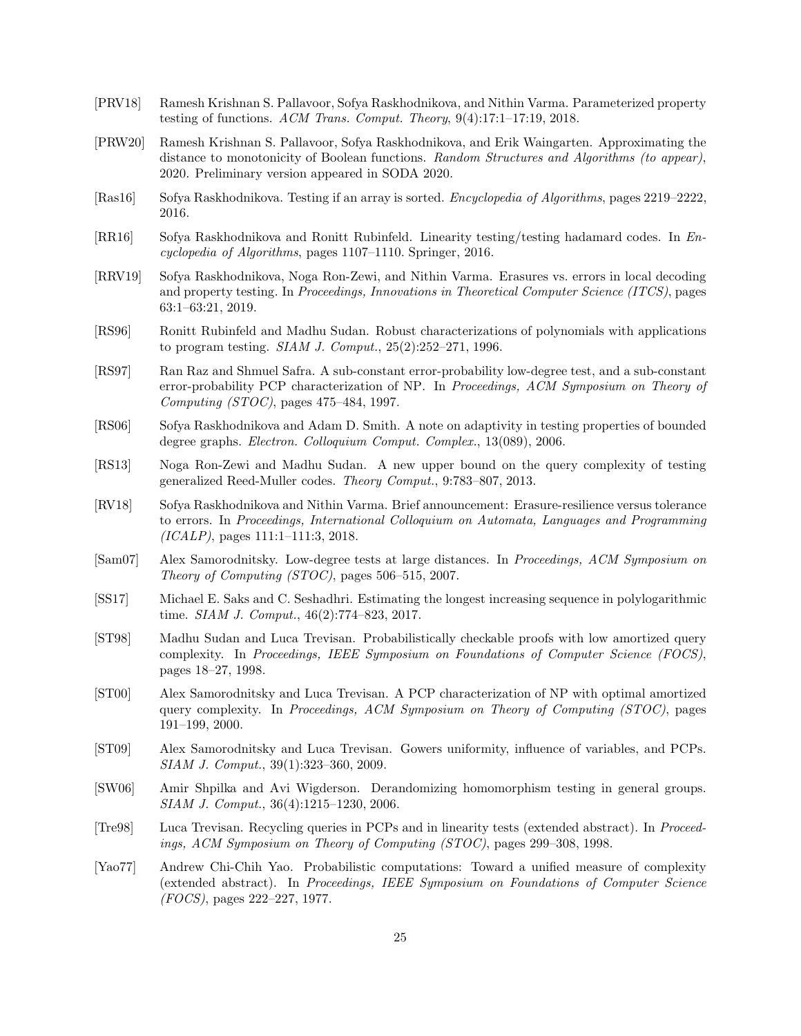- <span id="page-25-15"></span>[PRV18] Ramesh Krishnan S. Pallavoor, Sofya Raskhodnikova, and Nithin Varma. Parameterized property testing of functions. ACM Trans. Comput. Theory,  $9(4):17:1-17:19$ ,  $2018$ .
- <span id="page-25-3"></span>[PRW20] Ramesh Krishnan S. Pallavoor, Sofya Raskhodnikova, and Erik Waingarten. Approximating the distance to monotonicity of Boolean functions. Random Structures and Algorithms (to appear), 2020. Preliminary version appeared in SODA 2020.
- <span id="page-25-14"></span>[Ras16] Sofya Raskhodnikova. Testing if an array is sorted. Encyclopedia of Algorithms, pages 2219–2222, 2016.
- <span id="page-25-11"></span>[RR16] Sofya Raskhodnikova and Ronitt Rubinfeld. Linearity testing/testing hadamard codes. In Encyclopedia of Algorithms, pages 1107–1110. Springer, 2016.
- <span id="page-25-2"></span>[RRV19] Sofya Raskhodnikova, Noga Ron-Zewi, and Nithin Varma. Erasures vs. errors in local decoding and property testing. In Proceedings, Innovations in Theoretical Computer Science (ITCS), pages 63:1–63:21, 2019.
- <span id="page-25-0"></span>[RS96] Ronitt Rubinfeld and Madhu Sudan. Robust characterizations of polynomials with applications to program testing. *SIAM J. Comput.*,  $25(2):252-271$ , 1996.
- <span id="page-25-12"></span>[RS97] Ran Raz and Shmuel Safra. A sub-constant error-probability low-degree test, and a sub-constant error-probability PCP characterization of NP. In Proceedings, ACM Symposium on Theory of Computing (STOC), pages 475–484, 1997.
- <span id="page-25-17"></span>[RS06] Sofya Raskhodnikova and Adam D. Smith. A note on adaptivity in testing properties of bounded degree graphs. Electron. Colloquium Comput. Complex., 13(089), 2006.
- <span id="page-25-13"></span>[RS13] Noga Ron-Zewi and Madhu Sudan. A new upper bound on the query complexity of testing generalized Reed-Muller codes. Theory Comput., 9:783–807, 2013.
- <span id="page-25-1"></span>[RV18] Sofya Raskhodnikova and Nithin Varma. Brief announcement: Erasure-resilience versus tolerance to errors. In Proceedings, International Colloquium on Automata, Languages and Programming (ICALP), pages 111:1–111:3, 2018.
- <span id="page-25-8"></span>[Sam07] Alex Samorodnitsky. Low-degree tests at large distances. In Proceedings, ACM Symposium on Theory of Computing (STOC), pages 506–515, 2007.
- <span id="page-25-4"></span>[SS17] Michael E. Saks and C. Seshadhri. Estimating the longest increasing sequence in polylogarithmic time. SIAM J. Comput., 46(2):774-823, 2017.
- <span id="page-25-6"></span>[ST98] Madhu Sudan and Luca Trevisan. Probabilistically checkable proofs with low amortized query complexity. In Proceedings, IEEE Symposium on Foundations of Computer Science (FOCS), pages 18–27, 1998.
- <span id="page-25-7"></span>[ST00] Alex Samorodnitsky and Luca Trevisan. A PCP characterization of NP with optimal amortized query complexity. In Proceedings, ACM Symposium on Theory of Computing (STOC), pages 191–199, 2000.
- <span id="page-25-9"></span>[ST09] Alex Samorodnitsky and Luca Trevisan. Gowers uniformity, influence of variables, and PCPs. SIAM J. Comput., 39(1):323–360, 2009.
- <span id="page-25-10"></span>[SW06] Amir Shpilka and Avi Wigderson. Derandomizing homomorphism testing in general groups. SIAM J. Comput., 36(4):1215–1230, 2006.
- <span id="page-25-5"></span>[Tre98] Luca Trevisan. Recycling queries in PCPs and in linearity tests (extended abstract). In Proceedings, ACM Symposium on Theory of Computing (STOC), pages 299–308, 1998.
- <span id="page-25-16"></span>[Yao77] Andrew Chi-Chih Yao. Probabilistic computations: Toward a unified measure of complexity (extended abstract). In Proceedings, IEEE Symposium on Foundations of Computer Science (FOCS), pages 222–227, 1977.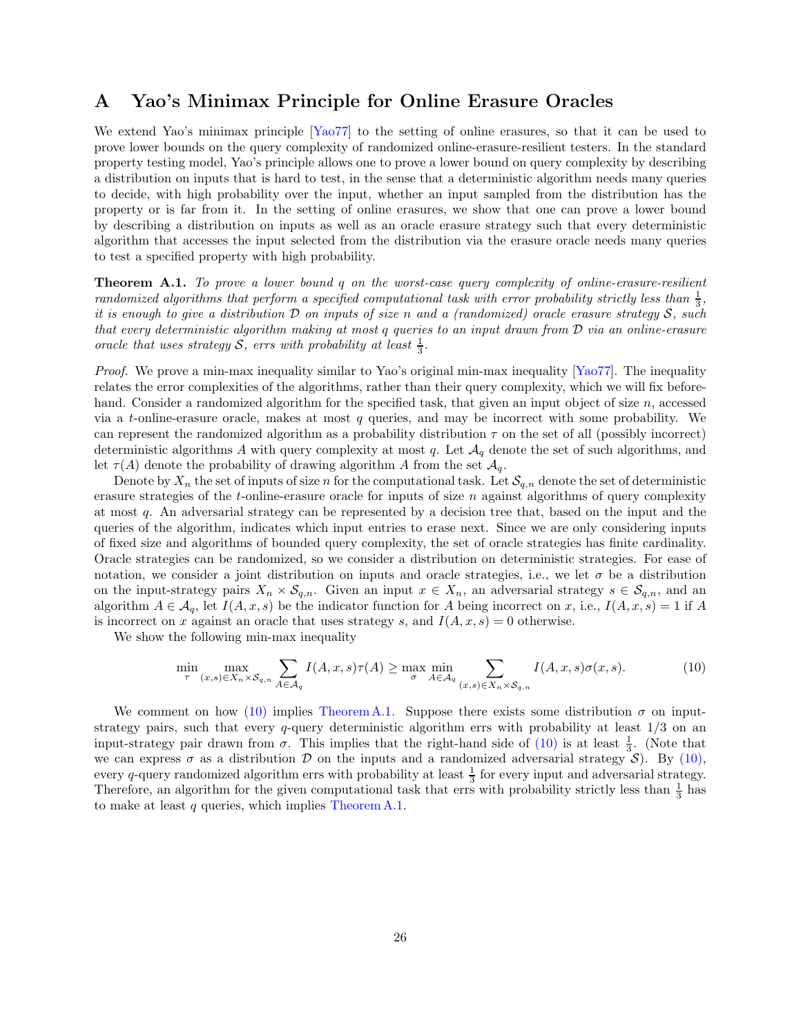### <span id="page-26-0"></span>A Yao's Minimax Principle for Online Erasure Oracles

We extend Yao's minimax principle  $[Ya<sub>0</sub>77]$  to the setting of online erasures, so that it can be used to prove lower bounds on the query complexity of randomized online-erasure-resilient testers. In the standard property testing model, Yao's principle allows one to prove a lower bound on query complexity by describing a distribution on inputs that is hard to test, in the sense that a deterministic algorithm needs many queries to decide, with high probability over the input, whether an input sampled from the distribution has the property or is far from it. In the setting of online erasures, we show that one can prove a lower bound by describing a distribution on inputs as well as an oracle erasure strategy such that every deterministic algorithm that accesses the input selected from the distribution via the erasure oracle needs many queries to test a specified property with high probability.

<span id="page-26-1"></span>**Theorem A.1.** To prove a lower bound q on the worst-case query complexity of online-erasure-resilient randomized algorithms that perform a specified computational task with error probability strictly less than  $\frac{1}{3}$ , it is enough to give a distribution  $D$  on inputs of size n and a (randomized) oracle erasure strategy  $S$ , such that every deterministic algorithm making at most q queries to an input drawn from D via an online-erasure oracle that uses strategy S, errs with probability at least  $\frac{1}{3}$ .

*Proof.* We prove a min-max inequality similar to Yao's original min-max inequality  $|Yao77|$ . The inequality relates the error complexities of the algorithms, rather than their query complexity, which we will fix beforehand. Consider a randomized algorithm for the specified task, that given an input object of size n, accessed via a t-online-erasure oracle, makes at most  $q$  queries, and may be incorrect with some probability. We can represent the randomized algorithm as a probability distribution  $\tau$  on the set of all (possibly incorrect) deterministic algorithms A with query complexity at most  $q$ . Let  $\mathcal{A}_q$  denote the set of such algorithms, and let  $\tau(A)$  denote the probability of drawing algorithm A from the set  $\mathcal{A}_q$ .

Denote by  $X_n$  the set of inputs of size n for the computational task. Let  $\mathcal{S}_{q,n}$  denote the set of deterministic erasure strategies of the t-online-erasure oracle for inputs of size n against algorithms of query complexity at most q. An adversarial strategy can be represented by a decision tree that, based on the input and the queries of the algorithm, indicates which input entries to erase next. Since we are only considering inputs of fixed size and algorithms of bounded query complexity, the set of oracle strategies has finite cardinality. Oracle strategies can be randomized, so we consider a distribution on deterministic strategies. For ease of notation, we consider a joint distribution on inputs and oracle strategies, i.e., we let  $\sigma$  be a distribution on the input-strategy pairs  $X_n \times S_{q,n}$ . Given an input  $x \in X_n$ , an adversarial strategy  $s \in S_{q,n}$ , and an algorithm  $A \in \mathcal{A}_q$ , let  $I(A, x, s)$  be the indicator function for A being incorrect on x, i.e.,  $I(A, x, s) = 1$  if A is incorrect on x against an oracle that uses strategy s, and  $I(A, x, s) = 0$  otherwise.

We show the following min-max inequality

<span id="page-26-2"></span>
$$
\min_{\tau} \max_{(x,s)\in X_n \times \mathcal{S}_{q,n}} \sum_{A \in \mathcal{A}_q} I(A,x,s)\tau(A) \ge \max_{\sigma} \min_{A \in \mathcal{A}_q} \sum_{(x,s)\in X_n \times \mathcal{S}_{q,n}} I(A,x,s)\sigma(x,s). \tag{10}
$$

We comment on how [\(10\)](#page-26-2) implies [Theorem A.1.](#page-26-1) Suppose there exists some distribution  $\sigma$  on inputstrategy pairs, such that every  $q$ -query deterministic algorithm errs with probability at least  $1/3$  on an input-strategy pair drawn from  $\sigma$ . This implies that the right-hand side of [\(10\)](#page-26-2) is at least  $\frac{1}{3}$ . (Note that we can express  $\sigma$  as a distribution D on the inputs and a randomized adversarial strategy S). By [\(10\),](#page-26-2) every q-query randomized algorithm errs with probability at least  $\frac{1}{3}$  for every input and adversarial strategy. Therefore, an algorithm for the given computational task that errs with probability strictly less than  $\frac{1}{3}$  has to make at least  $q$  queries, which implies [Theorem A.1.](#page-26-1)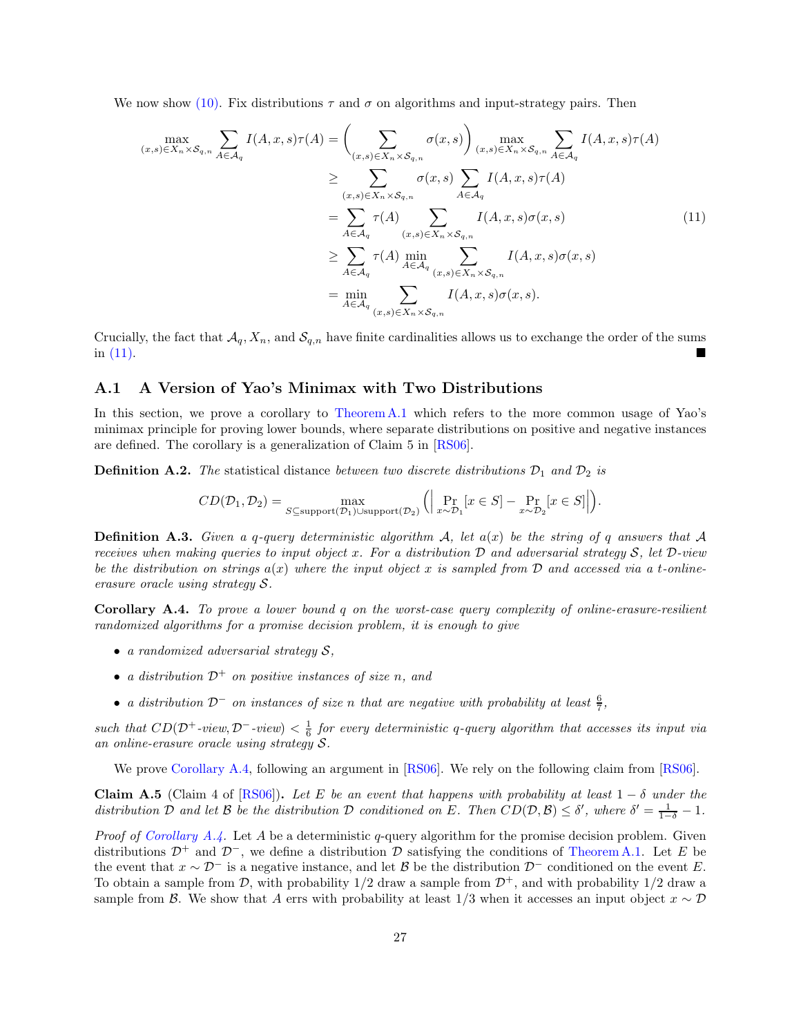We now show [\(10\).](#page-26-2) Fix distributions  $\tau$  and  $\sigma$  on algorithms and input-strategy pairs. Then

<span id="page-27-1"></span>
$$
\max_{(x,s)\in X_n\times S_{q,n}} \sum_{A\in\mathcal{A}_q} I(A,x,s)\tau(A) = \left(\sum_{(x,s)\in X_n\times S_{q,n}} \sigma(x,s)\right) \max_{(x,s)\in X_n\times S_{q,n}} \sum_{A\in\mathcal{A}_q} I(A,x,s)\tau(A)
$$
  
\n
$$
\geq \sum_{(x,s)\in X_n\times S_{q,n}} \sigma(x,s) \sum_{A\in\mathcal{A}_q} I(A,x,s)\tau(A)
$$
  
\n
$$
= \sum_{A\in\mathcal{A}_q} \tau(A) \sum_{(x,s)\in X_n\times S_{q,n}} I(A,x,s)\sigma(x,s)
$$
  
\n
$$
\geq \sum_{A\in\mathcal{A}_q} \tau(A) \min_{A\in\mathcal{A}_q} \sum_{(x,s)\in X_n\times S_{q,n}} I(A,x,s)\sigma(x,s)
$$
  
\n
$$
= \min_{A\in\mathcal{A}_q} \sum_{(x,s)\in X_n\times S_{q,n}} I(A,x,s)\sigma(x,s).
$$
\n(11)

Crucially, the fact that  $\mathcal{A}_q$ ,  $X_n$ , and  $\mathcal{S}_{q,n}$  have finite cardinalities allows us to exchange the order of the sums in (11). in  $(11)$ .

#### A.1 A Version of Yao's Minimax with Two Distributions

In this section, we prove a corollary to [Theorem A.1](#page-26-1) which refers to the more common usage of Yao's minimax principle for proving lower bounds, where separate distributions on positive and negative instances are defined. The corollary is a generalization of Claim 5 in [\[RS06\]](#page-25-17).

**Definition A.2.** The statistical distance between two discrete distributions  $\mathcal{D}_1$  and  $\mathcal{D}_2$  is

$$
CD(\mathcal{D}_1, \mathcal{D}_2) = \max_{S \subseteq \text{support}(\mathcal{D}_1) \cup \text{support}(\mathcal{D}_2)} \Big( \Big| \Pr_{x \sim \mathcal{D}_1}[x \in S] - \Pr_{x \sim \mathcal{D}_2}[x \in S] \Big| \Big).
$$

**Definition A.3.** Given a q-query deterministic algorithm A, let  $a(x)$  be the string of q answers that A receives when making queries to input object x. For a distribution  $D$  and adversarial strategy  $S$ , let  $D$ -view be the distribution on strings  $a(x)$  where the input object x is sampled from D and accessed via a t-onlineerasure oracle using strategy S.

<span id="page-27-0"></span>Corollary A.4. To prove a lower bound q on the worst-case query complexity of online-erasure-resilient randomized algorithms for a promise decision problem, it is enough to give

- a randomized adversarial strategy  $S$ ,
- a distribution  $\mathcal{D}^+$  on positive instances of size n, and
- a distribution  $\mathcal{D}^-$  on instances of size n that are negative with probability at least  $\frac{6}{7}$ ,

such that  $CD(\mathcal{D}^+$ -view,  $\mathcal{D}^-$ -view)  $\lt \frac{1}{6}$  for every deterministic q-query algorithm that accesses its input via an online-erasure oracle using strategy S.

We prove [Corollary A.4,](#page-27-0) following an argument in [\[RS06\]](#page-25-17). We rely on the following claim from [RS06].

<span id="page-27-2"></span>Claim A.5 (Claim 4 of [\[RS06\]](#page-25-17)). Let E be an event that happens with probability at least  $1 - \delta$  under the distribution D and let B be the distribution D conditioned on E. Then  $CD(D, \mathcal{B}) \leq \delta'$ , where  $\delta' = \frac{1}{1-\delta} - 1$ .

*Proof of [Corollary A.4.](#page-27-0)* Let A be a deterministic q-query algorithm for the promise decision problem. Given distributions  $\mathcal{D}^+$  and  $\mathcal{D}^-$ , we define a distribution  $\mathcal D$  satisfying the conditions of [Theorem A.1.](#page-26-1) Let E be the event that  $x \sim \mathcal{D}^-$  is a negative instance, and let B be the distribution  $\mathcal{D}^-$  conditioned on the event E. To obtain a sample from  $\mathcal{D}$ , with probability  $1/2$  draw a sample from  $\mathcal{D}^+$ , and with probability  $1/2$  draw a sample from B. We show that A errs with probability at least 1/3 when it accesses an input object  $x \sim \mathcal{D}$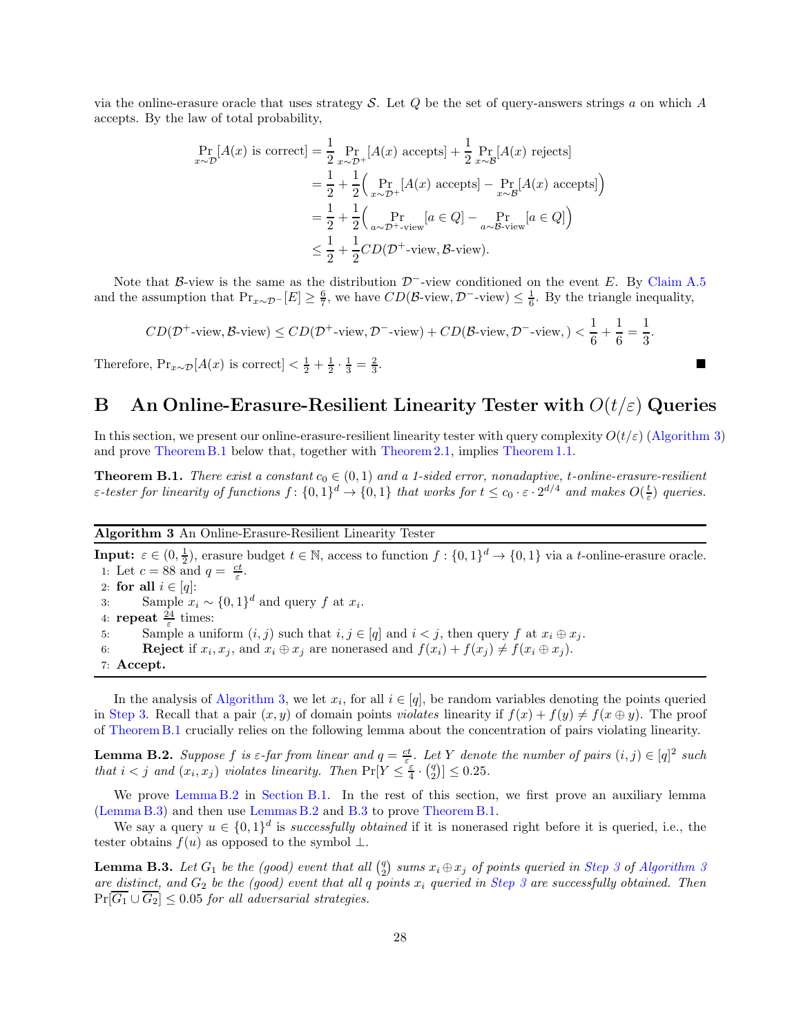via the online-erasure oracle that uses strategy S. Let Q be the set of query-answers strings a on which A accepts. By the law of total probability,

$$
\Pr_{x \sim \mathcal{D}}[A(x) \text{ is correct}] = \frac{1}{2} \Pr_{x \sim \mathcal{D}^+}[A(x) \text{ accepts}] + \frac{1}{2} \Pr_{x \sim \mathcal{B}}[A(x) \text{ rejects}]
$$
  
\n
$$
= \frac{1}{2} + \frac{1}{2} \Big( \Pr_{x \sim \mathcal{D}^+}[A(x) \text{ accepts}] - \Pr_{x \sim \mathcal{B}}[A(x) \text{ accepts}] \Big)
$$
  
\n
$$
= \frac{1}{2} + \frac{1}{2} \Big( \Pr_{a \sim \mathcal{D}^+ \text{-view}}[a \in Q] - \Pr_{a \sim \mathcal{B} \text{-view}}[a \in Q] \Big)
$$
  
\n
$$
\leq \frac{1}{2} + \frac{1}{2} CD(D^+ \text{-view}, \mathcal{B} \text{-view}).
$$

Note that B-view is the same as the distribution  $\mathcal{D}^-$ -view conditioned on the event E. By [Claim A.5](#page-27-2) and the assumption that  $Pr_{x \sim \mathcal{D}^-}[E] \geq \frac{6}{7}$ , we have  $CD(\mathcal{B}\text{-view}, \mathcal{D}^-$ -view)  $\leq \frac{1}{6}$ . By the triangle inequality,

 $CD(\mathcal{D}^+\text{-view}, \mathcal{B}\text{-view}) \leq CD(\mathcal{D}^+\text{-view}, \mathcal{D}^-\text{-view}) + CD(\mathcal{B}\text{-view}, \mathcal{D}^-\text{-view},) < \frac{1}{6}$  $\frac{1}{6} + \frac{1}{6}$  $\frac{1}{6} = \frac{1}{3}$  $\frac{1}{3}$ .

Therefore,  $Pr_{x \sim \mathcal{D}}[A(x) \text{ is correct}] < \frac{1}{2} + \frac{1}{2} \cdot \frac{1}{3} = \frac{2}{3}$ .

## <span id="page-28-0"></span>B An Online-Erasure-Resilient Linearity Tester with  $O(t/\varepsilon)$  Queries

In this section, we present our online-erasure-resilient linearity tester with query complexity  $O(t/\varepsilon)$  [\(Algorithm 3\)](#page-28-1) and prove [Theorem B.1](#page-28-2) below that, together with [Theorem 2.1,](#page-7-1) implies [Theorem 1.1.](#page-3-2)

<span id="page-28-2"></span>**Theorem B.1.** There exist a constant  $c_0 \in (0,1)$  and a 1-sided error, nonadaptive, t-online-erasure-resilient  $\varepsilon$ -tester for linearity of functions  $f: \{0,1\}^d \to \{0,1\}$  that works for  $t \leq c_0 \cdot \varepsilon \cdot 2^{d/4}$  and makes  $O(\frac{t}{\varepsilon})$  queries.

<span id="page-28-1"></span>Algorithm 3 An Online-Erasure-Resilient Linearity Tester

**Input:**  $\varepsilon \in (0, \frac{1}{2})$ , erasure budget  $t \in \mathbb{N}$ , access to function  $f : \{0,1\}^d \to \{0,1\}$  via a t-online-erasure oracle. 1: Let  $c = 88$  and  $q = \frac{ct}{\varepsilon}$ . 2: for all  $i \in [q]$ :<br>3: Sample  $x_i$ 3: Sample  $x_i \sim \{0,1\}^d$  and query f at  $x_i$ . 4: **repeat**  $\frac{24}{\varepsilon}$  times: 5: Sample a uniform  $(i, j)$  such that  $i, j \in [q]$  and  $i < j$ , then query  $f$  at  $x_i \oplus x_j$ .<br>6: **Reject** if  $x_i, x_j$ , and  $x_i \oplus x_j$  are nonerased and  $f(x_i) + f(x_i) \neq f(x_i \oplus x_j)$ . 6: **Reject** if  $x_i, x_j$ , and  $x_i \oplus x_j$  are nonerased and  $f(x_i) + f(x_j) \neq f(x_i \oplus x_j)$ . 7: Accept.

In the analysis of [Algorithm 3,](#page-28-1) we let  $x_i$ , for all  $i \in [q]$ , be random variables denoting the points queried in [Step 3.](#page-28-1) Recall that a pair  $(x, y)$  of domain points *violates* linearity if  $f(x) + f(y) \neq f(x \oplus y)$ . The proof of [Theorem B.1](#page-28-2) crucially relies on the following lemma about the concentration of pairs violating linearity.

<span id="page-28-3"></span>**Lemma B.2.** Suppose f is  $\varepsilon$ -far from linear and  $q = \frac{ct}{\varepsilon}$ . Let Y denote the number of pairs  $(i, j) \in [q]^2$  such that  $i < j$  and  $(x_i, x_j)$  violates linearity. Then  $Pr[Y \leq \frac{\epsilon}{4} \cdot {q \choose 2}] \leq 0.25$ .

We prove [Lemma B.2](#page-28-3) in [Section B.1.](#page-29-0) In the rest of this section, we first prove an auxiliary lemma [\(Lemma B.3\)](#page-28-4) and then use [Lemmas B.2](#page-28-3) and [B.3](#page-28-4) to prove [Theorem B.1.](#page-28-2)

We say a query  $u \in \{0,1\}^d$  is successfully obtained if it is nonerased right before it is queried, i.e., the tester obtains  $f(u)$  as opposed to the symbol  $\bot$ .

<span id="page-28-4"></span>**Lemma B.3.** Let  $G_1$  be the (good) event that all  $\binom{q}{2}$  sums  $x_i \oplus x_j$  of points queried in [Step 3](#page-28-1) of [Algorithm 3](#page-28-1) are distinct, and  $G_2$  be the (good) event that all q points  $x_i$  queried in [Step 3](#page-28-1) are successfully obtained. Then  $Pr[\overline{G_1} \cup \overline{G_2}] \leq 0.05$  for all adversarial strategies.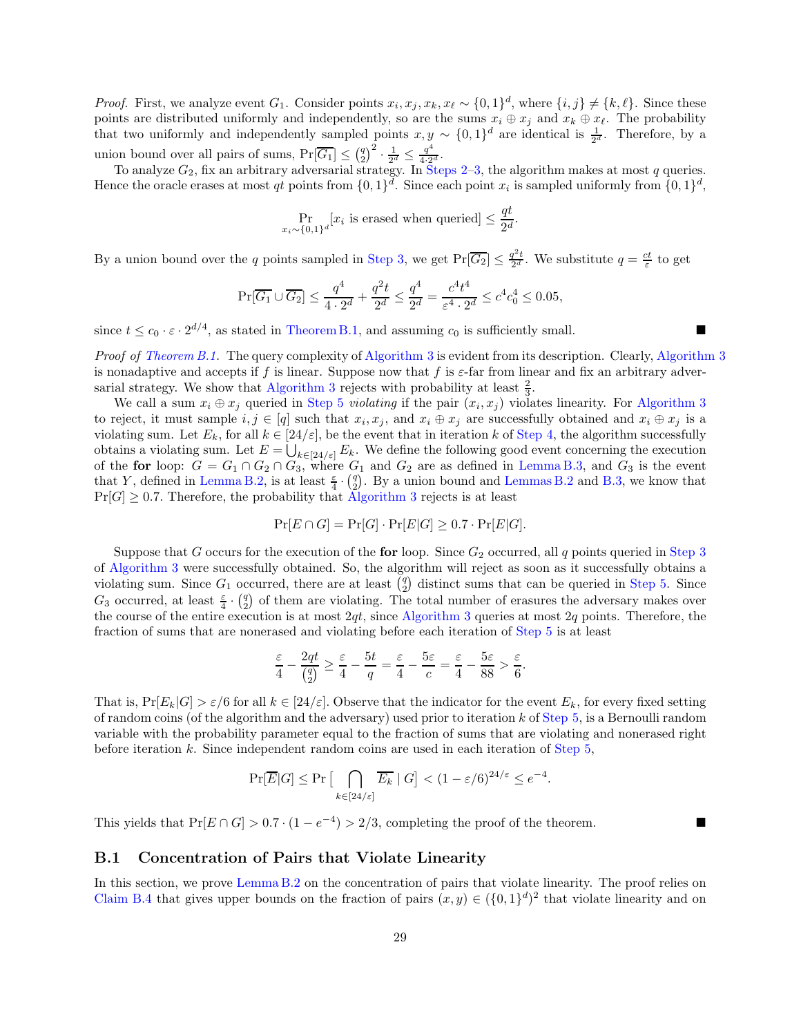*Proof.* First, we analyze event  $G_1$ . Consider points  $x_i, x_j, x_k, x_\ell \sim \{0, 1\}^d$ , where  $\{i, j\} \neq \{k, \ell\}$ . Since these points are distributed uniformly and independently, so are the sums  $x_i \oplus x_j$  and  $x_k \oplus x_\ell$ . The probability that two uniformly and independently sampled points  $x, y \sim \{0, 1\}^d$  are identical is  $\frac{1}{2^d}$ . Therefore, by a union bound over all pairs of sums,  $Pr[\overline{G_1}] \leq {q \choose 2}^2 \cdot \frac{1}{2^d} \leq \frac{q^4}{4 \cdot 2}$  $\frac{q}{4\cdot 2^d}$ .

To analyze  $G_2$ , fix an arbitrary adversarial strategy. In [Steps 2–3,](#page-28-1) the algorithm makes at most  $q$  queries. Hence the oracle erases at most qt points from  $\{0,1\}^d$ . Since each point  $x_i$  is sampled uniformly from  $\{0,1\}^d$ ,

$$
\Pr_{x_i \sim \{0,1\}^d} [x_i \text{ is erased when queried}] \le \frac{qt}{2^d}.
$$

By a union bound over the q points sampled in [Step 3,](#page-28-1) we get  $Pr[\overline{G_2}] \leq \frac{q^2t}{2^d}$  $\frac{q^2t}{2^d}$ . We substitute  $q = \frac{ct}{\varepsilon}$  to get

$$
\Pr[\overline{G_1} \cup \overline{G_2}] \le \frac{q^4}{4 \cdot 2^d} + \frac{q^2 t}{2^d} \le \frac{q^4}{2^d} = \frac{c^4 t^4}{\varepsilon^4 \cdot 2^d} \le c^4 c_0^4 \le 0.05,
$$

since  $t \leq c_0 \cdot \varepsilon \cdot 2^{d/4}$ , as stated in [Theorem B.1,](#page-28-2) and assuming  $c_0$  is sufficiently small.

Proof of [Theorem B.1.](#page-28-2) The query complexity of [Algorithm 3](#page-28-1) is evident from its description. Clearly, Algorithm 3 is nonadaptive and accepts if f is linear. Suppose now that f is  $\varepsilon$ -far from linear and fix an arbitrary adver-sarial strategy. We show that [Algorithm 3](#page-28-1) rejects with probability at least  $\frac{2}{3}$ .

We call a sum  $x_i \oplus x_j$  queried in [Step 5](#page-28-1) *violating* if the pair  $(x_i, x_j)$  violates linearity. For [Algorithm 3](#page-28-1) to reject, it must sample  $i, j \in [q]$  such that  $x_i, x_j$ , and  $x_i \oplus x_j$  are successfully obtained and  $x_i \oplus x_j$  is a violating sum. Let  $E_k$ , for all  $k \in [24/\varepsilon]$ , be the event that in iteration k of [Step 4,](#page-28-1) the algorithm successfully obtains a violating sum. Let  $E = \bigcup_{k \in [24/\varepsilon]} E_k$ . We define the following good event concerning the execution of the for loop:  $G = G_1 \cap G_2 \cap G_3$ , where  $G_1$  and  $G_2$  are as defined in [Lemma B.3,](#page-28-4) and  $G_3$  is the event that Y, defined in [Lemma B.2,](#page-28-3) is at least  $\frac{\varepsilon}{4} \cdot \left(\frac{q}{2}\right)$ . By a union bound and [Lemmas B.2](#page-28-3) and [B.3,](#page-28-4) we know that  $Pr[G] \geq 0.7$ . Therefore, the probability that [Algorithm 3](#page-28-1) rejects is at least

$$
\Pr[E \cap G] = \Pr[G] \cdot \Pr[E|G] \ge 0.7 \cdot \Pr[E|G].
$$

Suppose that G occurs for the execution of the for loop. Since  $G_2$  occurred, all q points queried in [Step 3](#page-28-1) of [Algorithm 3](#page-28-1) were successfully obtained. So, the algorithm will reject as soon as it successfully obtains a violating sum. Since  $G_1$  occurred, there are at least  $\binom{q}{2}$  distinct sums that can be queried in [Step 5.](#page-28-1) Since  $G_3$  occurred, at least  $\frac{\varepsilon}{4} \cdot {q \choose 2}$  of them are violating. The total number of erasures the adversary makes over the course of the entire execution is at most  $2qt$ , since [Algorithm 3](#page-28-1) queries at most  $2q$  points. Therefore, the fraction of sums that are nonerased and violating before each iteration of [Step 5](#page-28-1) is at least

$$
\frac{\varepsilon}{4} - \frac{2qt}{\binom{q}{2}} \ge \frac{\varepsilon}{4} - \frac{5t}{q} = \frac{\varepsilon}{4} - \frac{5\varepsilon}{c} = \frac{\varepsilon}{4} - \frac{5\varepsilon}{88} > \frac{\varepsilon}{6}.
$$

That is,  $Pr[E_k|G] > \varepsilon/6$  for all  $k \in [24/\varepsilon]$ . Observe that the indicator for the event  $E_k$ , for every fixed setting of random coins (of the algorithm and the adversary) used prior to iteration  $k$  of [Step 5,](#page-28-1) is a Bernoulli random variable with the probability parameter equal to the fraction of sums that are violating and nonerased right before iteration  $k$ . Since independent random coins are used in each iteration of Step  $5$ ,

$$
\Pr[\overline{E}|G] \le \Pr\big[\bigcap_{k \in [24/\varepsilon]} \overline{E_k} \mid G\big] < (1 - \varepsilon/6)^{24/\varepsilon} \le e^{-4}.
$$

This yields that  $Pr[E \cap G] > 0.7 \cdot (1 - e^{-4}) > 2/3$ , completing the proof of the theorem. ■

#### <span id="page-29-0"></span>B.1 Concentration of Pairs that Violate Linearity

In this section, we prove [Lemma B.2](#page-28-3) on the concentration of pairs that violate linearity. The proof relies on [Claim B.4](#page-30-0) that gives upper bounds on the fraction of pairs  $(x, y) \in (\{0, 1\}^d)^2$  that violate linearity and on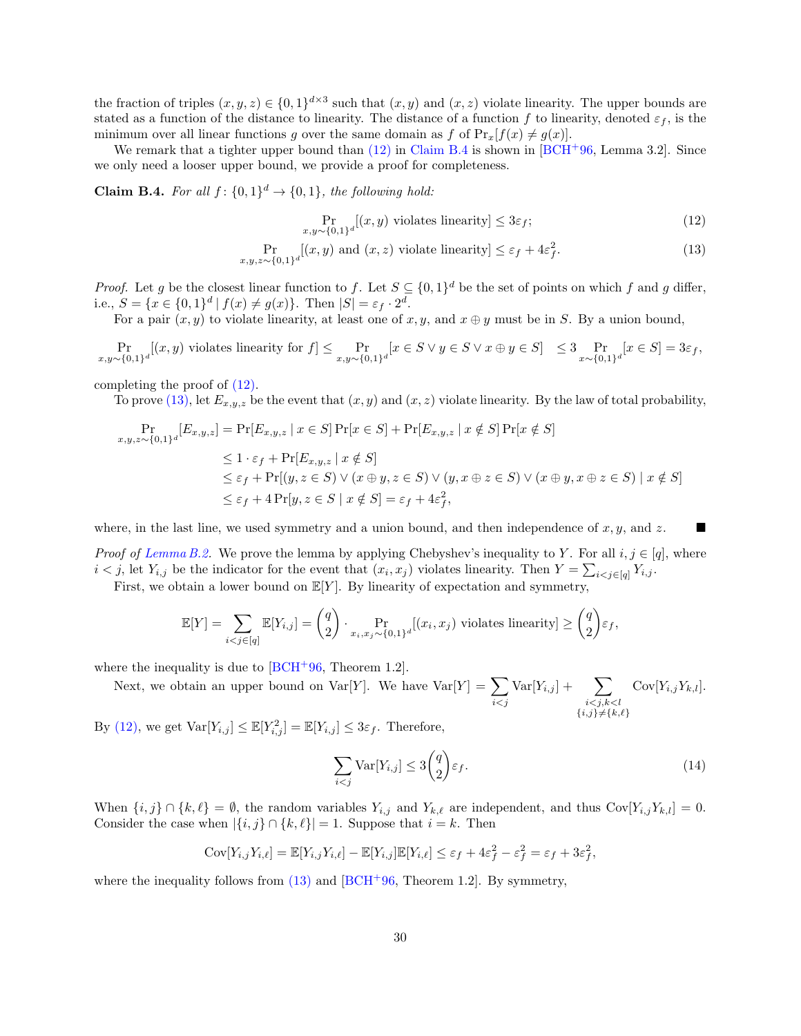the fraction of triples  $(x, y, z) \in \{0, 1\}^{d \times 3}$  such that  $(x, y)$  and  $(x, z)$  violate linearity. The upper bounds are stated as a function of the distance to linearity. The distance of a function f to linearity, denoted  $\varepsilon_f$ , is the minimum over all linear functions g over the same domain as f of  $\Pr_x[f(x) \neq g(x)]$ .

We remark that a tighter upper bound than  $(12)$  in [Claim B.4](#page-30-0) is shown in [\[BCH](#page-22-1)+96, Lemma 3.2]. Since we only need a looser upper bound, we provide a proof for completeness.

<span id="page-30-0"></span>**Claim B.4.** For all  $f: \{0,1\}^d \rightarrow \{0,1\}$ , the following hold:

<span id="page-30-2"></span><span id="page-30-1"></span>
$$
\Pr_{x,y \sim \{0,1\}^d}[(x,y) \text{ violates linearity}] \le 3\varepsilon_f; \tag{12}
$$

$$
\Pr_{x,y,z \sim \{0,1\}^d}[(x,y) \text{ and } (x,z) \text{ violate linearity}] \le \varepsilon_f + 4\varepsilon_f^2. \tag{13}
$$

*Proof.* Let g be the closest linear function to f. Let  $S \subseteq \{0,1\}^d$  be the set of points on which f and g differ, i.e.,  $S = \{x \in \{0,1\}^d \mid f(x) \neq g(x)\}\)$ . Then  $|S| = \varepsilon_f \cdot 2^d$ .

For a pair  $(x, y)$  to violate linearity, at least one of  $x, y$ , and  $x \oplus y$  must be in S. By a union bound,

Pr  $\Pr_{x,y \sim \{0,1\}^d}[(x,y) \text{ violates linearity for } f] \leq \Pr_{x,y \sim \{0,1\}^d}[x \in S \lor y \in S \lor x \oplus y \in S] \leq 3 \Pr_{x \sim \{0,1\}^d}[x \in S] = 3\varepsilon_f,$ 

completing the proof of [\(12\).](#page-30-1)

To prove [\(13\),](#page-30-2) let  $E_{x,y,z}$  be the event that  $(x, y)$  and  $(x, z)$  violate linearity. By the law of total probability,

$$
\Pr_{x,y,z \sim \{0,1\}^d}[E_{x,y,z}] = \Pr[E_{x,y,z} \mid x \in S] \Pr[x \in S] + \Pr[E_{x,y,z} \mid x \notin S] \Pr[x \notin S]
$$
\n
$$
\leq 1 \cdot \varepsilon_f + \Pr[E_{x,y,z} \mid x \notin S]
$$
\n
$$
\leq \varepsilon_f + \Pr[(y, z \in S) \lor (x \oplus y, z \in S) \lor (y, x \oplus z \in S) \lor (x \oplus y, x \oplus z \in S) \mid x \notin S]
$$
\n
$$
\leq \varepsilon_f + 4 \Pr[y, z \in S \mid x \notin S] = \varepsilon_f + 4 \varepsilon_f^2,
$$

where, in the last line, we used symmetry and a union bound, and then independence of  $x, y$ , and  $z$ .

*Proof of [Lemma B.2.](#page-28-3)* We prove the lemma by applying Chebyshev's inequality to Y. For all  $i, j \in [q]$ , where  $i < j$ , let  $Y_{i,j}$  be the indicator for the event that  $(x_i, x_j)$  violates linearity. Then  $Y = \sum_{i < j \in [q]} Y_{i,j}$ .

First, we obtain a lower bound on  $\mathbb{E}[Y]$ . By linearity of expectation and symmetry,

$$
\mathbb{E}[Y] = \sum_{i < j \in [q]} \mathbb{E}[Y_{i,j}] = \binom{q}{2} \cdot \Pr_{x_i, x_j \sim \{0,1\}^d}[(x_i, x_j) \text{ violates linearity}] \ge \binom{q}{2} \varepsilon_f,
$$

where the inequality is due to  $[BCH<sup>+</sup>96, Theorem 1.2]$ .

Next, we obtain an upper bound on Var[Y]. We have  $Var[Y] = \sum$  $i$ < $j$  $Var[Y_{i,j}] + \sum$  $i < j, k < l$ <br>{ $i, j$ } $\neq$ { $k, \ell$ }  $Cov[Y_{i,j}Y_{k,l}].$ 

By [\(12\),](#page-30-1) we get  $\text{Var}[Y_{i,j}] \leq \mathbb{E}[Y_{i,j}^2] = \mathbb{E}[Y_{i,j}] \leq 3\varepsilon_f$ . Therefore,

<span id="page-30-3"></span>
$$
\sum_{i < j} \text{Var}[Y_{i,j}] \le 3 \binom{q}{2} \varepsilon_f. \tag{14}
$$

When  $\{i, j\} \cap \{k, \ell\} = \emptyset$ , the random variables  $Y_{i,j}$  and  $Y_{k,\ell}$  are independent, and thus  $Cov[Y_{i,j}Y_{k,\ell}] = 0$ . Consider the case when  $|\{i, j\} \cap \{k, \ell\}| = 1$ . Suppose that  $i = k$ . Then

$$
Cov[Y_{i,j}Y_{i,\ell}] = \mathbb{E}[Y_{i,j}Y_{i,\ell}] - \mathbb{E}[Y_{i,j}]\mathbb{E}[Y_{i,\ell}] \leq \varepsilon_f + 4\varepsilon_f^2 - \varepsilon_f^2 = \varepsilon_f + 3\varepsilon_f^2,
$$

where the inequality follows from  $(13)$  and [\[BCH](#page-22-1)+96, Theorem 1.2]. By symmetry,